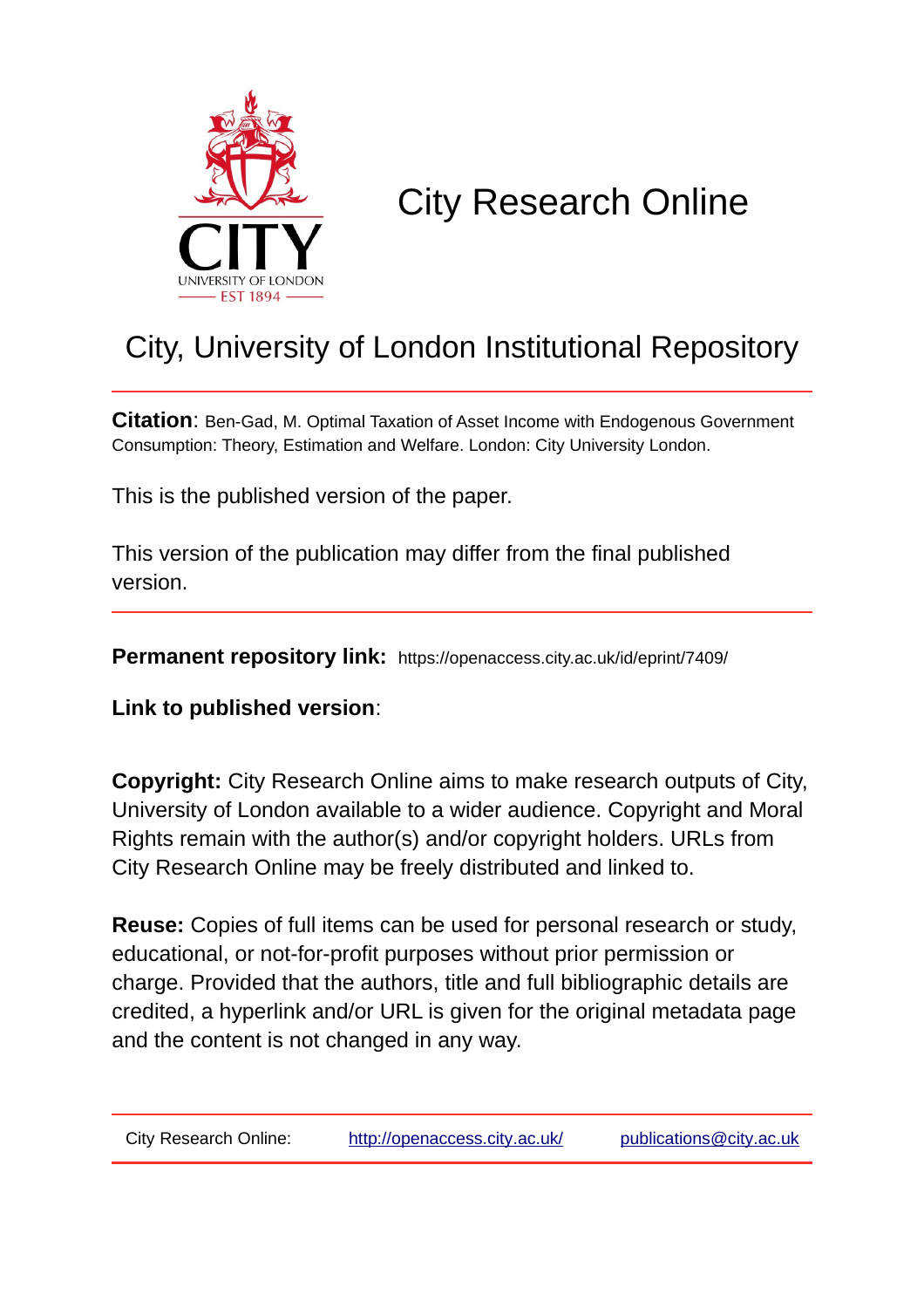

# City Research Online

# City, University of London Institutional Repository

**Citation**: Ben-Gad, M. Optimal Taxation of Asset Income with Endogenous Government Consumption: Theory, Estimation and Welfare. London: City University London.

This is the published version of the paper.

This version of the publication may differ from the final published version.

**Permanent repository link:** https://openaccess.city.ac.uk/id/eprint/7409/

**Link to published version**:

**Copyright:** City Research Online aims to make research outputs of City, University of London available to a wider audience. Copyright and Moral Rights remain with the author(s) and/or copyright holders. URLs from City Research Online may be freely distributed and linked to.

**Reuse:** Copies of full items can be used for personal research or study, educational, or not-for-profit purposes without prior permission or charge. Provided that the authors, title and full bibliographic details are credited, a hyperlink and/or URL is given for the original metadata page and the content is not changed in any way.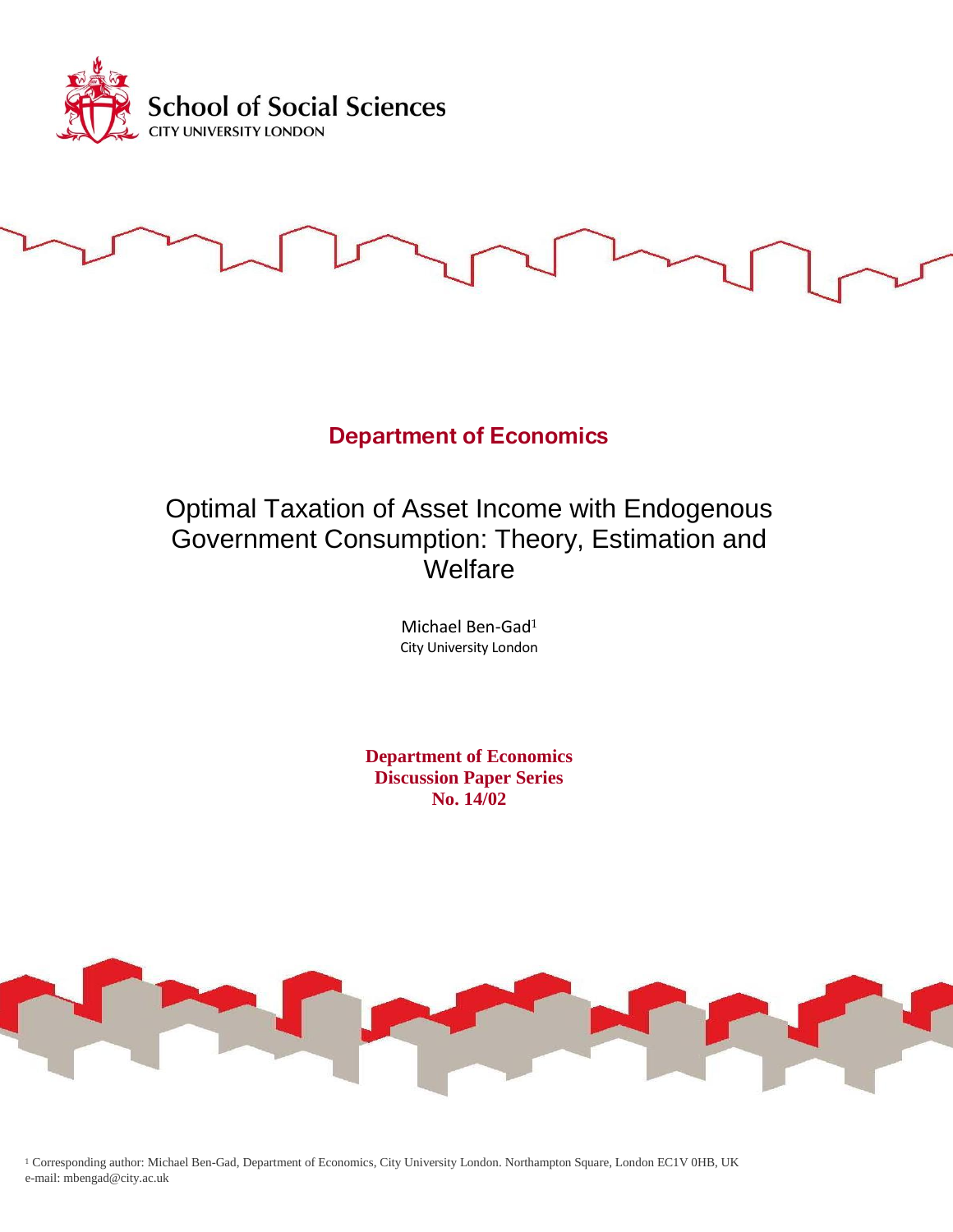

# **Department of Economics**

# Optimal Taxation of Asset Income with Endogenous Government Consumption: Theory, Estimation and Welfare

Michael Ben-Gad<sup>1</sup> City University London

**Department of Economics Discussion Paper Series No. 14/02**



<sup>1</sup> Corresponding author: Michael Ben-Gad, Department of Economics, City University London. Northampton Square, London EC1V 0HB, UK e-mail: mbengad@city.ac.uk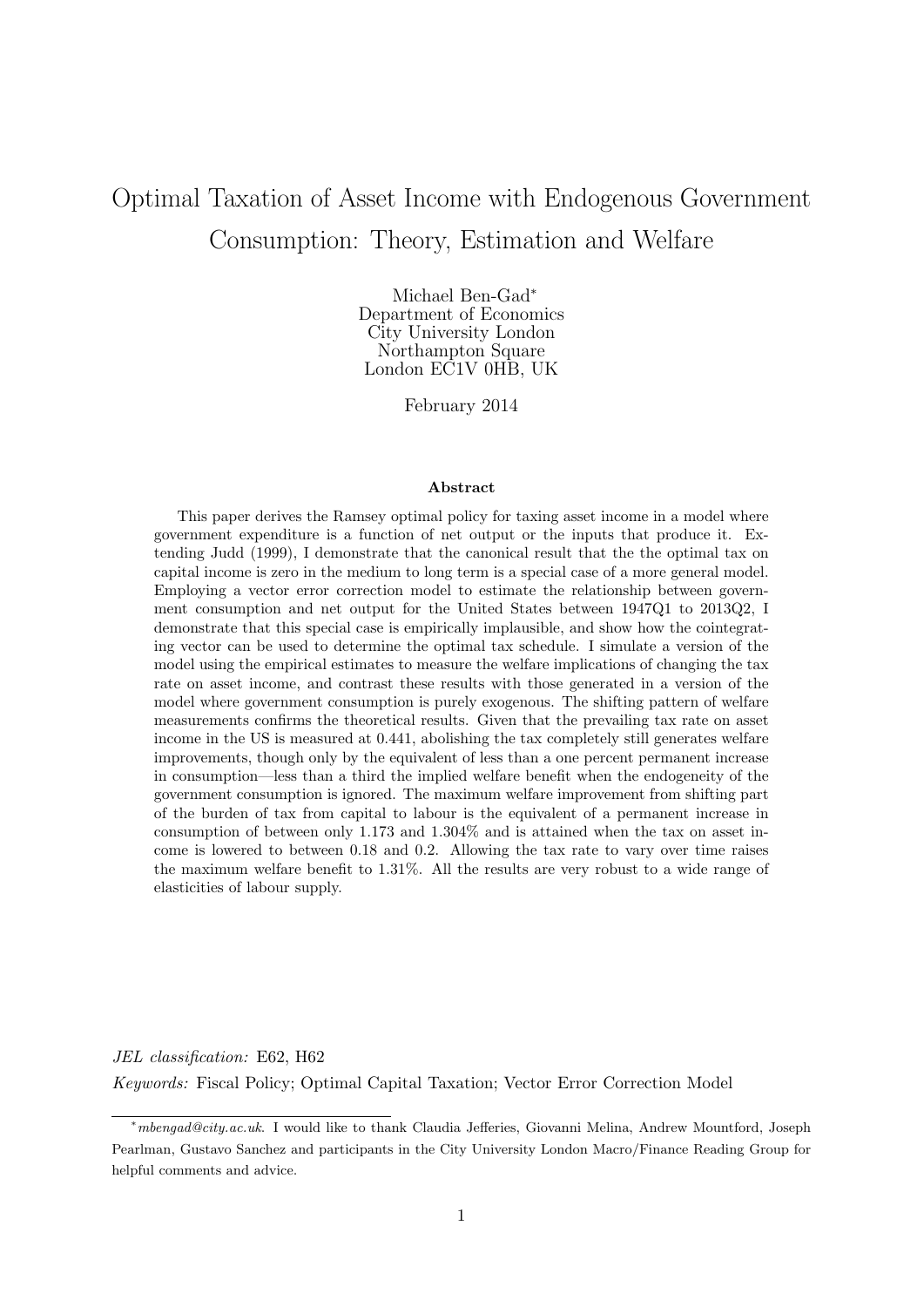# Optimal Taxation of Asset Income with Endogenous Government Consumption: Theory, Estimation and Welfare

Michael Ben-Gad<sup>∗</sup> Department of Economics City University London Northampton Square London EC1V 0HB, UK

February 2014

#### Abstract

This paper derives the Ramsey optimal policy for taxing asset income in a model where government expenditure is a function of net output or the inputs that produce it. Extending Judd (1999), I demonstrate that the canonical result that the the optimal tax on capital income is zero in the medium to long term is a special case of a more general model. Employing a vector error correction model to estimate the relationship between government consumption and net output for the United States between 1947Q1 to 2013Q2, I demonstrate that this special case is empirically implausible, and show how the cointegrating vector can be used to determine the optimal tax schedule. I simulate a version of the model using the empirical estimates to measure the welfare implications of changing the tax rate on asset income, and contrast these results with those generated in a version of the model where government consumption is purely exogenous. The shifting pattern of welfare measurements confirms the theoretical results. Given that the prevailing tax rate on asset income in the US is measured at 0.441, abolishing the tax completely still generates welfare improvements, though only by the equivalent of less than a one percent permanent increase in consumption—less than a third the implied welfare benefit when the endogeneity of the government consumption is ignored. The maximum welfare improvement from shifting part of the burden of tax from capital to labour is the equivalent of a permanent increase in consumption of between only 1.173 and 1.304% and is attained when the tax on asset income is lowered to between 0.18 and 0.2. Allowing the tax rate to vary over time raises the maximum welfare benefit to 1.31%. All the results are very robust to a wide range of elasticities of labour supply.

JEL classification: E62, H62 Keywords: Fiscal Policy; Optimal Capital Taxation; Vector Error Correction Model

<sup>∗</sup>mbengad@city.ac.uk. I would like to thank Claudia Jefferies, Giovanni Melina, Andrew Mountford, Joseph Pearlman, Gustavo Sanchez and participants in the City University London Macro/Finance Reading Group for helpful comments and advice.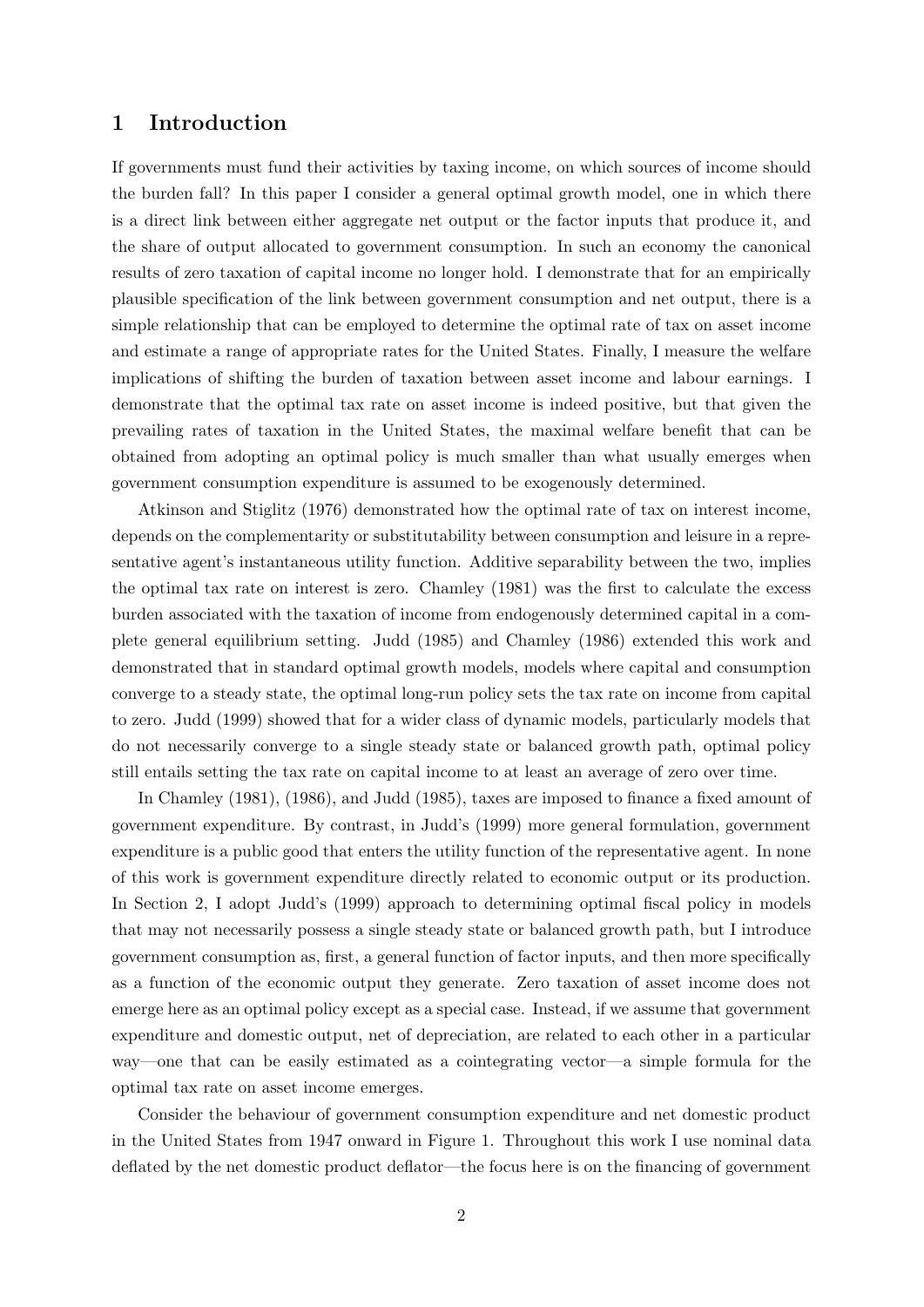### 1 Introduction

If governments must fund their activities by taxing income, on which sources of income should the burden fall? In this paper I consider a general optimal growth model, one in which there is a direct link between either aggregate net output or the factor inputs that produce it, and the share of output allocated to government consumption. In such an economy the canonical results of zero taxation of capital income no longer hold. I demonstrate that for an empirically plausible specification of the link between government consumption and net output, there is a simple relationship that can be employed to determine the optimal rate of tax on asset income and estimate a range of appropriate rates for the United States. Finally, I measure the welfare implications of shifting the burden of taxation between asset income and labour earnings. I demonstrate that the optimal tax rate on asset income is indeed positive, but that given the prevailing rates of taxation in the United States, the maximal welfare benefit that can be obtained from adopting an optimal policy is much smaller than what usually emerges when government consumption expenditure is assumed to be exogenously determined.

Atkinson and Stiglitz (1976) demonstrated how the optimal rate of tax on interest income, depends on the complementarity or substitutability between consumption and leisure in a representative agent's instantaneous utility function. Additive separability between the two, implies the optimal tax rate on interest is zero. Chamley (1981) was the first to calculate the excess burden associated with the taxation of income from endogenously determined capital in a complete general equilibrium setting. Judd (1985) and Chamley (1986) extended this work and demonstrated that in standard optimal growth models, models where capital and consumption converge to a steady state, the optimal long-run policy sets the tax rate on income from capital to zero. Judd (1999) showed that for a wider class of dynamic models, particularly models that do not necessarily converge to a single steady state or balanced growth path, optimal policy still entails setting the tax rate on capital income to at least an average of zero over time.

In Chamley (1981), (1986), and Judd (1985), taxes are imposed to finance a fixed amount of government expenditure. By contrast, in Judd's (1999) more general formulation, government expenditure is a public good that enters the utility function of the representative agent. In none of this work is government expenditure directly related to economic output or its production. In Section 2, I adopt Judd's (1999) approach to determining optimal fiscal policy in models that may not necessarily possess a single steady state or balanced growth path, but I introduce government consumption as, first, a general function of factor inputs, and then more specifically as a function of the economic output they generate. Zero taxation of asset income does not emerge here as an optimal policy except as a special case. Instead, if we assume that government expenditure and domestic output, net of depreciation, are related to each other in a particular way—one that can be easily estimated as a cointegrating vector—a simple formula for the optimal tax rate on asset income emerges.

Consider the behaviour of government consumption expenditure and net domestic product in the United States from 1947 onward in Figure 1. Throughout this work I use nominal data deflated by the net domestic product deflator—the focus here is on the financing of government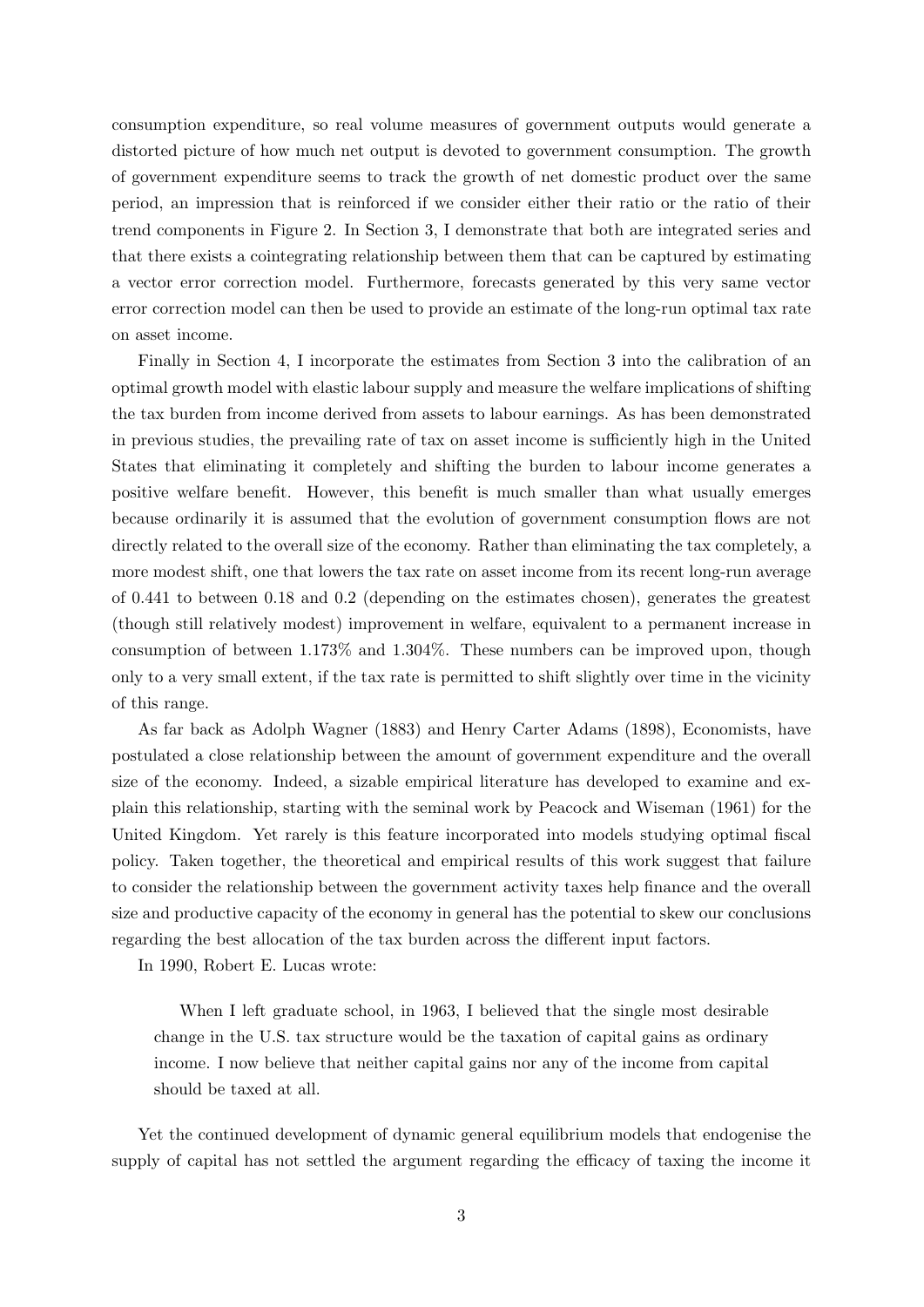consumption expenditure, so real volume measures of government outputs would generate a distorted picture of how much net output is devoted to government consumption. The growth of government expenditure seems to track the growth of net domestic product over the same period, an impression that is reinforced if we consider either their ratio or the ratio of their trend components in Figure 2. In Section 3, I demonstrate that both are integrated series and that there exists a cointegrating relationship between them that can be captured by estimating a vector error correction model. Furthermore, forecasts generated by this very same vector error correction model can then be used to provide an estimate of the long-run optimal tax rate on asset income.

Finally in Section 4, I incorporate the estimates from Section 3 into the calibration of an optimal growth model with elastic labour supply and measure the welfare implications of shifting the tax burden from income derived from assets to labour earnings. As has been demonstrated in previous studies, the prevailing rate of tax on asset income is sufficiently high in the United States that eliminating it completely and shifting the burden to labour income generates a positive welfare benefit. However, this benefit is much smaller than what usually emerges because ordinarily it is assumed that the evolution of government consumption flows are not directly related to the overall size of the economy. Rather than eliminating the tax completely, a more modest shift, one that lowers the tax rate on asset income from its recent long-run average of 0.441 to between 0.18 and 0.2 (depending on the estimates chosen), generates the greatest (though still relatively modest) improvement in welfare, equivalent to a permanent increase in consumption of between 1.173% and 1.304%. These numbers can be improved upon, though only to a very small extent, if the tax rate is permitted to shift slightly over time in the vicinity of this range.

As far back as Adolph Wagner (1883) and Henry Carter Adams (1898), Economists, have postulated a close relationship between the amount of government expenditure and the overall size of the economy. Indeed, a sizable empirical literature has developed to examine and explain this relationship, starting with the seminal work by Peacock and Wiseman (1961) for the United Kingdom. Yet rarely is this feature incorporated into models studying optimal fiscal policy. Taken together, the theoretical and empirical results of this work suggest that failure to consider the relationship between the government activity taxes help finance and the overall size and productive capacity of the economy in general has the potential to skew our conclusions regarding the best allocation of the tax burden across the different input factors.

In 1990, Robert E. Lucas wrote:

When I left graduate school, in 1963, I believed that the single most desirable change in the U.S. tax structure would be the taxation of capital gains as ordinary income. I now believe that neither capital gains nor any of the income from capital should be taxed at all.

Yet the continued development of dynamic general equilibrium models that endogenise the supply of capital has not settled the argument regarding the efficacy of taxing the income it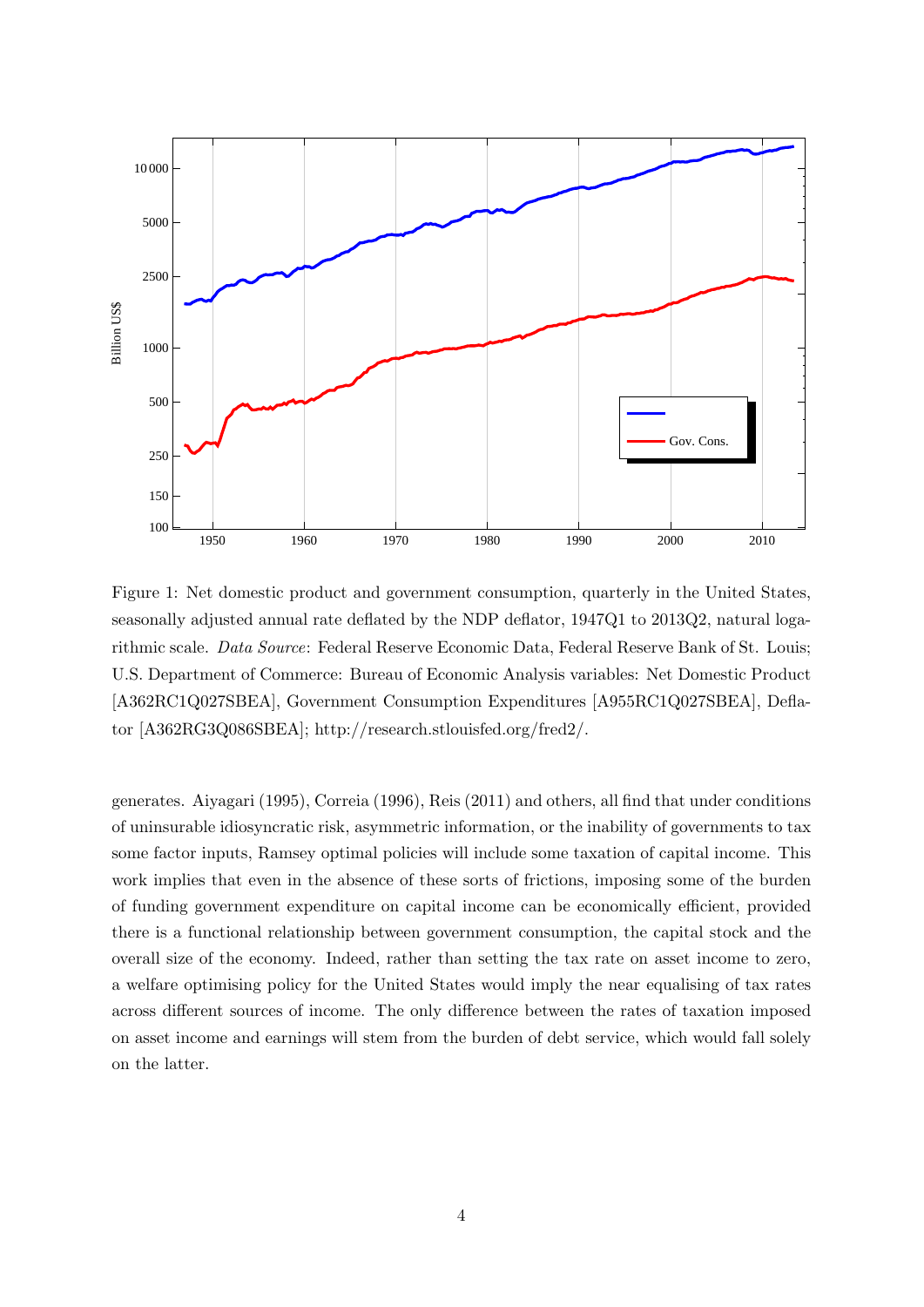

Figure 1: Net domestic product and government consumption, quarterly in the United States, seasonally adjusted annual rate deflated by the NDP deflator, 1947Q1 to 2013Q2, natural logarithmic scale. Data Source: Federal Reserve Economic Data, Federal Reserve Bank of St. Louis; U.S. Department of Commerce: Bureau of Economic Analysis variables: Net Domestic Product [A362RC1Q027SBEA], Government Consumption Expenditures [A955RC1Q027SBEA], Deflator [A362RG3Q086SBEA]; http://research.stlouisfed.org/fred2/.

generates. Aiyagari (1995), Correia (1996), Reis (2011) and others, all find that under conditions of uninsurable idiosyncratic risk, asymmetric information, or the inability of governments to tax some factor inputs, Ramsey optimal policies will include some taxation of capital income. This work implies that even in the absence of these sorts of frictions, imposing some of the burden of funding government expenditure on capital income can be economically efficient, provided there is a functional relationship between government consumption, the capital stock and the overall size of the economy. Indeed, rather than setting the tax rate on asset income to zero, a welfare optimising policy for the United States would imply the near equalising of tax rates across different sources of income. The only difference between the rates of taxation imposed on asset income and earnings will stem from the burden of debt service, which would fall solely on the latter.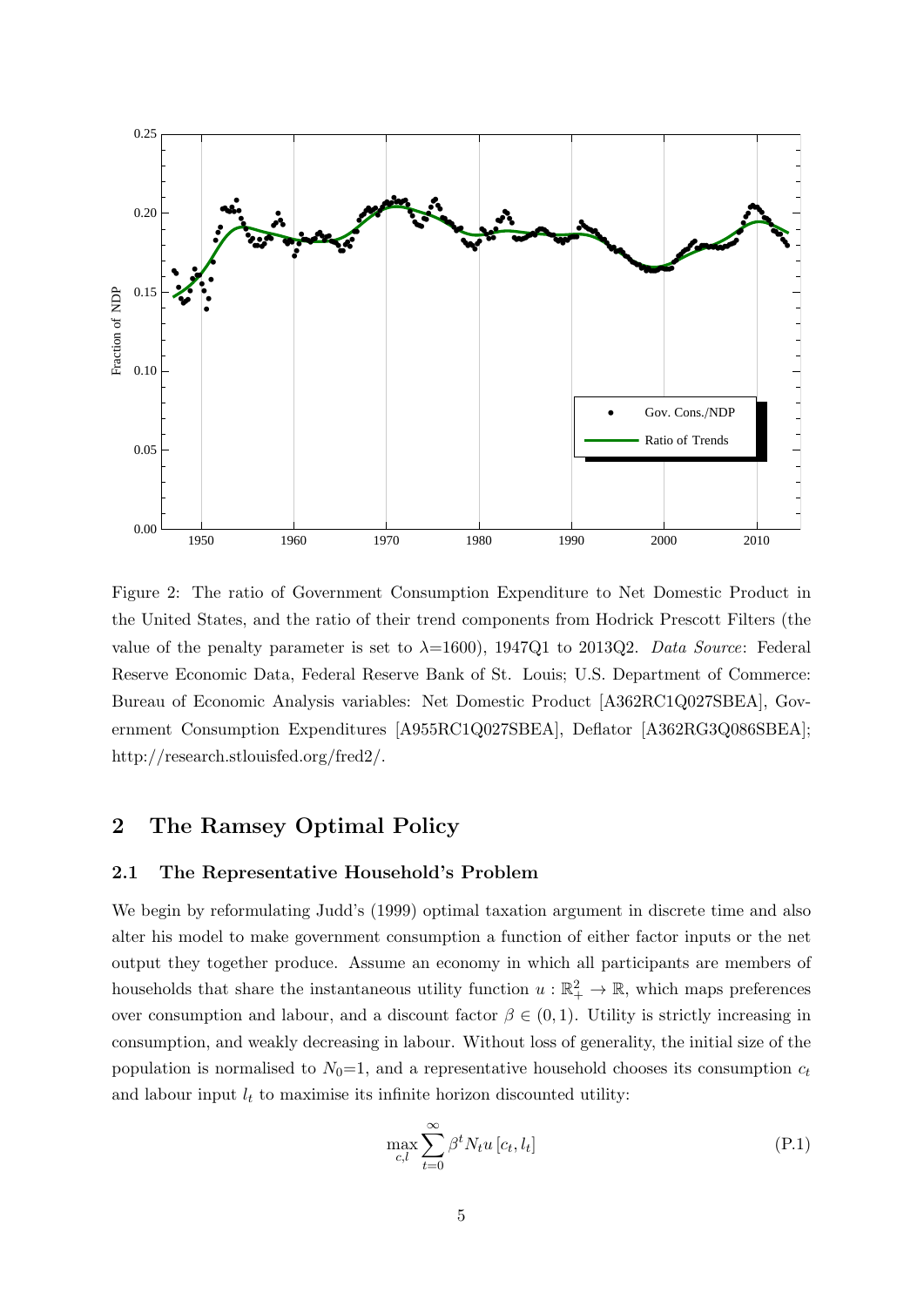

Figure 2: The ratio of Government Consumption Expenditure to Net Domestic Product in the United States, and the ratio of their trend components from Hodrick Prescott Filters (the value of the penalty parameter is set to  $\lambda=1600$ , 1947Q1 to 2013Q2. Data Source: Federal Reserve Economic Data, Federal Reserve Bank of St. Louis; U.S. Department of Commerce: Bureau of Economic Analysis variables: Net Domestic Product [A362RC1Q027SBEA], Government Consumption Expenditures [A955RC1Q027SBEA], Deflator [A362RG3Q086SBEA]; http://research.stlouisfed.org/fred2/.

# 2 The Ramsey Optimal Policy

#### 2.1 The Representative Household's Problem

We begin by reformulating Judd's (1999) optimal taxation argument in discrete time and also alter his model to make government consumption a function of either factor inputs or the net output they together produce. Assume an economy in which all participants are members of households that share the instantaneous utility function  $u : \mathbb{R}^2_+ \to \mathbb{R}$ , which maps preferences over consumption and labour, and a discount factor  $\beta \in (0,1)$ . Utility is strictly increasing in consumption, and weakly decreasing in labour. Without loss of generality, the initial size of the population is normalised to  $N_0=1$ , and a representative household chooses its consumption  $c_t$ and labour input  $l_t$  to maximise its infinite horizon discounted utility:

$$
\max_{c,l} \sum_{t=0}^{\infty} \beta^t N_t u \left[ c_t, l_t \right] \tag{P.1}
$$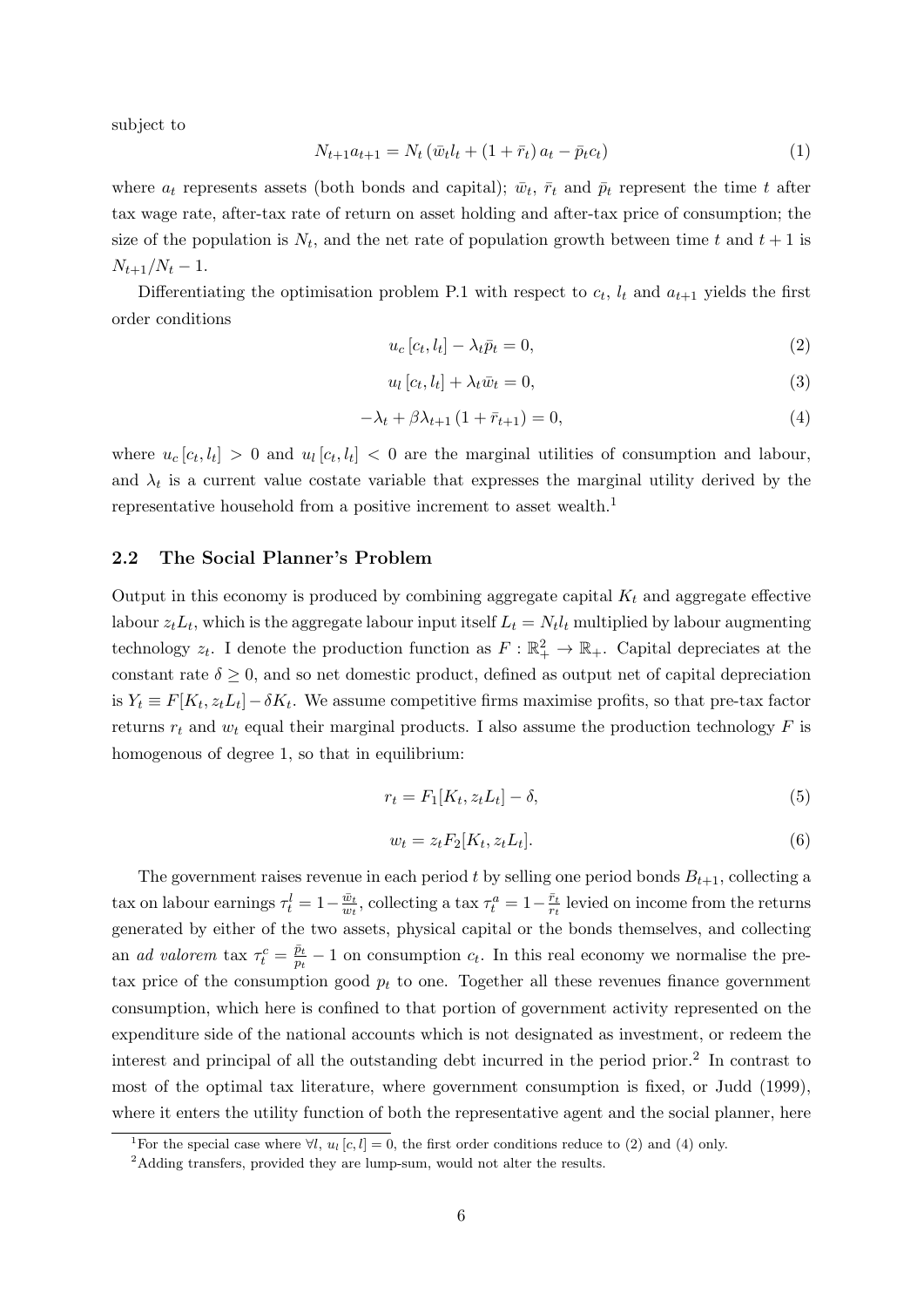subject to

$$
N_{t+1}a_{t+1} = N_t \left(\bar{w}_t l_t + (1 + \bar{r}_t) a_t - \bar{p}_t c_t\right)
$$
\n(1)

where  $a_t$  represents assets (both bonds and capital);  $\bar{w}_t$ ,  $\bar{r}_t$  and  $\bar{p}_t$  represent the time t after tax wage rate, after-tax rate of return on asset holding and after-tax price of consumption; the size of the population is  $N_t$ , and the net rate of population growth between time t and  $t + 1$  is  $N_{t+1}/N_t - 1$ .

Differentiating the optimisation problem P.1 with respect to  $c_t$ ,  $l_t$  and  $a_{t+1}$  yields the first order conditions

$$
u_c[c_t, l_t] - \lambda_t \bar{p}_t = 0,\t\t(2)
$$

$$
u_l[c_t, l_t] + \lambda_t \bar{w}_t = 0,\t\t(3)
$$

$$
-\lambda_t + \beta \lambda_{t+1} (1 + \bar{r}_{t+1}) = 0, \tag{4}
$$

where  $u_c[c_t, l_t] > 0$  and  $u_l[c_t, l_t] < 0$  are the marginal utilities of consumption and labour, and  $\lambda_t$  is a current value costate variable that expresses the marginal utility derived by the representative household from a positive increment to asset wealth.<sup>1</sup>

### 2.2 The Social Planner's Problem

Output in this economy is produced by combining aggregate capital  $K_t$  and aggregate effective labour  $z_t L_t$ , which is the aggregate labour input itself  $L_t = N_t l_t$  multiplied by labour augmenting technology  $z_t$ . I denote the production function as  $F: \mathbb{R}^2_+ \to \mathbb{R}_+$ . Capital depreciates at the constant rate  $\delta \geq 0$ , and so net domestic product, defined as output net of capital depreciation is  $Y_t \equiv F[K_t, z_t L_t] - \delta K_t$ . We assume competitive firms maximise profits, so that pre-tax factor returns  $r_t$  and  $w_t$  equal their marginal products. I also assume the production technology F is homogenous of degree 1, so that in equilibrium:

$$
r_t = F_1[K_t, z_t L_t] - \delta,\tag{5}
$$

$$
w_t = z_t F_2[K_t, z_t L_t].
$$
\n<sup>(6)</sup>

The government raises revenue in each period t by selling one period bonds  $B_{t+1}$ , collecting a tax on labour earnings  $\tau_t^l = 1 - \frac{\bar{w}_t}{w_t}$  $\frac{\bar{w}_t}{w_t}$ , collecting a tax  $\tau_t^a = 1 - \frac{\bar{r}_t}{r_t}$  $\frac{r_t}{r_t}$  levied on income from the returns generated by either of the two assets, physical capital or the bonds themselves, and collecting an *ad valorem* tax  $\tau_t^c = \frac{\bar{p}_t}{p_t}$  $\frac{p_t}{p_t} - 1$  on consumption  $c_t$ . In this real economy we normalise the pretax price of the consumption good  $p_t$  to one. Together all these revenues finance government consumption, which here is confined to that portion of government activity represented on the expenditure side of the national accounts which is not designated as investment, or redeem the interest and principal of all the outstanding debt incurred in the period prior.<sup>2</sup> In contrast to most of the optimal tax literature, where government consumption is fixed, or Judd (1999), where it enters the utility function of both the representative agent and the social planner, here

<sup>&</sup>lt;sup>1</sup>For the special case where  $\forall l, u_l [c, l] = 0$ , the first order conditions reduce to (2) and (4) only.

<sup>&</sup>lt;sup>2</sup>Adding transfers, provided they are lump-sum, would not alter the results.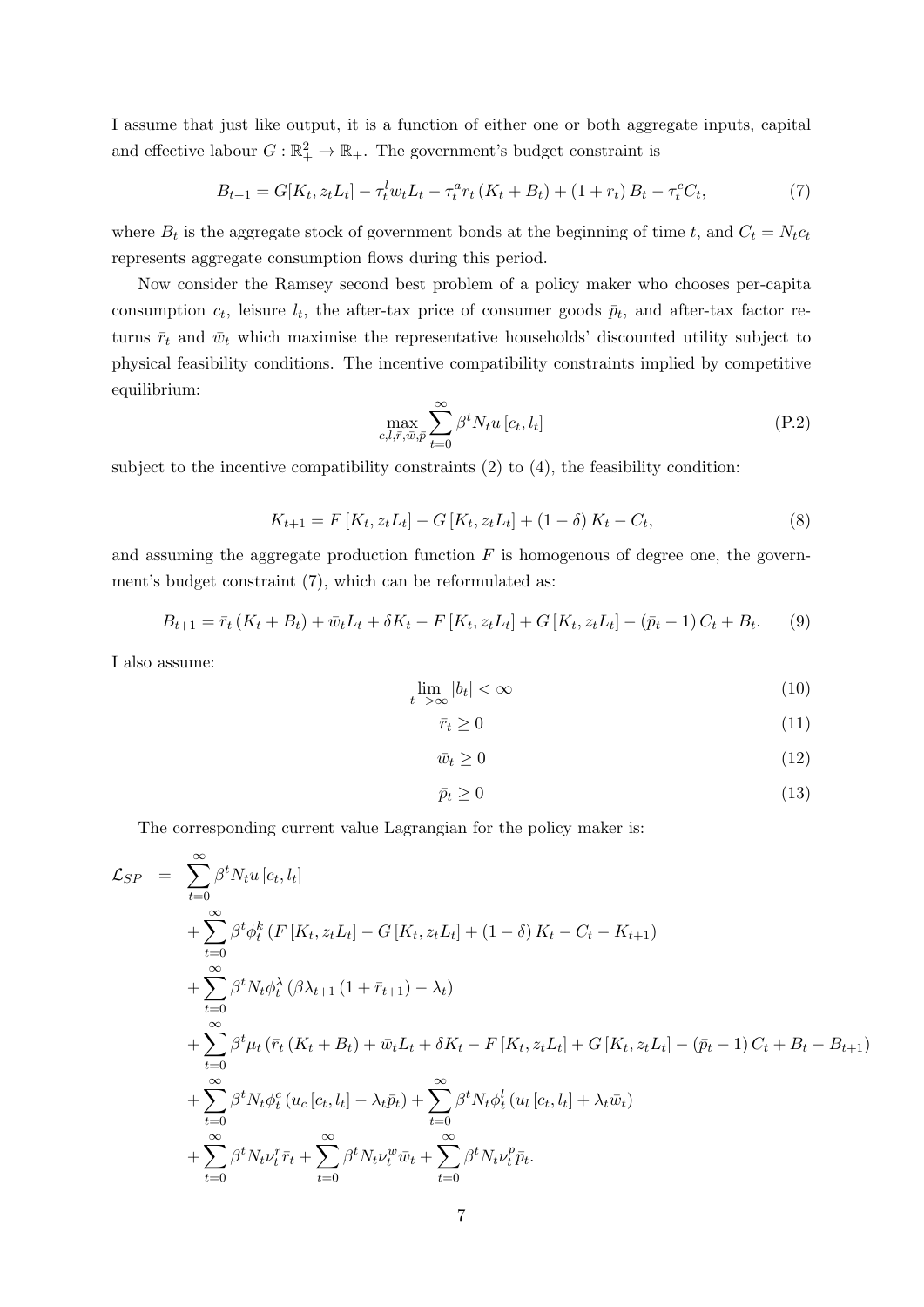I assume that just like output, it is a function of either one or both aggregate inputs, capital and effective labour  $G: \mathbb{R}_+^2 \to \mathbb{R}_+$ . The government's budget constraint is

$$
B_{t+1} = G[K_t, z_t L_t] - \tau_t^l w_t L_t - \tau_t^a r_t (K_t + B_t) + (1 + r_t) B_t - \tau_t^c C_t,
$$
\n<sup>(7)</sup>

where  $B_t$  is the aggregate stock of government bonds at the beginning of time t, and  $C_t = N_t c_t$ represents aggregate consumption flows during this period.

Now consider the Ramsey second best problem of a policy maker who chooses per-capita consumption  $c_t$ , leisure  $l_t$ , the after-tax price of consumer goods  $\bar{p}_t$ , and after-tax factor returns  $\bar{r}_t$  and  $\bar{w}_t$  which maximise the representative households' discounted utility subject to physical feasibility conditions. The incentive compatibility constraints implied by competitive equilibrium:

$$
\max_{c,l,\bar{r},\bar{w},\bar{p}} \sum_{t=0}^{\infty} \beta^t N_t u \left[ c_t, l_t \right] \tag{P.2}
$$

subject to the incentive compatibility constraints  $(2)$  to  $(4)$ , the feasibility condition:

$$
K_{t+1} = F[K_t, z_t L_t] - G[K_t, z_t L_t] + (1 - \delta) K_t - C_t,
$$
\n(8)

and assuming the aggregate production function  $F$  is homogenous of degree one, the government's budget constraint (7), which can be reformulated as:

$$
B_{t+1} = \bar{r}_t (K_t + B_t) + \bar{w}_t L_t + \delta K_t - F[K_t, z_t L_t] + G[K_t, z_t L_t] - (\bar{p}_t - 1) C_t + B_t.
$$
 (9)

I also assume:

$$
\lim_{t \to \infty} |b_t| < \infty \tag{10}
$$

$$
\bar{r}_t \ge 0 \tag{11}
$$

$$
\bar{w}_t \ge 0 \tag{12}
$$

$$
\bar{p}_t \ge 0 \tag{13}
$$

The corresponding current value Lagrangian for the policy maker is:

$$
\mathcal{L}_{SP} = \sum_{t=0}^{\infty} \beta^{t} N_{t} u [c_{t}, l_{t}] \n+ \sum_{t=0}^{\infty} \beta^{t} \phi_{t}^{k} (F[K_{t}, z_{t} L_{t}] - G[K_{t}, z_{t} L_{t}] + (1 - \delta) K_{t} - C_{t} - K_{t+1}) \n+ \sum_{t=0}^{\infty} \beta^{t} N_{t} \phi_{t}^{\lambda} (\beta \lambda_{t+1} (1 + \bar{r}_{t+1}) - \lambda_{t}) \n+ \sum_{t=0}^{\infty} \beta^{t} \mu_{t} (\bar{r}_{t} (K_{t} + B_{t}) + \bar{w}_{t} L_{t} + \delta K_{t} - F[K_{t}, z_{t} L_{t}] + G[K_{t}, z_{t} L_{t}] - (\bar{p}_{t} - 1) C_{t} + B_{t} - B_{t+1}) \n+ \sum_{t=0}^{\infty} \beta^{t} N_{t} \phi_{t}^{c} (u_{c} [c_{t}, l_{t}] - \lambda_{t} \bar{p}_{t}) + \sum_{t=0}^{\infty} \beta^{t} N_{t} \phi_{t}^{l} (u_{l} [c_{t}, l_{t}] + \lambda_{t} \bar{w}_{t}) \n+ \sum_{t=0}^{\infty} \beta^{t} N_{t} \nu_{t}^{r} \bar{r}_{t} + \sum_{t=0}^{\infty} \beta^{t} N_{t} \nu_{t}^{w} \bar{w}_{t} + \sum_{t=0}^{\infty} \beta^{t} N_{t} \nu_{t}^{p} \bar{p}_{t}.
$$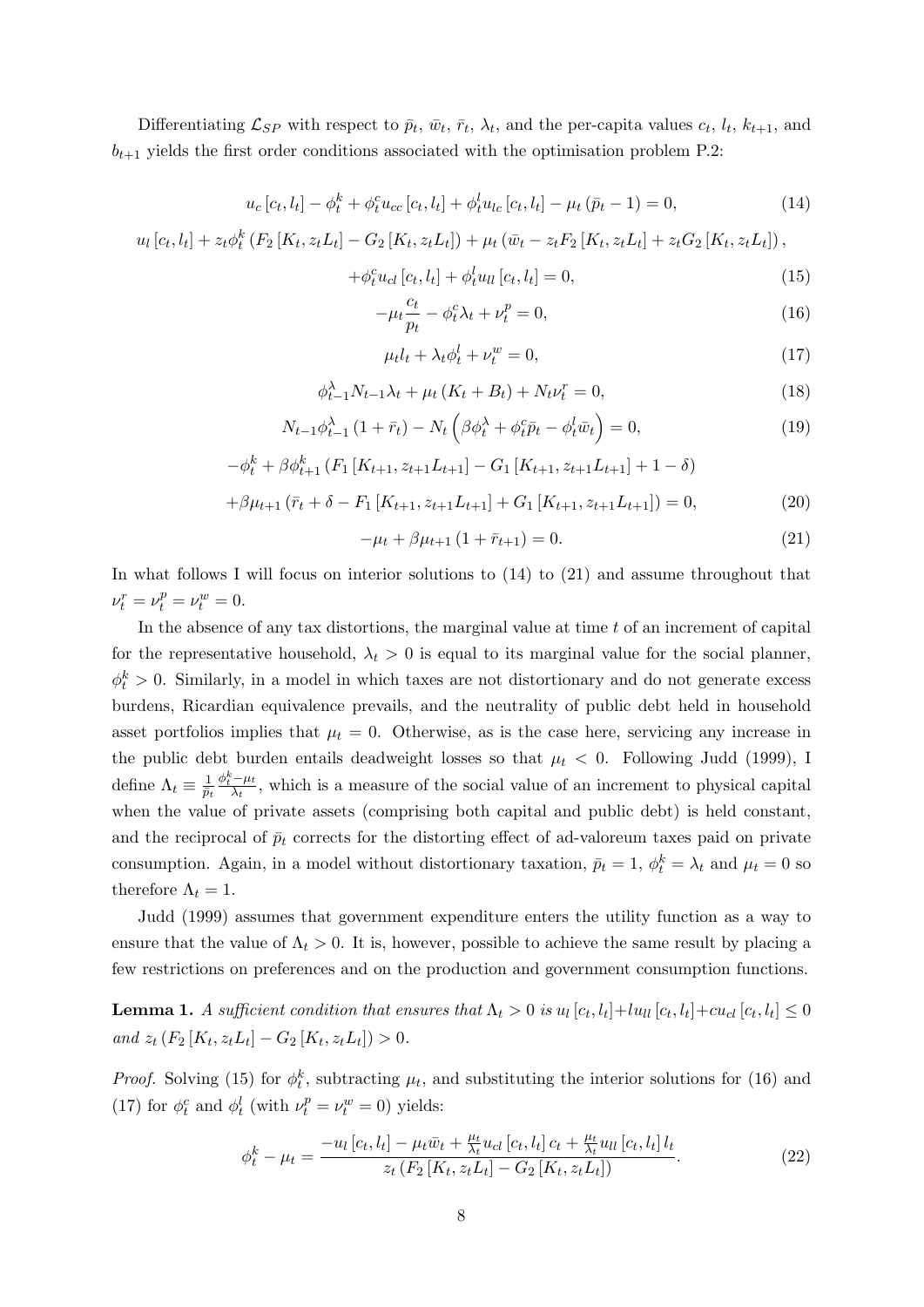Differentiating  $\mathcal{L}_{SP}$  with respect to  $\bar{p}_t$ ,  $\bar{w}_t$ ,  $\bar{r}_t$ ,  $\lambda_t$ , and the per-capita values  $c_t$ ,  $l_t$ ,  $k_{t+1}$ , and  $b_{t+1}$  yields the first order conditions associated with the optimisation problem P.2:

$$
u_c[c_t, l_t] - \phi_t^k + \phi_t^c u_{cc}[c_t, l_t] + \phi_t^l u_{lc}[c_t, l_t] - \mu_t(\bar{p}_t - 1) = 0,
$$
\n(14)

$$
u_{l}[c_{t}, l_{t}] + z_{t}\phi_{t}^{k}(F_{2}[K_{t}, z_{t}L_{t}] - G_{2}[K_{t}, z_{t}L_{t}]) + \mu_{t}(\bar{w}_{t} - z_{t}F_{2}[K_{t}, z_{t}L_{t}] + z_{t}G_{2}[K_{t}, z_{t}L_{t}]),
$$

$$
+\phi_t^c u_{cl}[c_t, l_t] + \phi_t^l u_{ll}[c_t, l_t] = 0,
$$
\n(15)

$$
-\mu_t \frac{c_t}{p_t} - \phi_t^c \lambda_t + \nu_t^p = 0, \qquad (16)
$$

$$
\mu_t l_t + \lambda_t \phi_t^l + \nu_t^w = 0,\tag{17}
$$

$$
\phi_{t-1}^{\lambda} N_{t-1} \lambda_t + \mu_t (K_t + B_t) + N_t \nu_t^r = 0,
$$
\n(18)

$$
N_{t-1}\phi_{t-1}^{\lambda}\left(1+\bar{r}_t\right) - N_t\left(\beta\phi_t^{\lambda} + \phi_t^c\bar{p}_t - \phi_t^l\bar{w}_t\right) = 0,\tag{19}
$$

$$
-\phi_t^k + \beta \phi_{t+1}^k (F_1[K_{t+1}, z_{t+1}L_{t+1}] - G_1[K_{t+1}, z_{t+1}L_{t+1}] + 1 - \delta)
$$

$$
+\beta\mu_{t+1}(\bar{r}_t+\delta-F_1[K_{t+1},z_{t+1}L_{t+1}]+G_1[K_{t+1},z_{t+1}L_{t+1}])=0,
$$
\n(20)

$$
-\mu_t + \beta \mu_{t+1} (1 + \bar{r}_{t+1}) = 0. \tag{21}
$$

In what follows I will focus on interior solutions to (14) to (21) and assume throughout that  $\nu_t^r = \nu_t^p = \nu_t^w = 0.$ 

In the absence of any tax distortions, the marginal value at time  $t$  of an increment of capital for the representative household,  $\lambda_t > 0$  is equal to its marginal value for the social planner,  $\phi_t^k > 0$ . Similarly, in a model in which taxes are not distortionary and do not generate excess burdens, Ricardian equivalence prevails, and the neutrality of public debt held in household asset portfolios implies that  $\mu_t = 0$ . Otherwise, as is the case here, servicing any increase in the public debt burden entails deadweight losses so that  $\mu_t < 0$ . Following Judd (1999), I define  $\Lambda_t \equiv \frac{1}{\bar{n}}$  $\overline{\bar p_t}$  $\phi_t^k - \mu_t$  $\frac{-\mu_t}{\lambda_t}$ , which is a measure of the social value of an increment to physical capital when the value of private assets (comprising both capital and public debt) is held constant, and the reciprocal of  $\bar{p}_t$  corrects for the distorting effect of ad-valoreum taxes paid on private consumption. Again, in a model without distortionary taxation,  $\bar{p}_t = 1$ ,  $\phi_t^k = \lambda_t$  and  $\mu_t = 0$  so therefore  $\Lambda_t = 1$ .

Judd (1999) assumes that government expenditure enters the utility function as a way to ensure that the value of  $\Lambda_t > 0$ . It is, however, possible to achieve the same result by placing a few restrictions on preferences and on the production and government consumption functions.

**Lemma 1.** A sufficient condition that ensures that  $\Lambda_t > 0$  is  $u_l[c_t, l_t] + l u_{ll}[c_t, l_t] + c u_{cl}[c_t, l_t] \leq 0$ and  $z_t$   $(F_2[K_t, z_t L_t] - G_2[K_t, z_t L_t]) > 0.$ 

*Proof.* Solving (15) for  $\phi_t^k$ , subtracting  $\mu_t$ , and substituting the interior solutions for (16) and (17) for  $\phi_t^c$  and  $\phi_t^l$  (with  $\nu_t^p = \nu_t^w = 0$ ) yields:

$$
\phi_t^k - \mu_t = \frac{-u_l [c_t, l_t] - \mu_t \bar{w}_t + \frac{\mu_t}{\lambda_t} u_{cl} [c_t, l_t] c_t + \frac{\mu_t}{\lambda_t} u_{ll} [c_t, l_t] l_t}{z_t (F_2 [K_t, z_t L_t] - G_2 [K_t, z_t L_t])}.
$$
\n(22)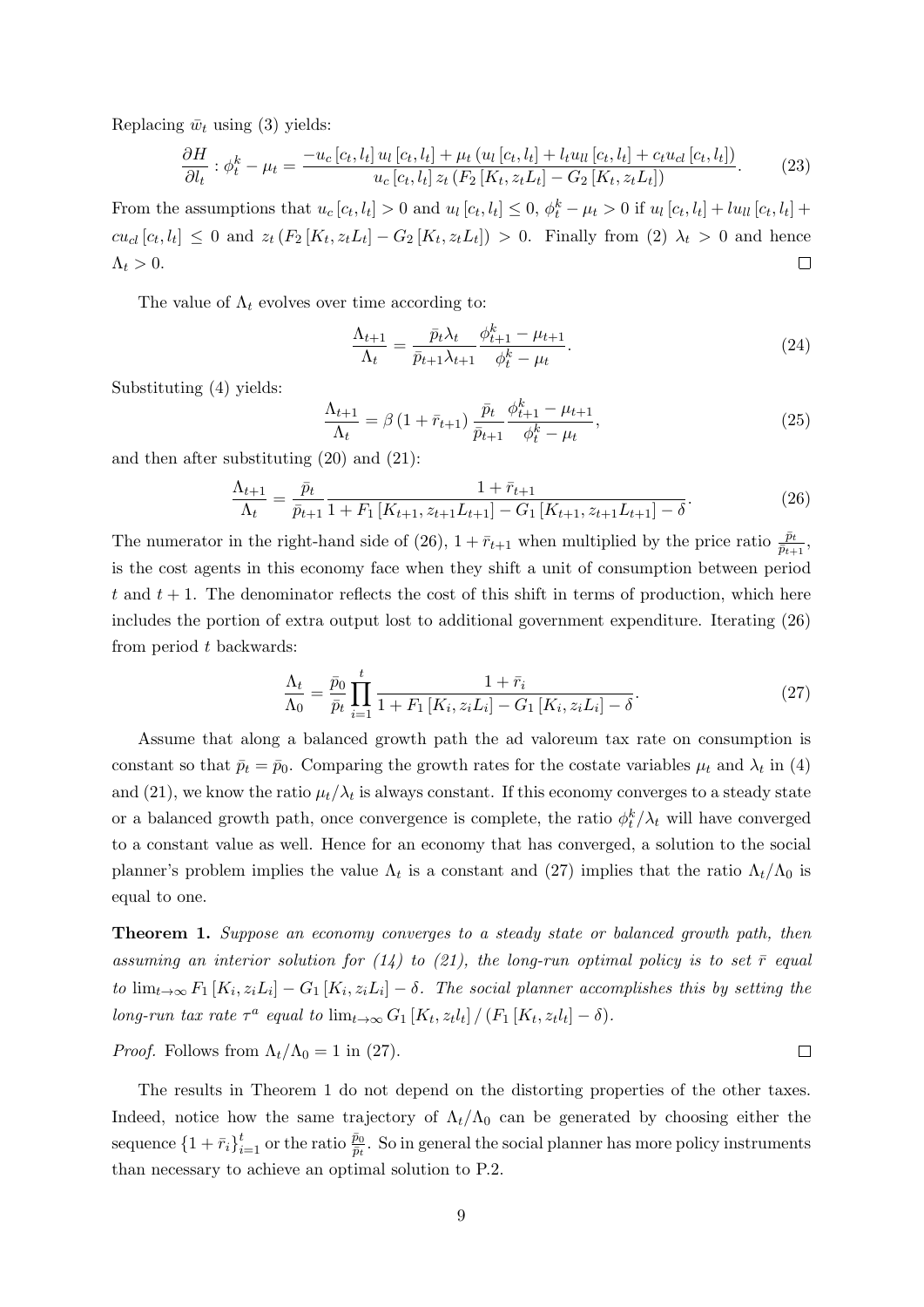Replacing  $\bar{w}_t$  using (3) yields:

$$
\frac{\partial H}{\partial l_t} : \phi_t^k - \mu_t = \frac{-u_c [c_t, l_t] u_l [c_t, l_t] + \mu_t (u_l [c_t, l_t] + l_t u_{ll} [c_t, l_t] + c_t u_{cl} [c_t, l_t])}{u_c [c_t, l_t] z_t (F_2 [K_t, z_t L_t] - G_2 [K_t, z_t L_t])}.
$$
(23)

From the assumptions that  $u_c [c_t, l_t] > 0$  and  $u_l [c_t, l_t] \leq 0$ ,  $\phi_t^k - \mu_t > 0$  if  $u_l [c_t, l_t] + l u_{ll} [c_t, l_t] +$  $cu_{cl}[c_t, l_t] \leq 0$  and  $z_t(F_2[K_t, z_t L_t] - G_2[K_t, z_t L_t]) > 0$ . Finally from (2)  $\lambda_t > 0$  and hence  $\Lambda_t > 0$ .  $\Box$ 

The value of  $\Lambda_t$  evolves over time according to:

$$
\frac{\Lambda_{t+1}}{\Lambda_t} = \frac{\bar{p}_t \lambda_t}{\bar{p}_{t+1} \lambda_{t+1}} \frac{\phi_{t+1}^k - \mu_{t+1}}{\phi_t^k - \mu_t}.
$$
\n(24)

Substituting (4) yields:

$$
\frac{\Lambda_{t+1}}{\Lambda_t} = \beta \left( 1 + \bar{r}_{t+1} \right) \frac{\bar{p}_t}{\bar{p}_{t+1}} \frac{\phi_{t+1}^k - \mu_{t+1}}{\phi_t^k - \mu_t},\tag{25}
$$

and then after substituting (20) and (21):

$$
\frac{\Lambda_{t+1}}{\Lambda_t} = \frac{\bar{p}_t}{\bar{p}_{t+1}} \frac{1 + \bar{r}_{t+1}}{1 + F_1 \left[ K_{t+1}, z_{t+1} L_{t+1} \right] - G_1 \left[ K_{t+1}, z_{t+1} L_{t+1} \right] - \delta}.
$$
\n(26)

The numerator in the right-hand side of (26),  $1 + \bar{r}_{t+1}$  when multiplied by the price ratio  $\frac{\bar{p}_t}{\bar{p}_{t+1}}$ , is the cost agents in this economy face when they shift a unit of consumption between period t and  $t + 1$ . The denominator reflects the cost of this shift in terms of production, which here includes the portion of extra output lost to additional government expenditure. Iterating (26) from period t backwards:

$$
\frac{\Lambda_t}{\Lambda_0} = \frac{\bar{p}_0}{\bar{p}_t} \prod_{i=1}^t \frac{1 + \bar{r}_i}{1 + F_1 \left[ K_i, z_i L_i \right] - G_1 \left[ K_i, z_i L_i \right] - \delta}.
$$
\n(27)

 $\Box$ 

Assume that along a balanced growth path the ad valoreum tax rate on consumption is constant so that  $\bar{p}_t = \bar{p}_0$ . Comparing the growth rates for the costate variables  $\mu_t$  and  $\lambda_t$  in (4) and (21), we know the ratio  $\mu_t/\lambda_t$  is always constant. If this economy converges to a steady state or a balanced growth path, once convergence is complete, the ratio  $\phi_t^k/\lambda_t$  will have converged to a constant value as well. Hence for an economy that has converged, a solution to the social planner's problem implies the value  $\Lambda_t$  is a constant and (27) implies that the ratio  $\Lambda_t/\Lambda_0$  is equal to one.

**Theorem 1.** Suppose an economy converges to a steady state or balanced growth path, then assuming an interior solution for (14) to (21), the long-run optimal policy is to set  $\bar{r}$  equal to  $\lim_{t\to\infty} F_1[K_i, z_i L_i] - G_1[K_i, z_i L_i] - \delta$ . The social planner accomplishes this by setting the long-run tax rate  $\tau^a$  equal to  $\lim_{t\to\infty} G_1[K_t, z_t l_t] / (F_1[K_t, z_t l_t] - \delta).$ 

*Proof.* Follows from  $\Lambda_t/\Lambda_0 = 1$  in (27).

The results in Theorem 1 do not depend on the distorting properties of the other taxes. Indeed, notice how the same trajectory of  $\Lambda_t/\Lambda_0$  can be generated by choosing either the sequence  $\{1 + \bar{r}_i\}_{i=1}^t$  or the ratio  $\frac{\bar{p}_0}{\bar{p}_t}$ . So in general the social planner has more policy instruments than necessary to achieve an optimal solution to P.2.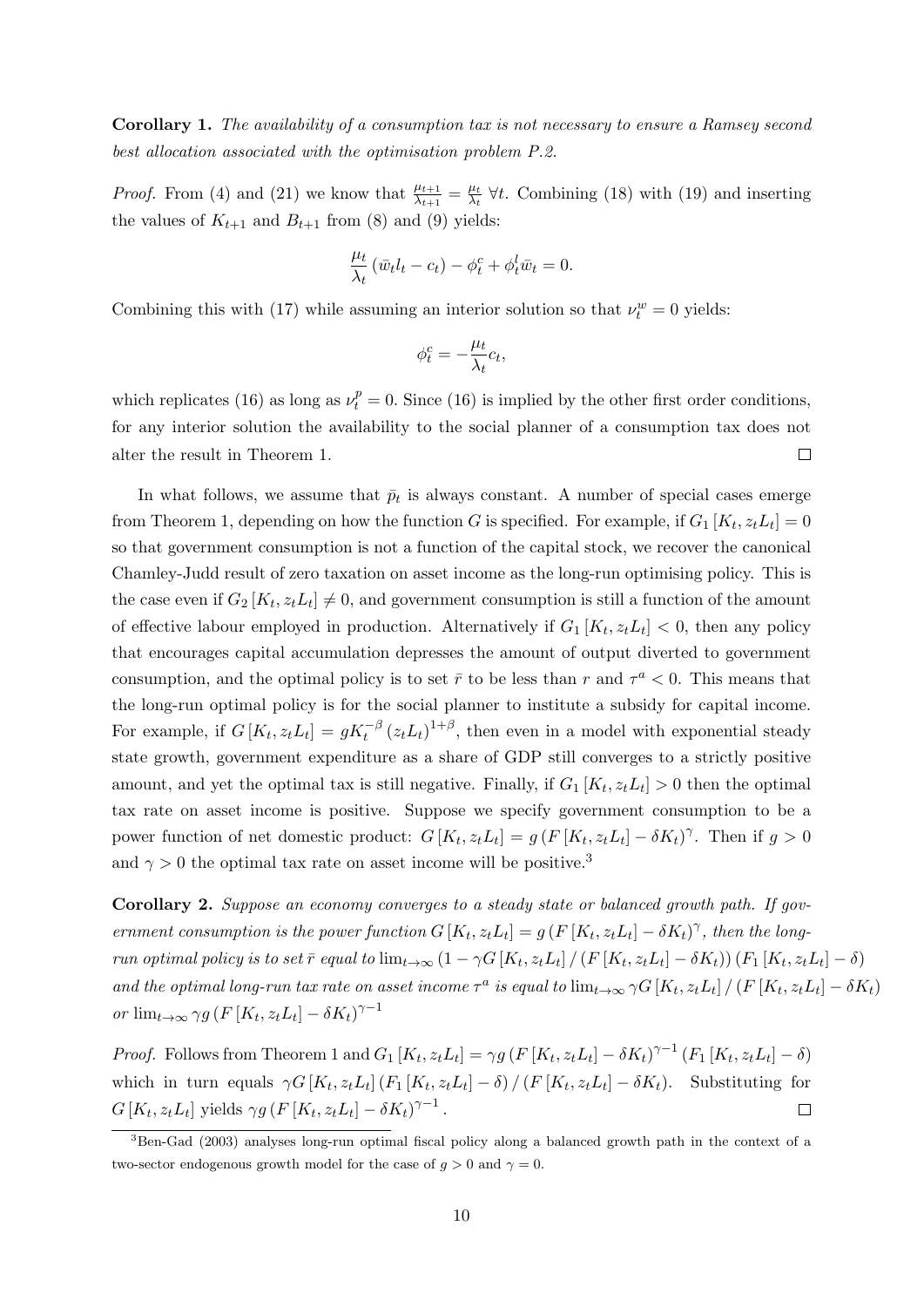Corollary 1. The availability of a consumption tax is not necessary to ensure a Ramsey second best allocation associated with the optimisation problem P.2.

*Proof.* From (4) and (21) we know that  $\frac{\mu_{t+1}}{\lambda_{t+1}} = \frac{\mu_t}{\lambda_t}$  $\frac{\mu_t}{\lambda_t}$   $\forall t$ . Combining (18) with (19) and inserting the values of  $K_{t+1}$  and  $B_{t+1}$  from (8) and (9) yields:

$$
\frac{\mu_t}{\lambda_t} \left( \bar{w}_t l_t - c_t \right) - \phi_t^c + \phi_t^l \bar{w}_t = 0.
$$

Combining this with (17) while assuming an interior solution so that  $\nu_t^w = 0$  yields:

$$
\phi_t^c = -\frac{\mu_t}{\lambda_t}c_t,
$$

which replicates (16) as long as  $\nu_t^p = 0$ . Since (16) is implied by the other first order conditions, for any interior solution the availability to the social planner of a consumption tax does not alter the result in Theorem 1.  $\Box$ 

In what follows, we assume that  $\bar{p}_t$  is always constant. A number of special cases emerge from Theorem 1, depending on how the function G is specified. For example, if  $G_1[K_t, z_t L_t] = 0$ so that government consumption is not a function of the capital stock, we recover the canonical Chamley-Judd result of zero taxation on asset income as the long-run optimising policy. This is the case even if  $G_2[K_t, z_t L_t] \neq 0$ , and government consumption is still a function of the amount of effective labour employed in production. Alternatively if  $G_1[K_t, z_t L_t] < 0$ , then any policy that encourages capital accumulation depresses the amount of output diverted to government consumption, and the optimal policy is to set  $\bar{r}$  to be less than r and  $\tau^a < 0$ . This means that the long-run optimal policy is for the social planner to institute a subsidy for capital income. For example, if  $G[K_t, z_t L_t] = gK_t^{-\beta} (z_t L_t)^{1+\beta}$ , then even in a model with exponential steady state growth, government expenditure as a share of GDP still converges to a strictly positive amount, and yet the optimal tax is still negative. Finally, if  $G_1[K_t, z_t L_t] > 0$  then the optimal tax rate on asset income is positive. Suppose we specify government consumption to be a power function of net domestic product:  $G[K_t, z_t L_t] = g(F[K_t, z_t L_t] - \delta K_t)^\gamma$ . Then if  $g > 0$ and  $\gamma > 0$  the optimal tax rate on asset income will be positive.<sup>3</sup>

Corollary 2. Suppose an economy converges to a steady state or balanced growth path. If government consumption is the power function  $G[K_t, z_t L_t] = g(F[K_t, z_t L_t] - \delta K_t)^\gamma$ , then the longrun optimal policy is to set  $\bar{r}$  equal to  $\lim_{t\to\infty} (1-\gamma G[K_t,z_t L_t] / (F[K_t,z_t L_t]-\delta K_t)) (F_1[K_t,z_t L_t]-\delta)$ and the optimal long-run tax rate on asset income  $\tau^a$  is equal to  $\lim_{t\to\infty} \gamma G[K_t, z_t L_t] / (F[K_t, z_t L_t] - \delta K_t)$ or  $\lim_{t\to\infty} \gamma g\left(F\left[K_t, z_t L_t\right] - \delta K_t\right)^{\gamma-1}$ 

*Proof.* Follows from Theorem 1 and  $G_1[K_t, z_t L_t] = \gamma g (F[K_t, z_t L_t] - \delta K_t)^{\gamma-1} (F_1[K_t, z_t L_t] - \delta)$ which in turn equals  $\gamma G\left[K_t, z_t L_t\right] (F_1\left[K_t, z_t L_t\right] - \delta) / (F\left[K_t, z_t L_t\right] - \delta K_t)$ . Substituting for  $G[K_t, z_t L_t]$  yields  $\gamma g(F[K_t, z_t L_t] - \delta K_t)^{\gamma - 1}$ .  $\Box$ 

<sup>&</sup>lt;sup>3</sup>Ben-Gad (2003) analyses long-run optimal fiscal policy along a balanced growth path in the context of a two-sector endogenous growth model for the case of  $q > 0$  and  $\gamma = 0$ .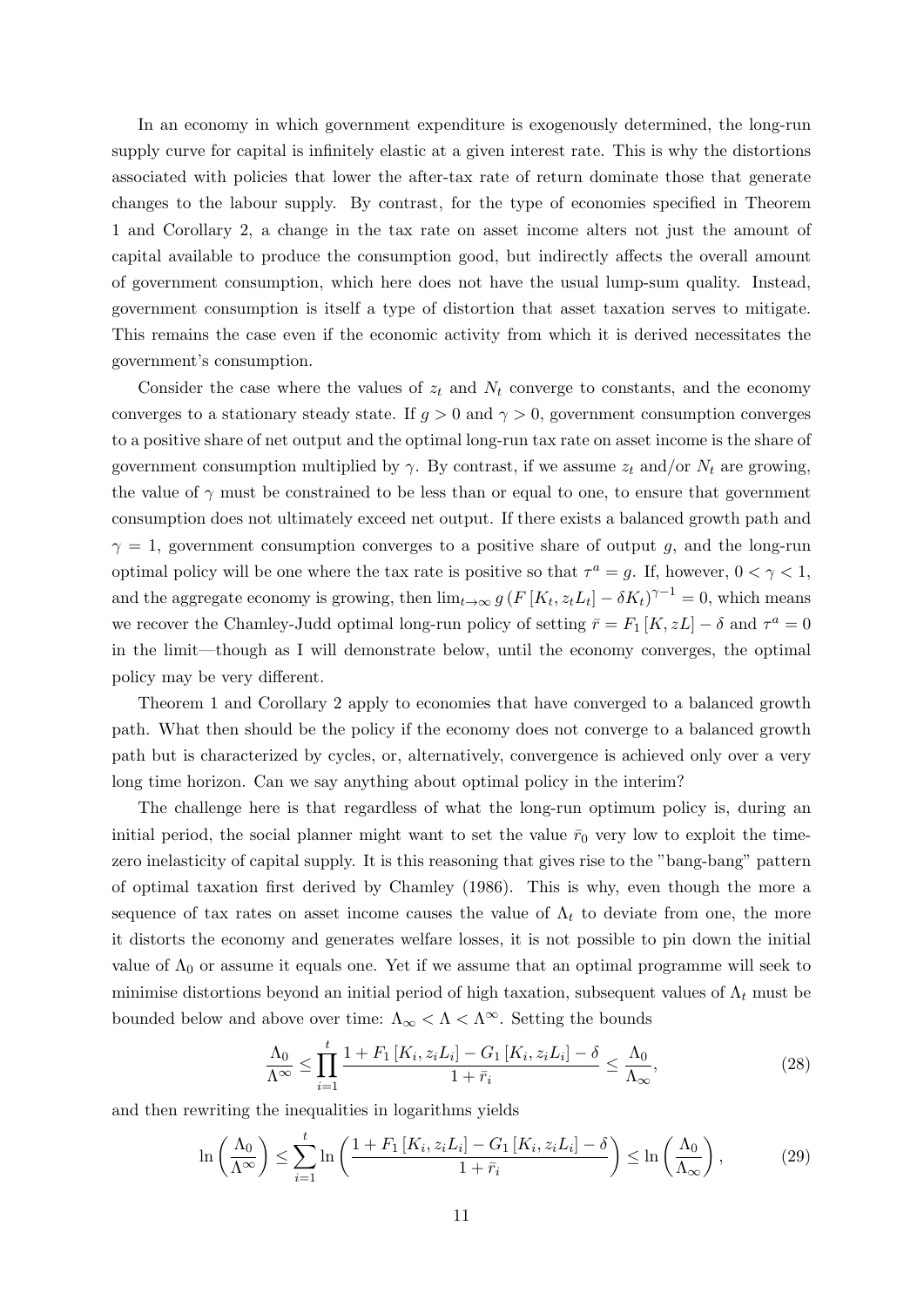In an economy in which government expenditure is exogenously determined, the long-run supply curve for capital is infinitely elastic at a given interest rate. This is why the distortions associated with policies that lower the after-tax rate of return dominate those that generate changes to the labour supply. By contrast, for the type of economies specified in Theorem 1 and Corollary 2, a change in the tax rate on asset income alters not just the amount of capital available to produce the consumption good, but indirectly affects the overall amount of government consumption, which here does not have the usual lump-sum quality. Instead, government consumption is itself a type of distortion that asset taxation serves to mitigate. This remains the case even if the economic activity from which it is derived necessitates the government's consumption.

Consider the case where the values of  $z_t$  and  $N_t$  converge to constants, and the economy converges to a stationary steady state. If  $g > 0$  and  $\gamma > 0$ , government consumption converges to a positive share of net output and the optimal long-run tax rate on asset income is the share of government consumption multiplied by  $\gamma$ . By contrast, if we assume  $z_t$  and/or  $N_t$  are growing, the value of  $\gamma$  must be constrained to be less than or equal to one, to ensure that government consumption does not ultimately exceed net output. If there exists a balanced growth path and  $\gamma = 1$ , government consumption converges to a positive share of output g, and the long-run optimal policy will be one where the tax rate is positive so that  $\tau^a = g$ . If, however,  $0 < \gamma < 1$ , and the aggregate economy is growing, then  $\lim_{t\to\infty} g(F[K_t, z_t L_t] - \delta K_t)^{\gamma-1} = 0$ , which means we recover the Chamley-Judd optimal long-run policy of setting  $\bar{r} = F_1 [K, zL] - \delta$  and  $\tau^a = 0$ in the limit—though as I will demonstrate below, until the economy converges, the optimal policy may be very different.

Theorem 1 and Corollary 2 apply to economies that have converged to a balanced growth path. What then should be the policy if the economy does not converge to a balanced growth path but is characterized by cycles, or, alternatively, convergence is achieved only over a very long time horizon. Can we say anything about optimal policy in the interim?

The challenge here is that regardless of what the long-run optimum policy is, during an initial period, the social planner might want to set the value  $\bar{r}_0$  very low to exploit the timezero inelasticity of capital supply. It is this reasoning that gives rise to the "bang-bang" pattern of optimal taxation first derived by Chamley (1986). This is why, even though the more a sequence of tax rates on asset income causes the value of  $\Lambda_t$  to deviate from one, the more it distorts the economy and generates welfare losses, it is not possible to pin down the initial value of  $\Lambda_0$  or assume it equals one. Yet if we assume that an optimal programme will seek to minimise distortions beyond an initial period of high taxation, subsequent values of  $\Lambda_t$  must be bounded below and above over time:  $\Lambda_{\infty} < \Lambda < \Lambda^{\infty}$ . Setting the bounds

$$
\frac{\Lambda_0}{\Lambda^{\infty}} \le \prod_{i=1}^t \frac{1 + F_1\left[K_i, z_i L_i\right] - G_1\left[K_i, z_i L_i\right] - \delta}{1 + \bar{r}_i} \le \frac{\Lambda_0}{\Lambda_{\infty}},\tag{28}
$$

and then rewriting the inequalities in logarithms yields

$$
\ln\left(\frac{\Lambda_0}{\Lambda^{\infty}}\right) \le \sum_{i=1}^t \ln\left(\frac{1 + F_1\left[K_i, z_i L_i\right] - G_1\left[K_i, z_i L_i\right] - \delta}{1 + \bar{r}_i}\right) \le \ln\left(\frac{\Lambda_0}{\Lambda_{\infty}}\right),\tag{29}
$$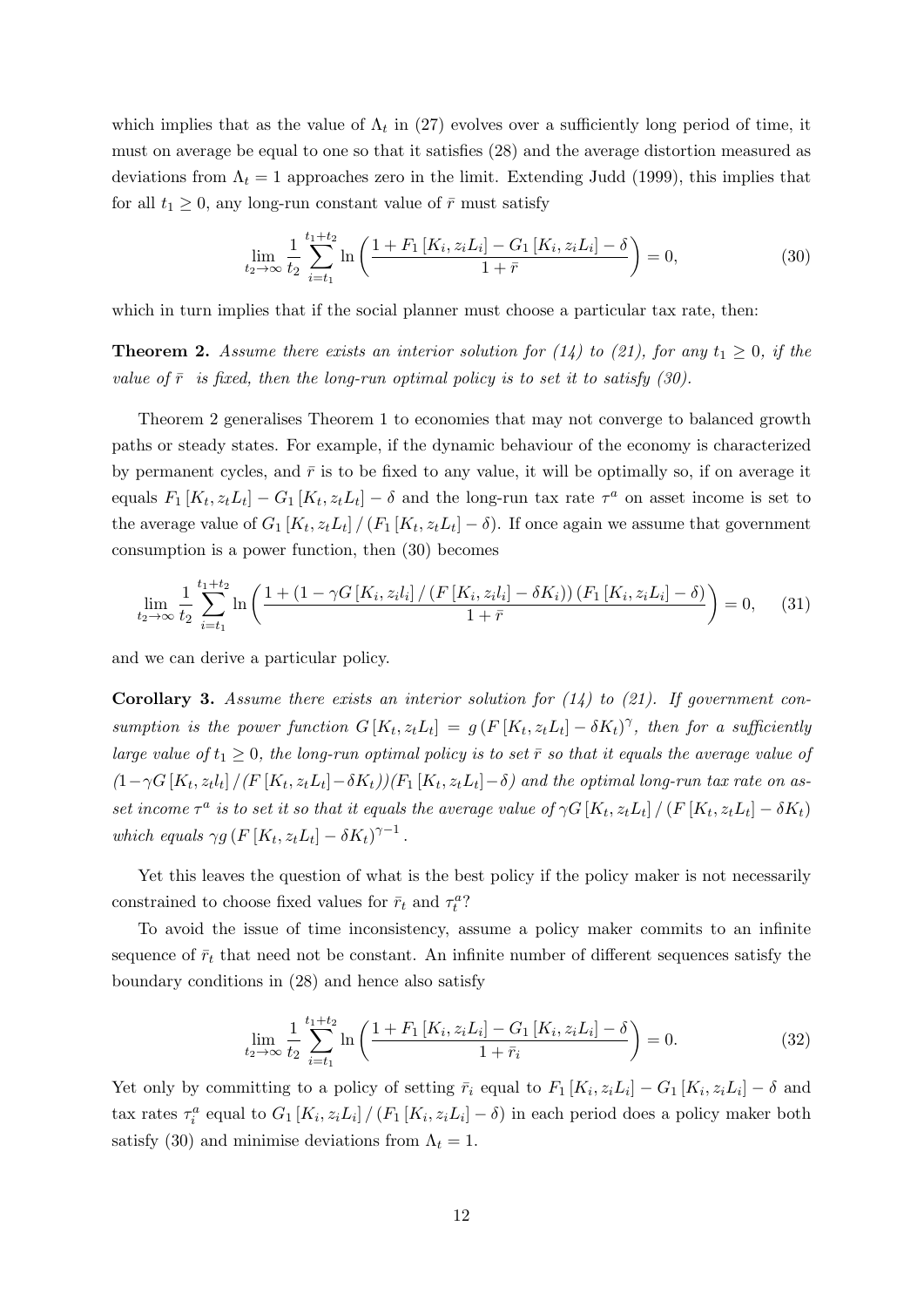which implies that as the value of  $\Lambda_t$  in (27) evolves over a sufficiently long period of time, it must on average be equal to one so that it satisfies (28) and the average distortion measured as deviations from  $\Lambda_t = 1$  approaches zero in the limit. Extending Judd (1999), this implies that for all  $t_1 \geq 0$ , any long-run constant value of  $\bar{r}$  must satisfy

$$
\lim_{t_2 \to \infty} \frac{1}{t_2} \sum_{i=t_1}^{t_1+t_2} \ln\left(\frac{1 + F_1\left[K_i, z_i L_i\right] - G_1\left[K_i, z_i L_i\right] - \delta}{1 + \bar{r}}\right) = 0,\tag{30}
$$

which in turn implies that if the social planner must choose a particular tax rate, then:

**Theorem 2.** Assume there exists an interior solution for (14) to (21), for any  $t_1 \geq 0$ , if the value of  $\bar{r}$  is fixed, then the long-run optimal policy is to set it to satisfy (30).

Theorem 2 generalises Theorem 1 to economies that may not converge to balanced growth paths or steady states. For example, if the dynamic behaviour of the economy is characterized by permanent cycles, and  $\bar{r}$  is to be fixed to any value, it will be optimally so, if on average it equals  $F_1[K_t, z_t L_t] - G_1[K_t, z_t L_t] - \delta$  and the long-run tax rate  $\tau^a$  on asset income is set to the average value of  $G_1[K_t, z_t L_t] / (F_1[K_t, z_t L_t] - \delta)$ . If once again we assume that government consumption is a power function, then (30) becomes

$$
\lim_{t_2 \to \infty} \frac{1}{t_2} \sum_{i=t_1}^{t_1+t_2} \ln \left( \frac{1 + (1 - \gamma G\left[K_i, z_i l_i\right] / \left(F\left[K_i, z_i l_i\right] - \delta K_i\right)\right) \left(F_1\left[K_i, z_i L_i\right] - \delta\right)}{1 + \bar{r}} \right) = 0, \quad (31)
$$

and we can derive a particular policy.

**Corollary 3.** Assume there exists an interior solution for  $(14)$  to  $(21)$ . If government consumption is the power function  $G[K_t, z_t L_t] = g(F[K_t, z_t L_t] - \delta K_t)^\gamma$ , then for a sufficiently large value of  $t_1 \geq 0$ , the long-run optimal policy is to set  $\bar{r}$  so that it equals the average value of  $(1-\gamma G\left[K_t,z_t l_t\right]/(F\left[K_t,z_t L_t\right]-\delta K_t)/(F_1\left[K_t,z_t L_t\right]-\delta)$  and the optimal long-run tax rate on asset income  $\tau^a$  is to set it so that it equals the average value of  $\gamma G\left[K_t, z_t L_t\right] / \left(F\left[K_t, z_t L_t\right] - \delta K_t\right)$ which equals  $\gamma g(F[K_t, z_t L_t] - \delta K_t)^{\gamma - 1}$ .

Yet this leaves the question of what is the best policy if the policy maker is not necessarily constrained to choose fixed values for  $\bar{r}_t$  and  $\tau_t^a$ ?

To avoid the issue of time inconsistency, assume a policy maker commits to an infinite sequence of  $\bar{r}_t$  that need not be constant. An infinite number of different sequences satisfy the boundary conditions in (28) and hence also satisfy

$$
\lim_{t_2 \to \infty} \frac{1}{t_2} \sum_{i=t_1}^{t_1+t_2} \ln \left( \frac{1 + F_1 \left[ K_i, z_i L_i \right] - G_1 \left[ K_i, z_i L_i \right] - \delta}{1 + \bar{r}_i} \right) = 0. \tag{32}
$$

Yet only by committing to a policy of setting  $\bar{r}_i$  equal to  $F_1[K_i, z_i L_i] - G_1[K_i, z_i L_i] - \delta$  and tax rates  $\tau_i^a$  equal to  $G_1[K_i, z_i L_i] / (F_1[K_i, z_i L_i] - \delta)$  in each period does a policy maker both satisfy (30) and minimise deviations from  $\Lambda_t = 1$ .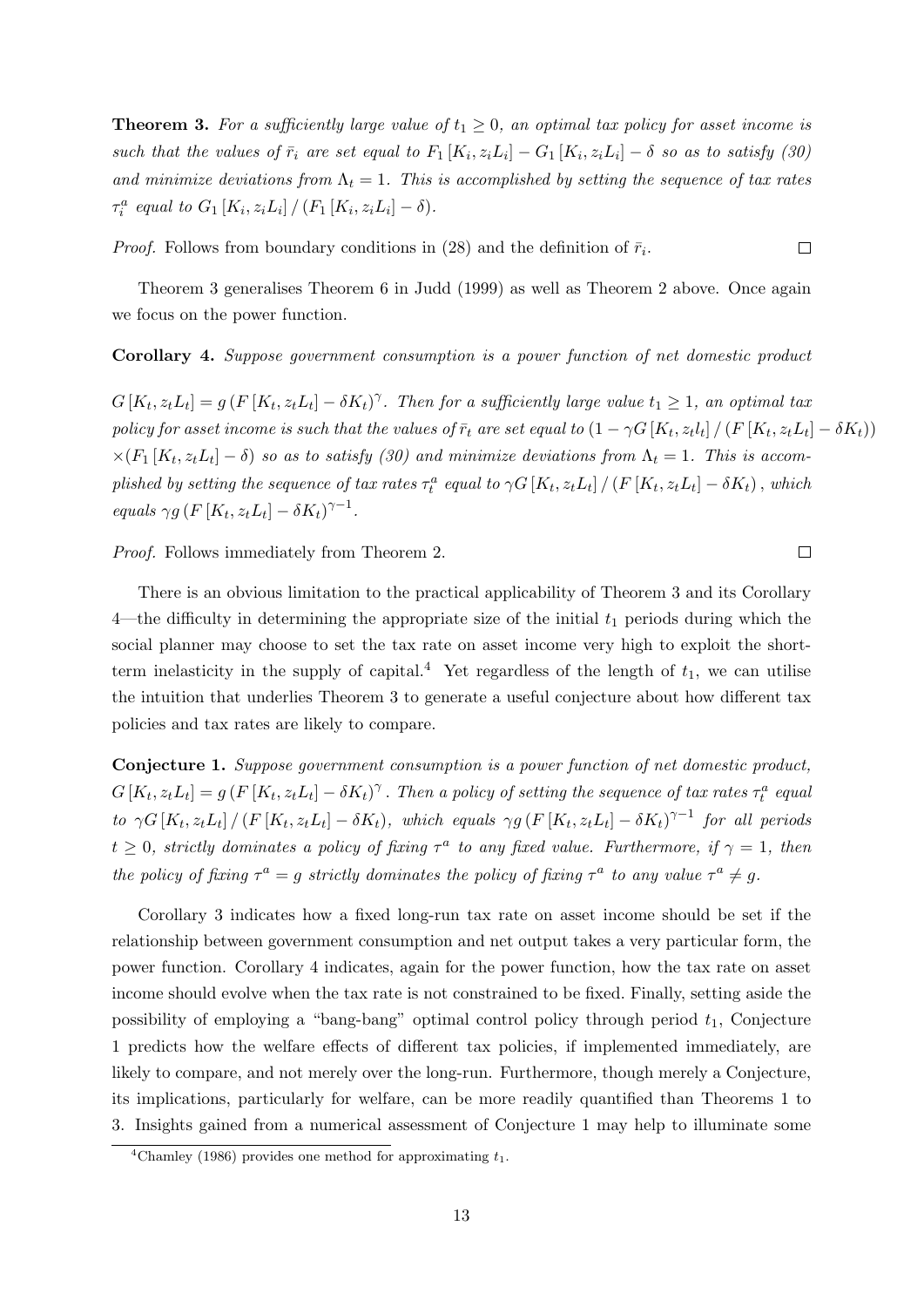**Theorem 3.** For a sufficiently large value of  $t_1 \geq 0$ , an optimal tax policy for asset income is such that the values of  $\bar{r}_i$  are set equal to  $F_1[K_i, z_i L_i] - G_1[K_i, z_i L_i] - \delta$  so as to satisfy (30) and minimize deviations from  $\Lambda_t = 1$ . This is accomplished by setting the sequence of tax rates  $\tau_i^a$  equal to  $G_1[K_i, z_i L_i] / (F_1[K_i, z_i L_i] - \delta).$ 

*Proof.* Follows from boundary conditions in (28) and the definition of  $\bar{r}_i$ .

Theorem 3 generalises Theorem 6 in Judd (1999) as well as Theorem 2 above. Once again we focus on the power function.

#### Corollary 4. Suppose government consumption is a power function of net domestic product

 $G[K_t, z_t L_t] = g(F[K_t, z_t L_t] - \delta K_t)^\gamma$ . Then for a sufficiently large value  $t_1 \geq 1$ , an optimal tax policy for asset income is such that the values of  $\bar{r}_t$  are set equal to  $(1 - \gamma G[K_t, z_t l_t] / (F[K_t, z_t L_t] - \delta K_t))$  $\times (F_1[K_t,z_t L_t]-\delta)$  so as to satisfy (30) and minimize deviations from  $\Lambda_t=1$ . This is accomplished by setting the sequence of tax rates  $\tau_t^a$  equal to  $\gamma G[K_t, z_t L_t] / (F[K_t, z_t L_t] - \delta K_t)$ , which equals  $\gamma g(F[K_t, z_t L_t] - \delta K_t)^{\gamma - 1}$ .

Proof. Follows immediately from Theorem 2.

There is an obvious limitation to the practical applicability of Theorem 3 and its Corollary 4—the difficulty in determining the appropriate size of the initial  $t_1$  periods during which the social planner may choose to set the tax rate on asset income very high to exploit the shortterm inelasticity in the supply of capital.<sup>4</sup> Yet regardless of the length of  $t_1$ , we can utilise the intuition that underlies Theorem 3 to generate a useful conjecture about how different tax policies and tax rates are likely to compare.

Conjecture 1. Suppose government consumption is a power function of net domestic product,  $G[K_t, z_t L_t] = g(F[K_t, z_t L_t] - \delta K_t)^\gamma$ . Then a policy of setting the sequence of tax rates  $\tau_t^a$  equal to  $\gamma G\left[K_t, z_t L_t\right] / \left(F\left[K_t, z_t L_t\right] - \delta K_t\right)$ , which equals  $\gamma g\left(F\left[K_t, z_t L_t\right] - \delta K_t\right)^{\gamma-1}$  for all periods  $t \geq 0$ , strictly dominates a policy of fixing  $\tau^a$  to any fixed value. Furthermore, if  $\gamma = 1$ , then the policy of fixing  $\tau^a = g$  strictly dominates the policy of fixing  $\tau^a$  to any value  $\tau^a \neq g$ .

Corollary 3 indicates how a fixed long-run tax rate on asset income should be set if the relationship between government consumption and net output takes a very particular form, the power function. Corollary 4 indicates, again for the power function, how the tax rate on asset income should evolve when the tax rate is not constrained to be fixed. Finally, setting aside the possibility of employing a "bang-bang" optimal control policy through period  $t_1$ , Conjecture 1 predicts how the welfare effects of different tax policies, if implemented immediately, are likely to compare, and not merely over the long-run. Furthermore, though merely a Conjecture, its implications, particularly for welfare, can be more readily quantified than Theorems 1 to 3. Insights gained from a numerical assessment of Conjecture 1 may help to illuminate some

 $\Box$ 

 $\Box$ 

<sup>&</sup>lt;sup>4</sup>Chamley (1986) provides one method for approximating  $t_1$ .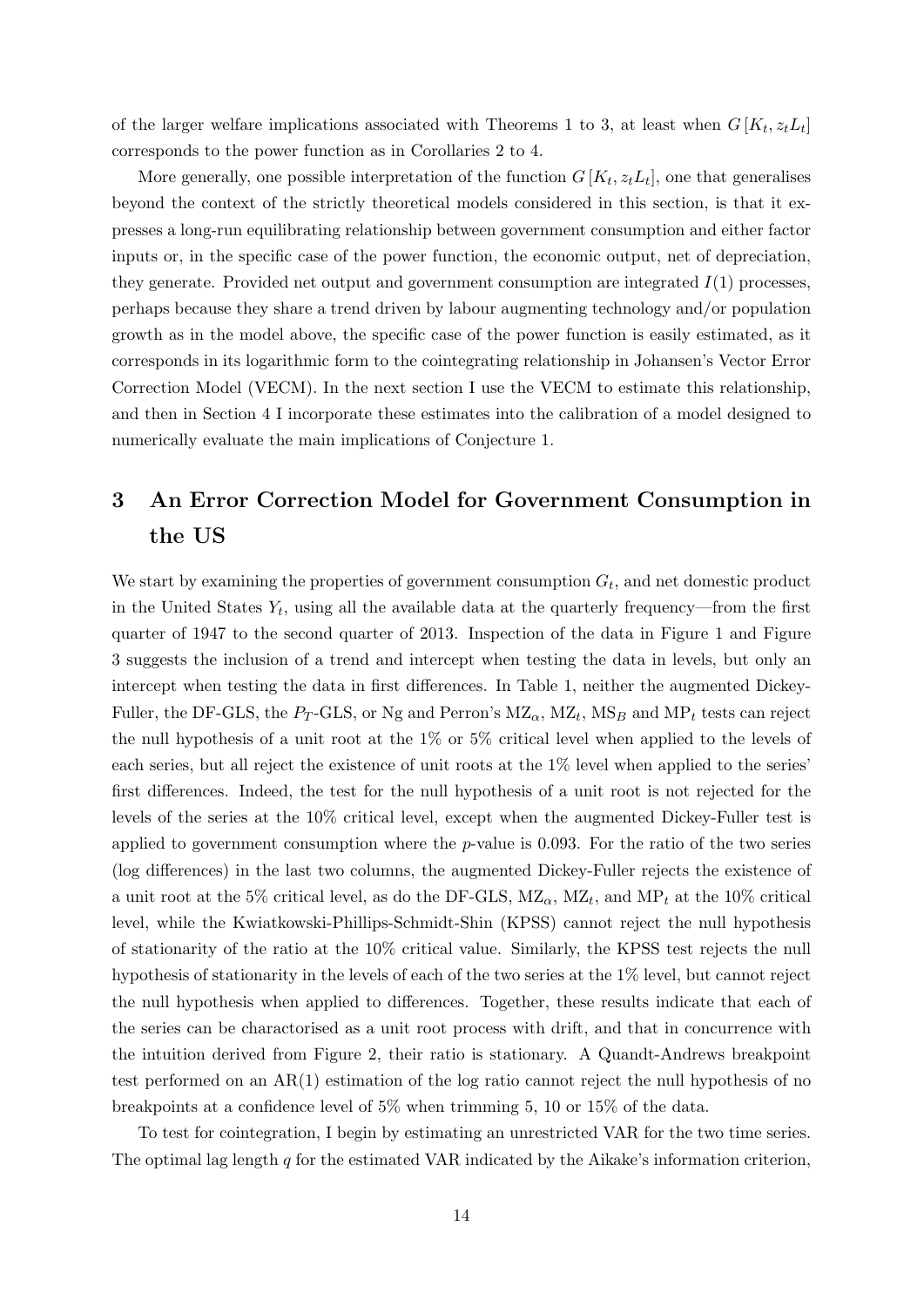of the larger welfare implications associated with Theorems 1 to 3, at least when  $G[K_t, z_t L_t]$ corresponds to the power function as in Corollaries 2 to 4.

More generally, one possible interpretation of the function  $G[K_t, z_t L_t]$ , one that generalises beyond the context of the strictly theoretical models considered in this section, is that it expresses a long-run equilibrating relationship between government consumption and either factor inputs or, in the specific case of the power function, the economic output, net of depreciation, they generate. Provided net output and government consumption are integrated  $I(1)$  processes. perhaps because they share a trend driven by labour augmenting technology and/or population growth as in the model above, the specific case of the power function is easily estimated, as it corresponds in its logarithmic form to the cointegrating relationship in Johansen's Vector Error Correction Model (VECM). In the next section I use the VECM to estimate this relationship, and then in Section 4 I incorporate these estimates into the calibration of a model designed to numerically evaluate the main implications of Conjecture 1.

# 3 An Error Correction Model for Government Consumption in the US

We start by examining the properties of government consumption  $G_t$ , and net domestic product in the United States  $Y_t$ , using all the available data at the quarterly frequency—from the first quarter of 1947 to the second quarter of 2013. Inspection of the data in Figure 1 and Figure 3 suggests the inclusion of a trend and intercept when testing the data in levels, but only an intercept when testing the data in first differences. In Table 1, neither the augmented Dickey-Fuller, the DF-GLS, the  $P_T$ -GLS, or Ng and Perron's MZ<sub> $\alpha$ </sub>, MZ<sub>t</sub>, MS<sub>B</sub> and MP<sub>t</sub> tests can reject the null hypothesis of a unit root at the 1% or 5% critical level when applied to the levels of each series, but all reject the existence of unit roots at the 1% level when applied to the series' first differences. Indeed, the test for the null hypothesis of a unit root is not rejected for the levels of the series at the 10% critical level, except when the augmented Dickey-Fuller test is applied to government consumption where the  $p$ -value is 0.093. For the ratio of the two series (log differences) in the last two columns, the augmented Dickey-Fuller rejects the existence of a unit root at the 5% critical level, as do the DF-GLS,  $MZ_{\alpha}$ ,  $MZ_{t}$ , and  $MP_{t}$  at the 10% critical level, while the Kwiatkowski-Phillips-Schmidt-Shin (KPSS) cannot reject the null hypothesis of stationarity of the ratio at the 10% critical value. Similarly, the KPSS test rejects the null hypothesis of stationarity in the levels of each of the two series at the 1% level, but cannot reject the null hypothesis when applied to differences. Together, these results indicate that each of the series can be charactorised as a unit root process with drift, and that in concurrence with the intuition derived from Figure 2, their ratio is stationary. A Quandt-Andrews breakpoint test performed on an  $AR(1)$  estimation of the log ratio cannot reject the null hypothesis of no breakpoints at a confidence level of 5% when trimming 5, 10 or 15% of the data.

To test for cointegration, I begin by estimating an unrestricted VAR for the two time series. The optimal lag length q for the estimated VAR indicated by the Aikake's information criterion,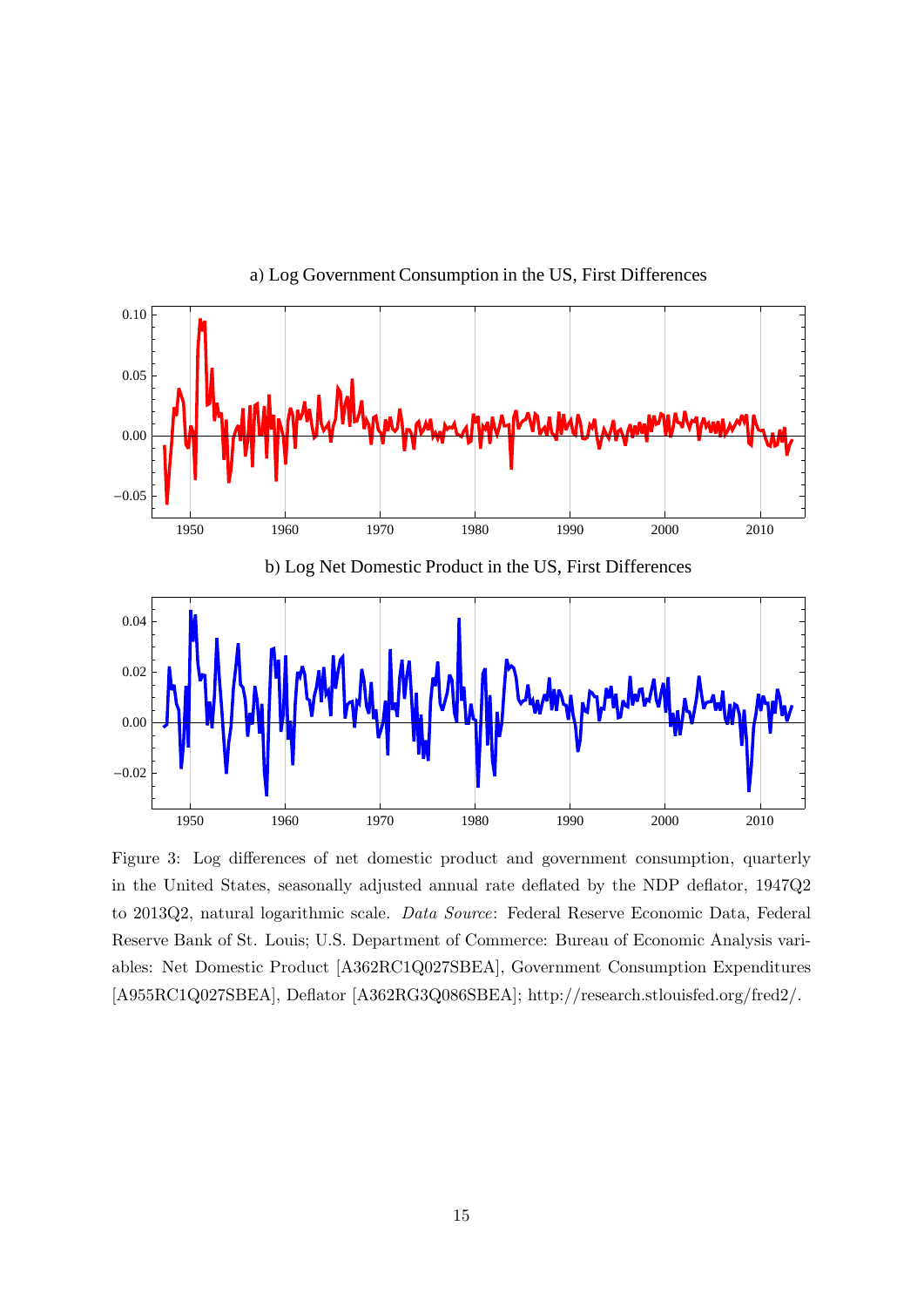

a) Log Government Consumption in the US, First Differences

Figure 3: Log differences of net domestic product and government consumption, quarterly in the United States, seasonally adjusted annual rate deflated by the NDP deflator, 1947Q2 to 2013Q2, natural logarithmic scale. Data Source: Federal Reserve Economic Data, Federal Reserve Bank of St. Louis; U.S. Department of Commerce: Bureau of Economic Analysis variables: Net Domestic Product [A362RC1Q027SBEA], Government Consumption Expenditures [A955RC1Q027SBEA], Deflator [A362RG3Q086SBEA]; http://research.stlouisfed.org/fred2/.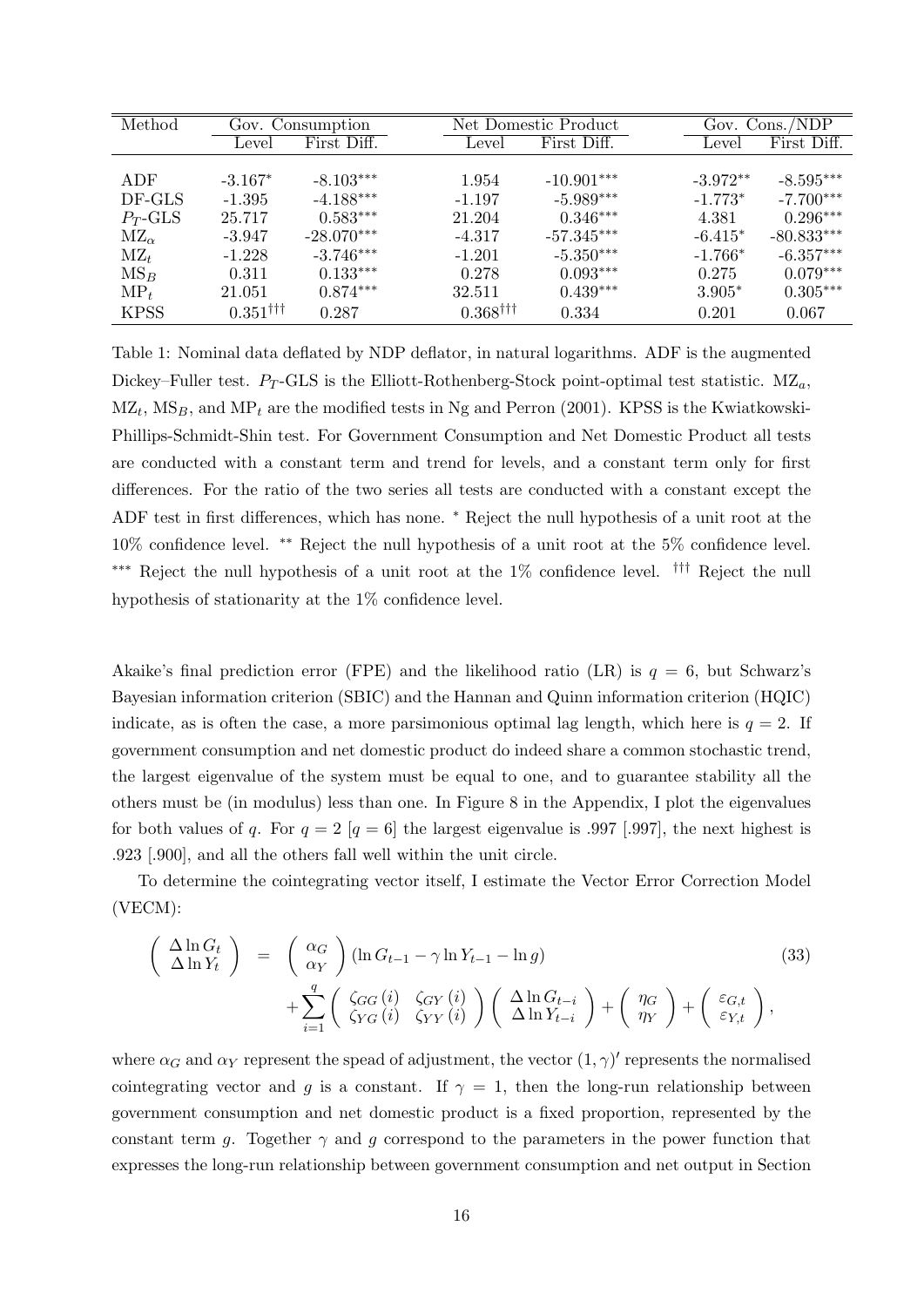| Method                 | Gov. Consumption       |              |          | Net Domestic Product            |              |  | Gov. $Cons./ND\overline{P}$ |              |  |
|------------------------|------------------------|--------------|----------|---------------------------------|--------------|--|-----------------------------|--------------|--|
|                        | Level                  | First Diff.  |          | Level                           | First Diff.  |  | Level                       | First Diff.  |  |
|                        |                        |              |          |                                 |              |  |                             |              |  |
| ADF                    | $-3.167*$              | $-8.103***$  | 1.954    |                                 | $-10.901***$ |  | $-3.972**$                  | $-8.595***$  |  |
| DF-GLS                 | $-1.395$               | $-4.188***$  | $-1.197$ |                                 | $-5.989***$  |  | $-1.773*$                   | $-7.700***$  |  |
| $P_T$ -GLS             | 25.717                 | $0.583***$   | 21.204   |                                 | $0.346***$   |  | 4.381                       | $0.296***$   |  |
| $\mathrm{MZ}_{\alpha}$ | $-3.947$               | $-28.070***$ | $-4.317$ |                                 | $-57.345***$ |  | $-6.415*$                   | $-80.833***$ |  |
| $\mathrm{MZ}_t$        | $-1.228$               | $-3.746***$  | $-1.201$ |                                 | $-5.350***$  |  | $-1.766*$                   | $-6.357***$  |  |
| $MS_B$                 | 0.311                  | $0.133***$   | 0.278    |                                 | $0.093***$   |  | 0.275                       | $0.079***$   |  |
| $MP_t$                 | 21.051                 | $0.874***$   | 32.511   |                                 | $0.439***$   |  | $3.905*$                    | $0.305***$   |  |
| <b>KPSS</b>            | $0.351$ <sup>†††</sup> | 0.287        |          | $0.368^{\dagger\dagger\dagger}$ | 0.334        |  | 0.201                       | 0.067        |  |

Table 1: Nominal data deflated by NDP deflator, in natural logarithms. ADF is the augmented Dickey–Fuller test.  $P_T$ -GLS is the Elliott-Rothenberg-Stock point-optimal test statistic. MZ<sub>a</sub>,  $MZ_t$ ,  $MS_B$ , and  $MP_t$  are the modified tests in Ng and Perron (2001). KPSS is the Kwiatkowski-Phillips-Schmidt-Shin test. For Government Consumption and Net Domestic Product all tests are conducted with a constant term and trend for levels, and a constant term only for first differences. For the ratio of the two series all tests are conducted with a constant except the ADF test in first differences, which has none. <sup>∗</sup> Reject the null hypothesis of a unit root at the 10% confidence level. ∗∗ Reject the null hypothesis of a unit root at the 5% confidence level. ∗∗∗ Reject the null hypothesis of a unit root at the 1% confidence level. ††† Reject the null hypothesis of stationarity at the 1% confidence level.

Akaike's final prediction error (FPE) and the likelihood ratio (LR) is  $q = 6$ , but Schwarz's Bayesian information criterion (SBIC) and the Hannan and Quinn information criterion (HQIC) indicate, as is often the case, a more parsimonious optimal lag length, which here is  $q = 2$ . If government consumption and net domestic product do indeed share a common stochastic trend, the largest eigenvalue of the system must be equal to one, and to guarantee stability all the others must be (in modulus) less than one. In Figure 8 in the Appendix, I plot the eigenvalues for both values of q. For  $q = 2$  [q = 6] the largest eigenvalue is .997 [.997], the next highest is .923 [.900], and all the others fall well within the unit circle.

To determine the cointegrating vector itself, I estimate the Vector Error Correction Model (VECM):

$$
\begin{pmatrix}\n\Delta \ln G_t \\
\Delta \ln Y_t\n\end{pmatrix} = \begin{pmatrix}\n\alpha_G \\
\alpha_Y\n\end{pmatrix} (\ln G_{t-1} - \gamma \ln Y_{t-1} - \ln g) \n+ \sum_{i=1}^q \begin{pmatrix}\n\zeta_{GG}(i) & \zeta_{GY}(i) \\
\zeta_{YG}(i) & \zeta_{YY}(i)\n\end{pmatrix} \begin{pmatrix}\n\Delta \ln G_{t-i} \\
\Delta \ln Y_{t-i}\n\end{pmatrix} + \begin{pmatrix}\n\eta_G \\
\eta_Y\n\end{pmatrix} + \begin{pmatrix}\n\varepsilon_{G,t} \\
\varepsilon_{Y,t}\n\end{pmatrix},
$$
\n(33)

where  $\alpha_G$  and  $\alpha_Y$  represent the spead of adjustment, the vector  $(1, \gamma)'$  represents the normalised cointegrating vector and g is a constant. If  $\gamma = 1$ , then the long-run relationship between government consumption and net domestic product is a fixed proportion, represented by the constant term g. Together  $\gamma$  and g correspond to the parameters in the power function that expresses the long-run relationship between government consumption and net output in Section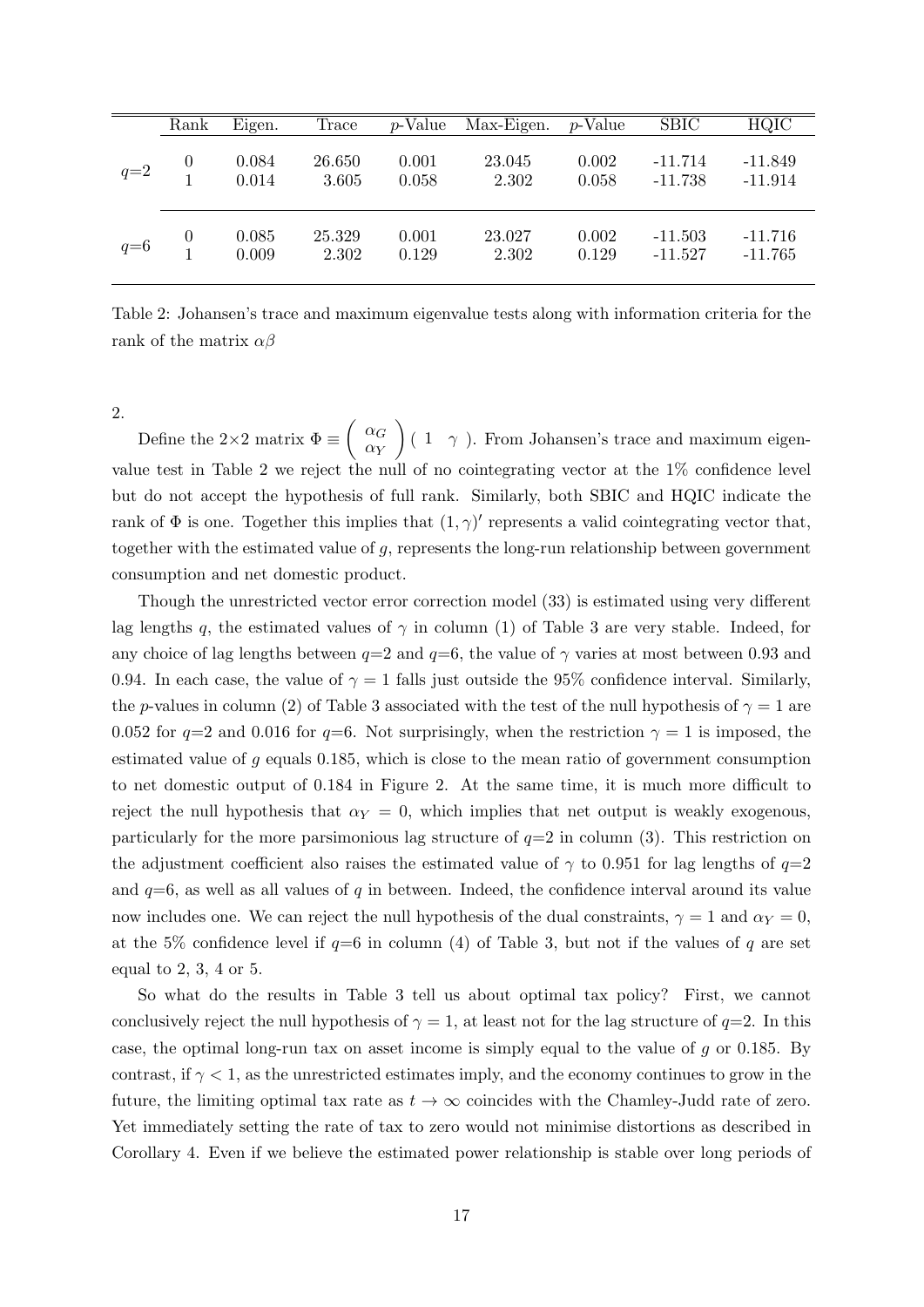|       | Rank           | Eigen.         | Trace           | <i>p</i> -Value | Max-Eigen.      | p-Value        | <b>SBIC</b>            | <b>HQIC</b>            |
|-------|----------------|----------------|-----------------|-----------------|-----------------|----------------|------------------------|------------------------|
| $q=2$ | $\overline{0}$ | 0.084<br>0.014 | 26.650<br>3.605 | 0.001<br>0.058  | 23.045<br>2.302 | 0.002<br>0.058 | $-11.714$<br>$-11.738$ | $-11.849$<br>$-11.914$ |
| $q=6$ | $\theta$       | 0.085<br>0.009 | 25.329<br>2.302 | 0.001<br>0.129  | 23.027<br>2.302 | 0.002<br>0.129 | $-11.503$<br>$-11.527$ | $-11.716$<br>$-11.765$ |

Table 2: Johansen's trace and maximum eigenvalue tests along with information criteria for the rank of the matrix  $\alpha\beta$ 

2.

Define the 2×2 matrix  $\Phi \equiv \begin{pmatrix} \alpha_G \\ \alpha_{\overline{G}} \end{pmatrix}$  $\alpha_Y$  $(1 \gamma)$ . From Johansen's trace and maximum eigenvalue test in Table 2 we reject the null of no cointegrating vector at the 1% confidence level but do not accept the hypothesis of full rank. Similarly, both SBIC and HQIC indicate the rank of  $\Phi$  is one. Together this implies that  $(1, \gamma)'$  represents a valid cointegrating vector that, together with the estimated value of g, represents the long-run relationship between government consumption and net domestic product.

Though the unrestricted vector error correction model (33) is estimated using very different lag lengths q, the estimated values of  $\gamma$  in column (1) of Table 3 are very stable. Indeed, for any choice of lag lengths between  $q=2$  and  $q=6$ , the value of  $\gamma$  varies at most between 0.93 and 0.94. In each case, the value of  $\gamma = 1$  falls just outside the 95% confidence interval. Similarly, the p-values in column (2) of Table 3 associated with the test of the null hypothesis of  $\gamma = 1$  are 0.052 for  $q=2$  and 0.016 for  $q=6$ . Not surprisingly, when the restriction  $\gamma=1$  is imposed, the estimated value of  $g$  equals 0.185, which is close to the mean ratio of government consumption to net domestic output of 0.184 in Figure 2. At the same time, it is much more difficult to reject the null hypothesis that  $\alpha_Y = 0$ , which implies that net output is weakly exogenous, particularly for the more parsimonious lag structure of  $q=2$  in column (3). This restriction on the adjustment coefficient also raises the estimated value of  $\gamma$  to 0.951 for lag lengths of  $q=2$ and  $q=6$ , as well as all values of q in between. Indeed, the confidence interval around its value now includes one. We can reject the null hypothesis of the dual constraints,  $\gamma = 1$  and  $\alpha_Y = 0$ , at the 5% confidence level if  $q=6$  in column (4) of Table 3, but not if the values of q are set equal to 2, 3, 4 or 5.

So what do the results in Table 3 tell us about optimal tax policy? First, we cannot conclusively reject the null hypothesis of  $\gamma = 1$ , at least not for the lag structure of  $q=2$ . In this case, the optimal long-run tax on asset income is simply equal to the value of  $q$  or 0.185. By contrast, if  $\gamma < 1$ , as the unrestricted estimates imply, and the economy continues to grow in the future, the limiting optimal tax rate as  $t \to \infty$  coincides with the Chamley-Judd rate of zero. Yet immediately setting the rate of tax to zero would not minimise distortions as described in Corollary 4. Even if we believe the estimated power relationship is stable over long periods of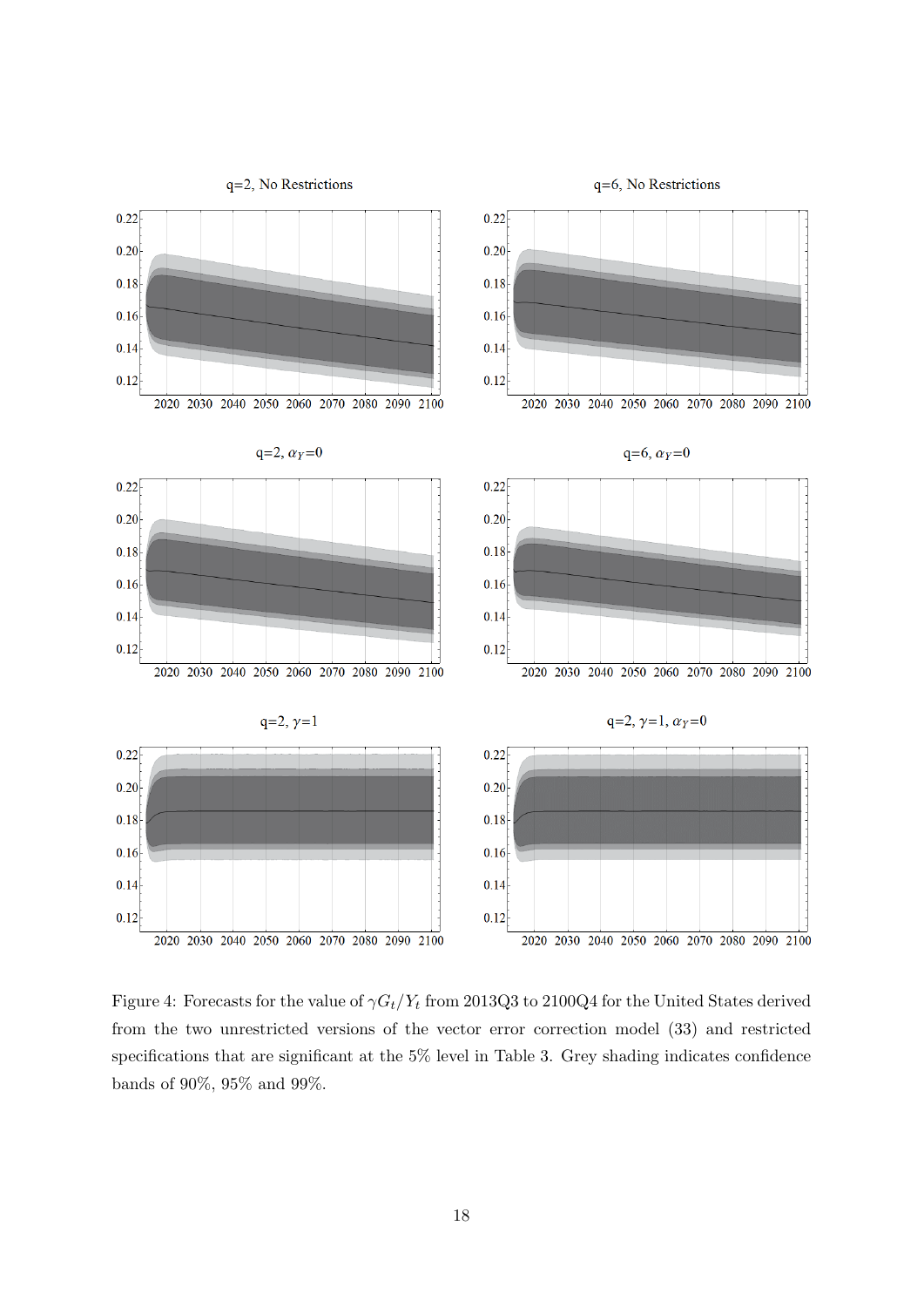

Figure 4: Forecasts for the value of  $\gamma G_t/Y_t$  from 2013Q3 to 2100Q4 for the United States derived from the two unrestricted versions of the vector error correction model (33) and restricted specifications that are significant at the 5% level in Table 3. Grey shading indicates confidence bands of  $90\%,\,95\%$  and  $99\%.$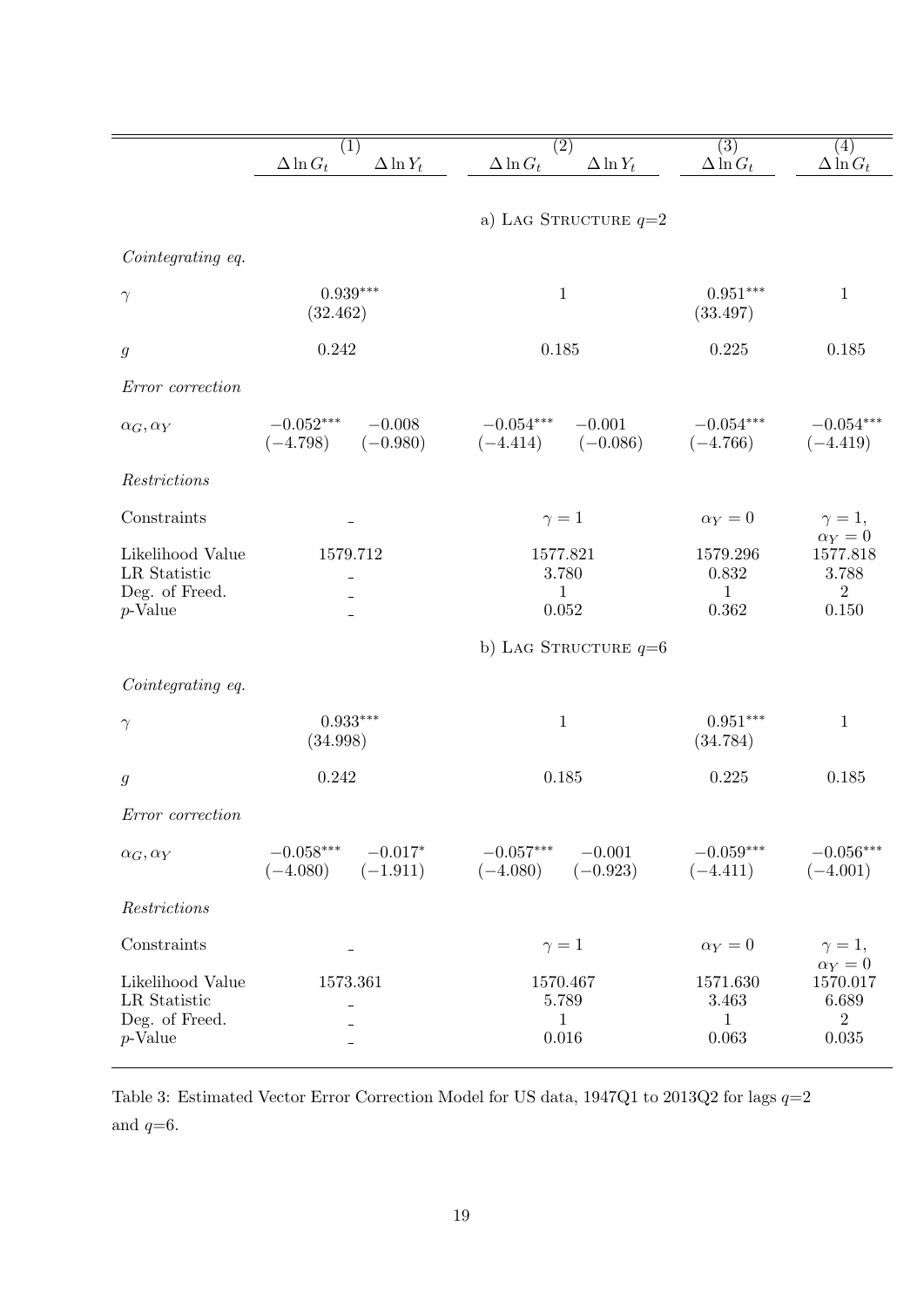|                                                    | (1)                                                  | (2)                                                 | (3)                               | $\left( 4\right)$                                   |  |  |  |  |  |
|----------------------------------------------------|------------------------------------------------------|-----------------------------------------------------|-----------------------------------|-----------------------------------------------------|--|--|--|--|--|
|                                                    | $\Delta \ln G_t$<br>$\Delta \ln Y_t$                 | $\Delta \ln G_t$<br>$\Delta \ln Y_t$                | $\Delta \ln G_t$                  | $\Delta \ln G_t$                                    |  |  |  |  |  |
|                                                    | a) LAG STRUCTURE $q=2$                               |                                                     |                                   |                                                     |  |  |  |  |  |
| Cointegrating eq.                                  |                                                      |                                                     |                                   |                                                     |  |  |  |  |  |
| $\gamma$                                           | $0.939***$<br>(32.462)                               | $\mathbf{1}$                                        | $0.951***$<br>(33.497)            | $\mathbf{1}$                                        |  |  |  |  |  |
| $\mathfrak g$                                      | 0.242                                                | 0.185                                               | 0.225                             | 0.185                                               |  |  |  |  |  |
| Error correction                                   |                                                      |                                                     |                                   |                                                     |  |  |  |  |  |
| $\alpha_G, \alpha_Y$                               | $-0.052***$ $-0.008$<br>$(-4.798)$ $(-0.980)$        | $-0.054***$ $-0.001$<br>$(-4.414)$ $(-0.086)$       | $-0.054***$<br>$(-4.766)$         | $-0.054***$<br>$(-4.419)$                           |  |  |  |  |  |
| Restrictions                                       |                                                      |                                                     |                                   |                                                     |  |  |  |  |  |
| Constraints                                        |                                                      | $\gamma=1$                                          | $\alpha_Y=0$                      | $\gamma=1,$                                         |  |  |  |  |  |
| Likelihood Value<br>LR Statistic<br>Deg. of Freed. | 1579.712                                             | 1577.821<br>3.780<br>$\mathbf{1}$                   | 1579.296<br>0.832<br>$\mathbf{1}$ | $\alpha_Y=0$<br>1577.818<br>3.788<br>$\overline{2}$ |  |  |  |  |  |
| $p$ -Value                                         |                                                      | 0.052                                               | 0.362                             | 0.150                                               |  |  |  |  |  |
|                                                    |                                                      | b) LAG STRUCTURE $q=6$                              |                                   |                                                     |  |  |  |  |  |
| Cointegrating eq.                                  |                                                      |                                                     |                                   |                                                     |  |  |  |  |  |
| $\gamma$                                           | $0.933***$<br>(34.998)                               | $\,1$                                               | $0.951***$<br>(34.784)            | $1\,$                                               |  |  |  |  |  |
| $\mathfrak g$                                      | 0.242                                                | 0.185                                               | 0.225                             | 0.185                                               |  |  |  |  |  |
| Error correction                                   |                                                      |                                                     |                                   |                                                     |  |  |  |  |  |
| $\alpha_G, \alpha_Y$                               | $-0.058***$<br>$-0.017*$<br>$(-1.911)$<br>$(-4.080)$ | $-0.057***$<br>$-0.001$<br>$(-0.923)$<br>$(-4.080)$ | $-0.059***$<br>$(-4.411)$         | $-0.056***$<br>$(-4.001)$                           |  |  |  |  |  |
| Restrictions                                       |                                                      |                                                     |                                   |                                                     |  |  |  |  |  |
| Constraints                                        |                                                      | $\gamma=1$                                          | $\alpha_Y=0$                      | $\gamma=1,$                                         |  |  |  |  |  |
| Likelihood Value<br>LR Statistic<br>Deg. of Freed. | 1573.361                                             | 1570.467<br>5.789<br>$\mathbf{1}$                   | 1571.630<br>3.463<br>$\mathbf{1}$ | $\alpha_Y=0$<br>1570.017<br>6.689<br>$\overline{2}$ |  |  |  |  |  |
| $p$ -Value                                         |                                                      | 0.016                                               | 0.063                             | $\,0.035\,$                                         |  |  |  |  |  |

Table 3: Estimated Vector Error Correction Model for US data, 1947Q1 to 2013Q2 for lags  $q\!\!=\!\!2$ and  $q\!\!=\!\!6.$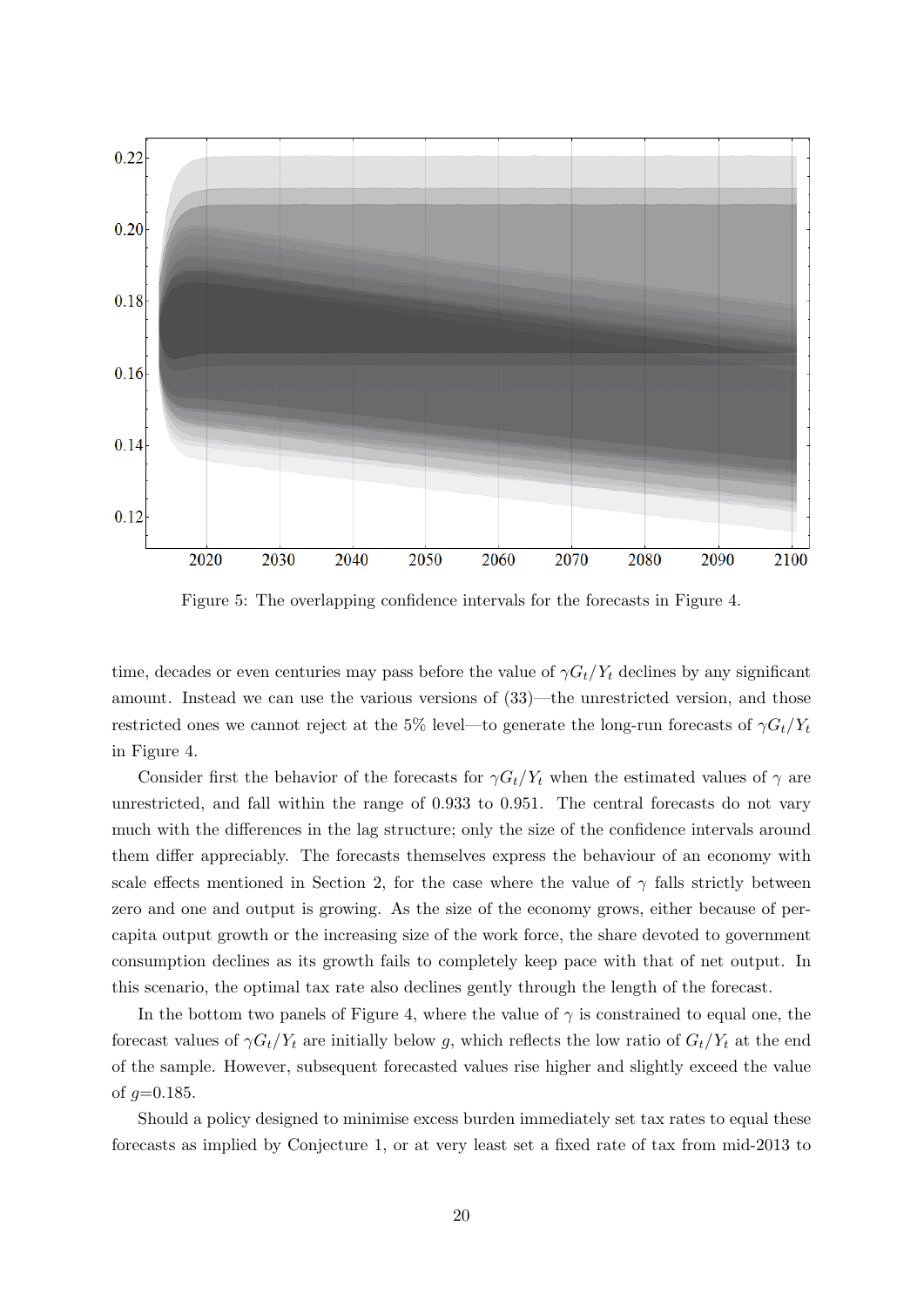

Figure 5: The overlapping confidence intervals for the forecasts in Figure 4.

time, decades or even centuries may pass before the value of  $\gamma G_t/Y_t$  declines by any significant amount. Instead we can use the various versions of (33)—the unrestricted version, and those restricted ones we cannot reject at the 5% level—to generate the long-run forecasts of  $\gamma G_t/Y_t$ in Figure 4.

Consider first the behavior of the forecasts for  $\gamma G_t/Y_t$  when the estimated values of  $\gamma$  are unrestricted, and fall within the range of 0.933 to 0.951. The central forecasts do not vary much with the differences in the lag structure; only the size of the confidence intervals around them differ appreciably. The forecasts themselves express the behaviour of an economy with scale effects mentioned in Section 2, for the case where the value of  $\gamma$  falls strictly between zero and one and output is growing. As the size of the economy grows, either because of percapita output growth or the increasing size of the work force, the share devoted to government consumption declines as its growth fails to completely keep pace with that of net output. In this scenario, the optimal tax rate also declines gently through the length of the forecast.

In the bottom two panels of Figure 4, where the value of  $\gamma$  is constrained to equal one, the forecast values of  $\gamma G_t/Y_t$  are initially below g, which reflects the low ratio of  $G_t/Y_t$  at the end of the sample. However, subsequent forecasted values rise higher and slightly exceed the value of  $g=0.185$ .

Should a policy designed to minimise excess burden immediately set tax rates to equal these forecasts as implied by Conjecture 1, or at very least set a fixed rate of tax from mid-2013 to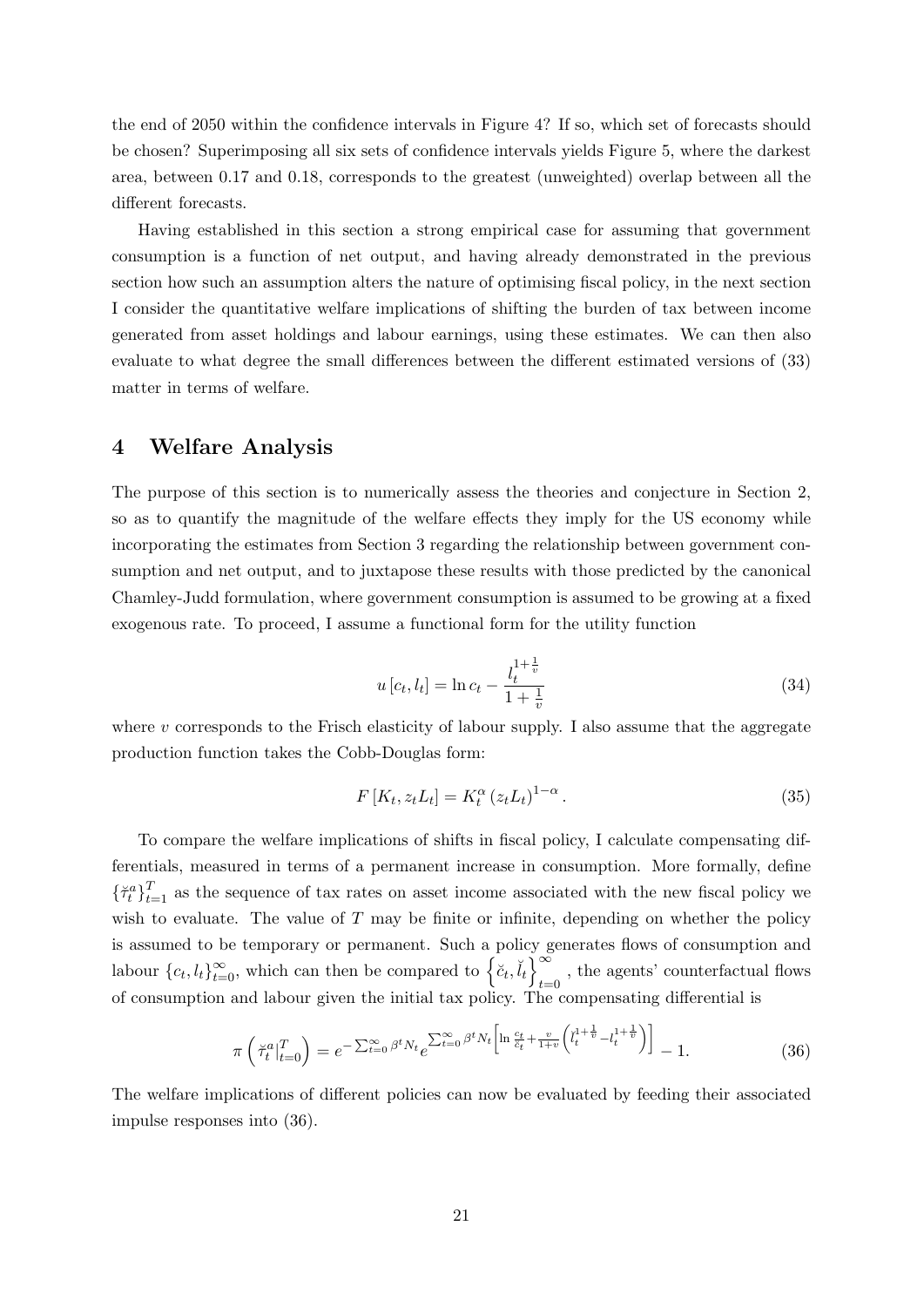the end of 2050 within the confidence intervals in Figure 4? If so, which set of forecasts should be chosen? Superimposing all six sets of confidence intervals yields Figure 5, where the darkest area, between 0.17 and 0.18, corresponds to the greatest (unweighted) overlap between all the different forecasts.

Having established in this section a strong empirical case for assuming that government consumption is a function of net output, and having already demonstrated in the previous section how such an assumption alters the nature of optimising fiscal policy, in the next section I consider the quantitative welfare implications of shifting the burden of tax between income generated from asset holdings and labour earnings, using these estimates. We can then also evaluate to what degree the small differences between the different estimated versions of (33) matter in terms of welfare.

### 4 Welfare Analysis

The purpose of this section is to numerically assess the theories and conjecture in Section 2, so as to quantify the magnitude of the welfare effects they imply for the US economy while incorporating the estimates from Section 3 regarding the relationship between government consumption and net output, and to juxtapose these results with those predicted by the canonical Chamley-Judd formulation, where government consumption is assumed to be growing at a fixed exogenous rate. To proceed, I assume a functional form for the utility function

$$
u[c_t, l_t] = \ln c_t - \frac{l_t^{1 + \frac{1}{v}}}{1 + \frac{1}{v}}
$$
\n(34)

where  $v$  corresponds to the Frisch elasticity of labour supply. I also assume that the aggregate production function takes the Cobb-Douglas form:

$$
F[K_t, z_t L_t] = K_t^{\alpha} (z_t L_t)^{1-\alpha}.
$$
\n(35)

To compare the welfare implications of shifts in fiscal policy, I calculate compensating differentials, measured in terms of a permanent increase in consumption. More formally, define  ${\{\check{\tau}_t^a\}}_{t=1}^T$  as the sequence of tax rates on asset income associated with the new fiscal policy we wish to evaluate. The value of  $T$  may be finite or infinite, depending on whether the policy is assumed to be temporary or permanent. Such a policy generates flows of consumption and labour  ${c_t, l_t}_{t=0}^{\infty}$ , which can then be compared to  $\left\{\tilde{c}_t, \tilde{l}_t\right\}_{t=0}^{\infty}$ , the agents' counterfactual flows of consumption and labour given the initial tax policy. The compensating differential is

$$
\pi\left(\breve{\tau}_t^a\vert_{t=0}^T\right) = e^{-\sum_{t=0}^\infty \beta^t N_t} e^{\sum_{t=0}^\infty \beta^t N_t \left[\ln\frac{c_t}{\breve{c}_t} + \frac{v}{1+v}\left(\breve{l}_t^{1+\frac{1}{v}} - l_t^{1+\frac{1}{v}}\right)\right]} - 1.
$$
\n(36)

The welfare implications of different policies can now be evaluated by feeding their associated impulse responses into (36).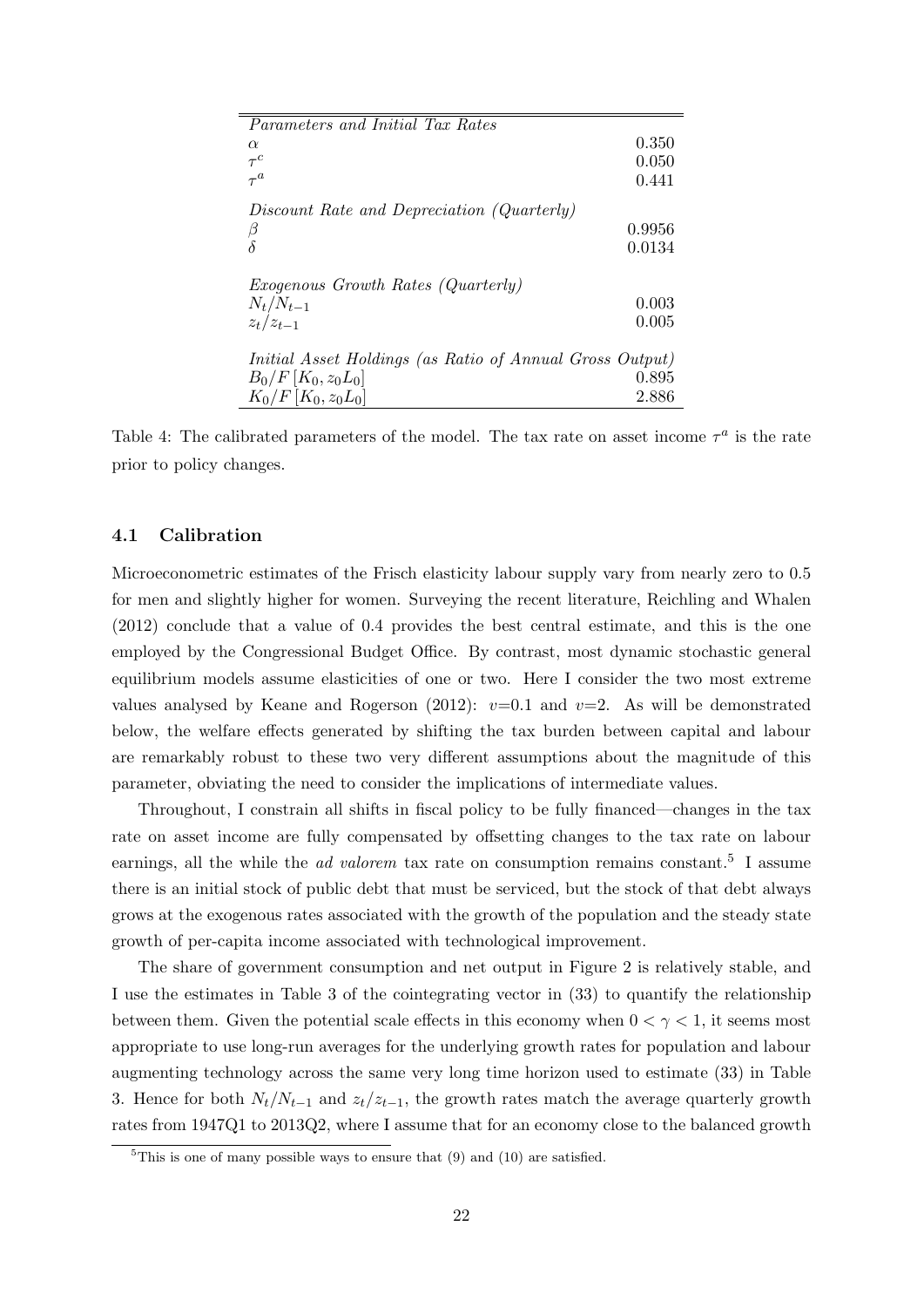| Parameters and Initial Tax Rates                                |        |
|-----------------------------------------------------------------|--------|
|                                                                 |        |
| $\alpha$                                                        | 0.350  |
| $\tau^c$                                                        | 0.050  |
| $\tau^a$                                                        | 0.441  |
|                                                                 |        |
| Discount Rate and Depreciation (Quarterly)                      |        |
| β                                                               | 0.9956 |
| $\delta$                                                        | 0.0134 |
|                                                                 |        |
|                                                                 |        |
| <i>Exogenous Growth Rates (Quarterly)</i>                       |        |
| $N_t/N_{t-1}$                                                   | 0.003  |
| $z_t/z_{t-1}$                                                   | 0.005  |
|                                                                 |        |
|                                                                 |        |
| <i>Initial Asset Holdings (as Ratio of Annual Gross Output)</i> |        |
| $B_0/F[K_0, z_0L_0]$                                            | 0.895  |
| $K_0/F[K_0, z_0L_0]$                                            | 2.886  |
|                                                                 |        |

Table 4: The calibrated parameters of the model. The tax rate on asset income  $\tau^a$  is the rate prior to policy changes.

#### 4.1 Calibration

Microeconometric estimates of the Frisch elasticity labour supply vary from nearly zero to 0.5 for men and slightly higher for women. Surveying the recent literature, Reichling and Whalen (2012) conclude that a value of 0.4 provides the best central estimate, and this is the one employed by the Congressional Budget Office. By contrast, most dynamic stochastic general equilibrium models assume elasticities of one or two. Here I consider the two most extreme values analysed by Keane and Rogerson (2012):  $v=0.1$  and  $v=2$ . As will be demonstrated below, the welfare effects generated by shifting the tax burden between capital and labour are remarkably robust to these two very different assumptions about the magnitude of this parameter, obviating the need to consider the implications of intermediate values.

Throughout, I constrain all shifts in fiscal policy to be fully financed—changes in the tax rate on asset income are fully compensated by offsetting changes to the tax rate on labour earnings, all the while the *ad valorem* tax rate on consumption remains constant.<sup>5</sup> I assume there is an initial stock of public debt that must be serviced, but the stock of that debt always grows at the exogenous rates associated with the growth of the population and the steady state growth of per-capita income associated with technological improvement.

The share of government consumption and net output in Figure 2 is relatively stable, and I use the estimates in Table 3 of the cointegrating vector in (33) to quantify the relationship between them. Given the potential scale effects in this economy when  $0 < \gamma < 1$ , it seems most appropriate to use long-run averages for the underlying growth rates for population and labour augmenting technology across the same very long time horizon used to estimate (33) in Table 3. Hence for both  $N_t/N_{t-1}$  and  $z_t/z_{t-1}$ , the growth rates match the average quarterly growth rates from 1947Q1 to 2013Q2, where I assume that for an economy close to the balanced growth

 ${}^{5}$ This is one of many possible ways to ensure that (9) and (10) are satisfied.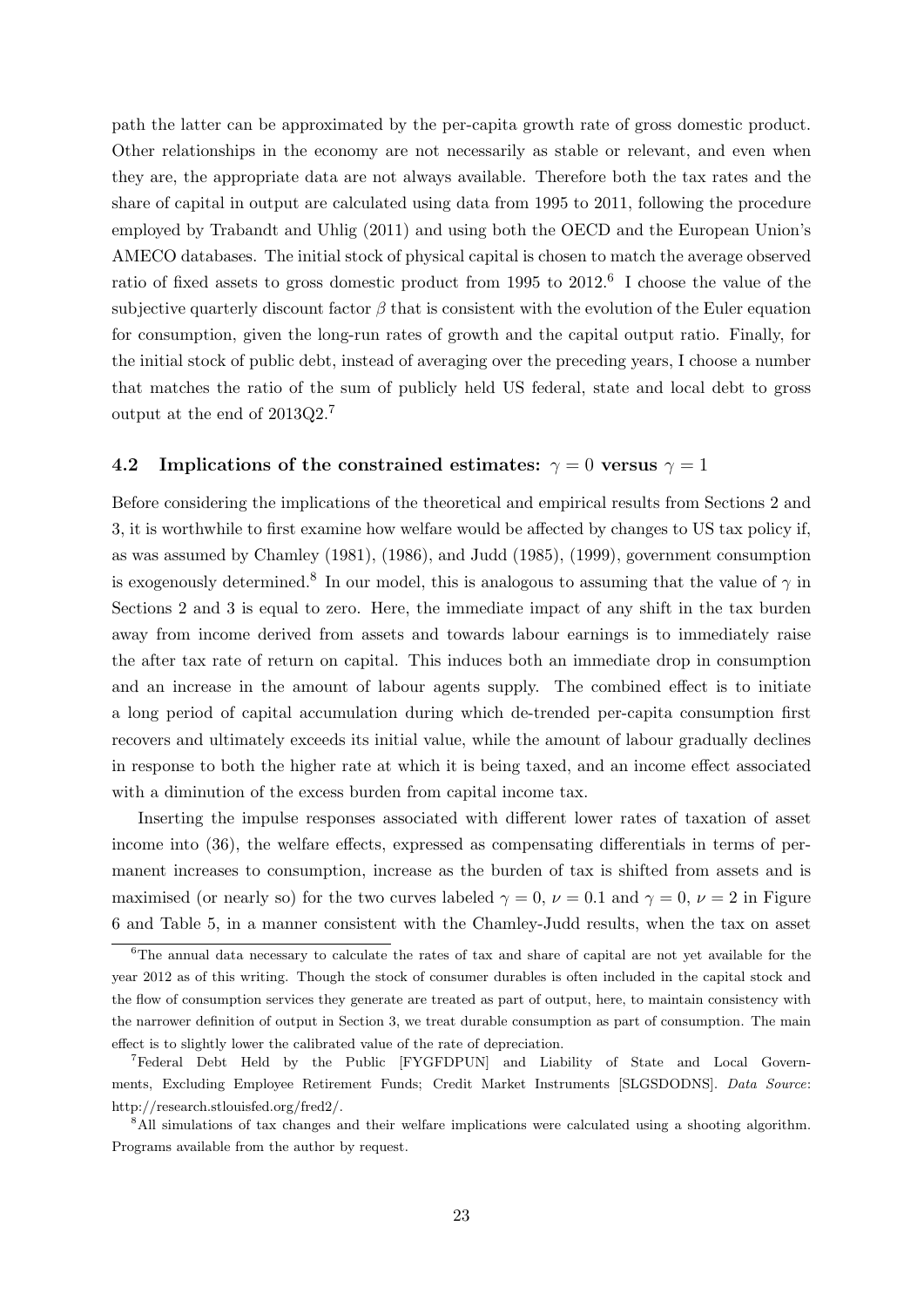path the latter can be approximated by the per-capita growth rate of gross domestic product. Other relationships in the economy are not necessarily as stable or relevant, and even when they are, the appropriate data are not always available. Therefore both the tax rates and the share of capital in output are calculated using data from 1995 to 2011, following the procedure employed by Trabandt and Uhlig (2011) and using both the OECD and the European Union's AMECO databases. The initial stock of physical capital is chosen to match the average observed ratio of fixed assets to gross domestic product from 1995 to 2012.<sup>6</sup> I choose the value of the subjective quarterly discount factor  $\beta$  that is consistent with the evolution of the Euler equation for consumption, given the long-run rates of growth and the capital output ratio. Finally, for the initial stock of public debt, instead of averaging over the preceding years, I choose a number that matches the ratio of the sum of publicly held US federal, state and local debt to gross output at the end of 2013Q2.<sup>7</sup>

### 4.2 Implications of the constrained estimates:  $\gamma = 0$  versus  $\gamma = 1$

Before considering the implications of the theoretical and empirical results from Sections 2 and 3, it is worthwhile to first examine how welfare would be affected by changes to US tax policy if, as was assumed by Chamley (1981), (1986), and Judd (1985), (1999), government consumption is exogenously determined.<sup>8</sup> In our model, this is analogous to assuming that the value of  $\gamma$  in Sections 2 and 3 is equal to zero. Here, the immediate impact of any shift in the tax burden away from income derived from assets and towards labour earnings is to immediately raise the after tax rate of return on capital. This induces both an immediate drop in consumption and an increase in the amount of labour agents supply. The combined effect is to initiate a long period of capital accumulation during which de-trended per-capita consumption first recovers and ultimately exceeds its initial value, while the amount of labour gradually declines in response to both the higher rate at which it is being taxed, and an income effect associated with a diminution of the excess burden from capital income tax.

Inserting the impulse responses associated with different lower rates of taxation of asset income into (36), the welfare effects, expressed as compensating differentials in terms of permanent increases to consumption, increase as the burden of tax is shifted from assets and is maximised (or nearly so) for the two curves labeled  $\gamma = 0$ ,  $\nu = 0.1$  and  $\gamma = 0$ ,  $\nu = 2$  in Figure 6 and Table 5, in a manner consistent with the Chamley-Judd results, when the tax on asset

<sup>6</sup>The annual data necessary to calculate the rates of tax and share of capital are not yet available for the year 2012 as of this writing. Though the stock of consumer durables is often included in the capital stock and the flow of consumption services they generate are treated as part of output, here, to maintain consistency with the narrower definition of output in Section 3, we treat durable consumption as part of consumption. The main effect is to slightly lower the calibrated value of the rate of depreciation.

<sup>7</sup>Federal Debt Held by the Public [FYGFDPUN] and Liability of State and Local Governments, Excluding Employee Retirement Funds; Credit Market Instruments [SLGSDODNS]. Data Source: http://research.stlouisfed.org/fred2/.

<sup>8</sup>All simulations of tax changes and their welfare implications were calculated using a shooting algorithm. Programs available from the author by request.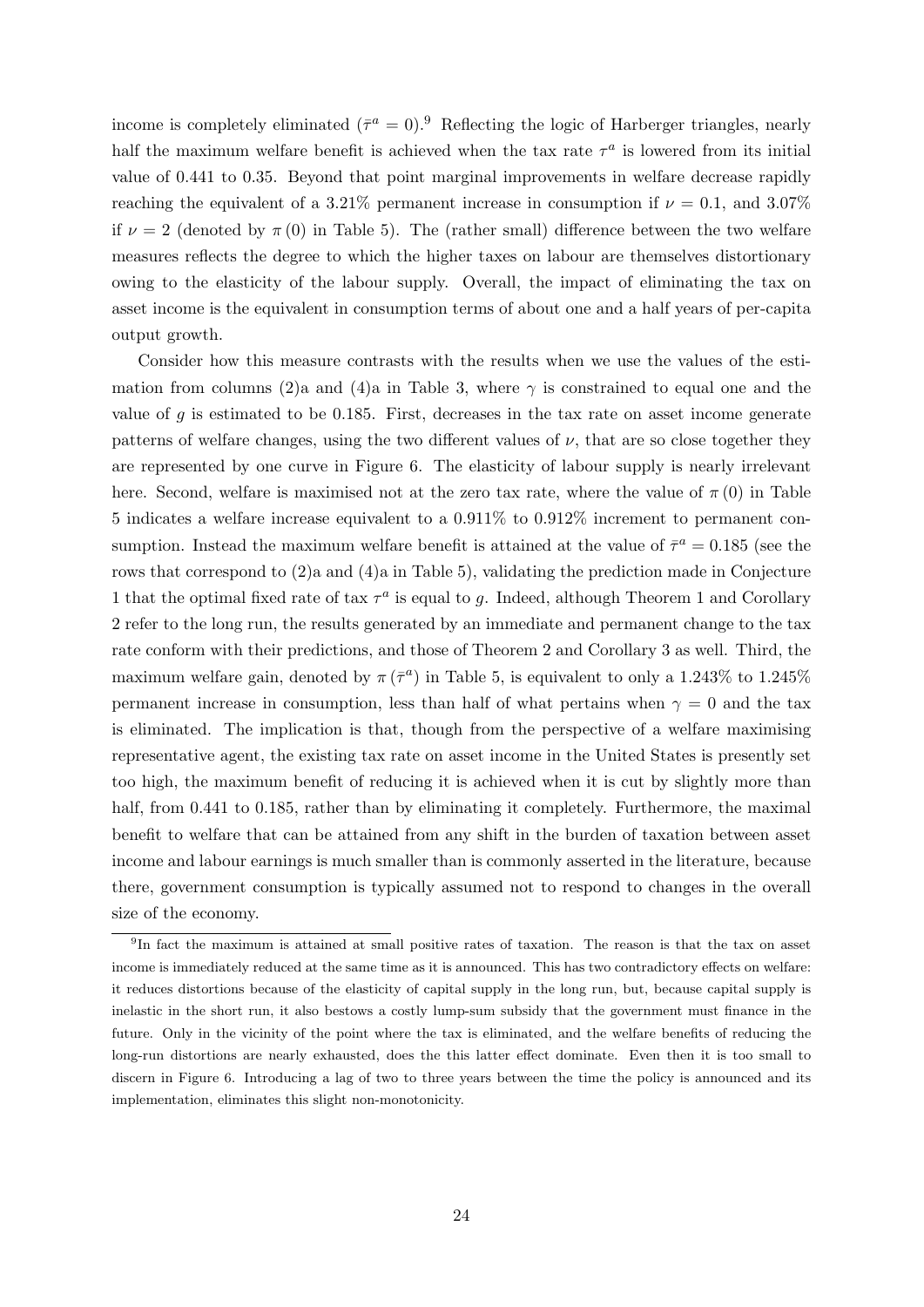income is completely eliminated  $({\bar{\tau}}^a = 0)$ .<sup>9</sup> Reflecting the logic of Harberger triangles, nearly half the maximum welfare benefit is achieved when the tax rate  $\tau^a$  is lowered from its initial value of 0.441 to 0.35. Beyond that point marginal improvements in welfare decrease rapidly reaching the equivalent of a 3.21% permanent increase in consumption if  $\nu = 0.1$ , and 3.07% if  $\nu = 2$  (denoted by  $\pi(0)$  in Table 5). The (rather small) difference between the two welfare measures reflects the degree to which the higher taxes on labour are themselves distortionary owing to the elasticity of the labour supply. Overall, the impact of eliminating the tax on asset income is the equivalent in consumption terms of about one and a half years of per-capita output growth.

Consider how this measure contrasts with the results when we use the values of the estimation from columns (2)a and (4)a in Table 3, where  $\gamma$  is constrained to equal one and the value of  $g$  is estimated to be 0.185. First, decreases in the tax rate on asset income generate patterns of welfare changes, using the two different values of  $\nu$ , that are so close together they are represented by one curve in Figure 6. The elasticity of labour supply is nearly irrelevant here. Second, welfare is maximised not at the zero tax rate, where the value of  $\pi(0)$  in Table 5 indicates a welfare increase equivalent to a 0.911% to 0.912% increment to permanent consumption. Instead the maximum welfare benefit is attained at the value of  $\bar{\tau}^a = 0.185$  (see the rows that correspond to (2)a and (4)a in Table 5), validating the prediction made in Conjecture 1 that the optimal fixed rate of tax  $\tau^a$  is equal to g. Indeed, although Theorem 1 and Corollary 2 refer to the long run, the results generated by an immediate and permanent change to the tax rate conform with their predictions, and those of Theorem 2 and Corollary 3 as well. Third, the maximum welfare gain, denoted by  $\pi(\bar{\tau}^a)$  in Table 5, is equivalent to only a 1.243% to 1.245% permanent increase in consumption, less than half of what pertains when  $\gamma = 0$  and the tax is eliminated. The implication is that, though from the perspective of a welfare maximising representative agent, the existing tax rate on asset income in the United States is presently set too high, the maximum benefit of reducing it is achieved when it is cut by slightly more than half, from 0.441 to 0.185, rather than by eliminating it completely. Furthermore, the maximal benefit to welfare that can be attained from any shift in the burden of taxation between asset income and labour earnings is much smaller than is commonly asserted in the literature, because there, government consumption is typically assumed not to respond to changes in the overall size of the economy.

<sup>9</sup> In fact the maximum is attained at small positive rates of taxation. The reason is that the tax on asset income is immediately reduced at the same time as it is announced. This has two contradictory effects on welfare: it reduces distortions because of the elasticity of capital supply in the long run, but, because capital supply is inelastic in the short run, it also bestows a costly lump-sum subsidy that the government must finance in the future. Only in the vicinity of the point where the tax is eliminated, and the welfare benefits of reducing the long-run distortions are nearly exhausted, does the this latter effect dominate. Even then it is too small to discern in Figure 6. Introducing a lag of two to three years between the time the policy is announced and its implementation, eliminates this slight non-monotonicity.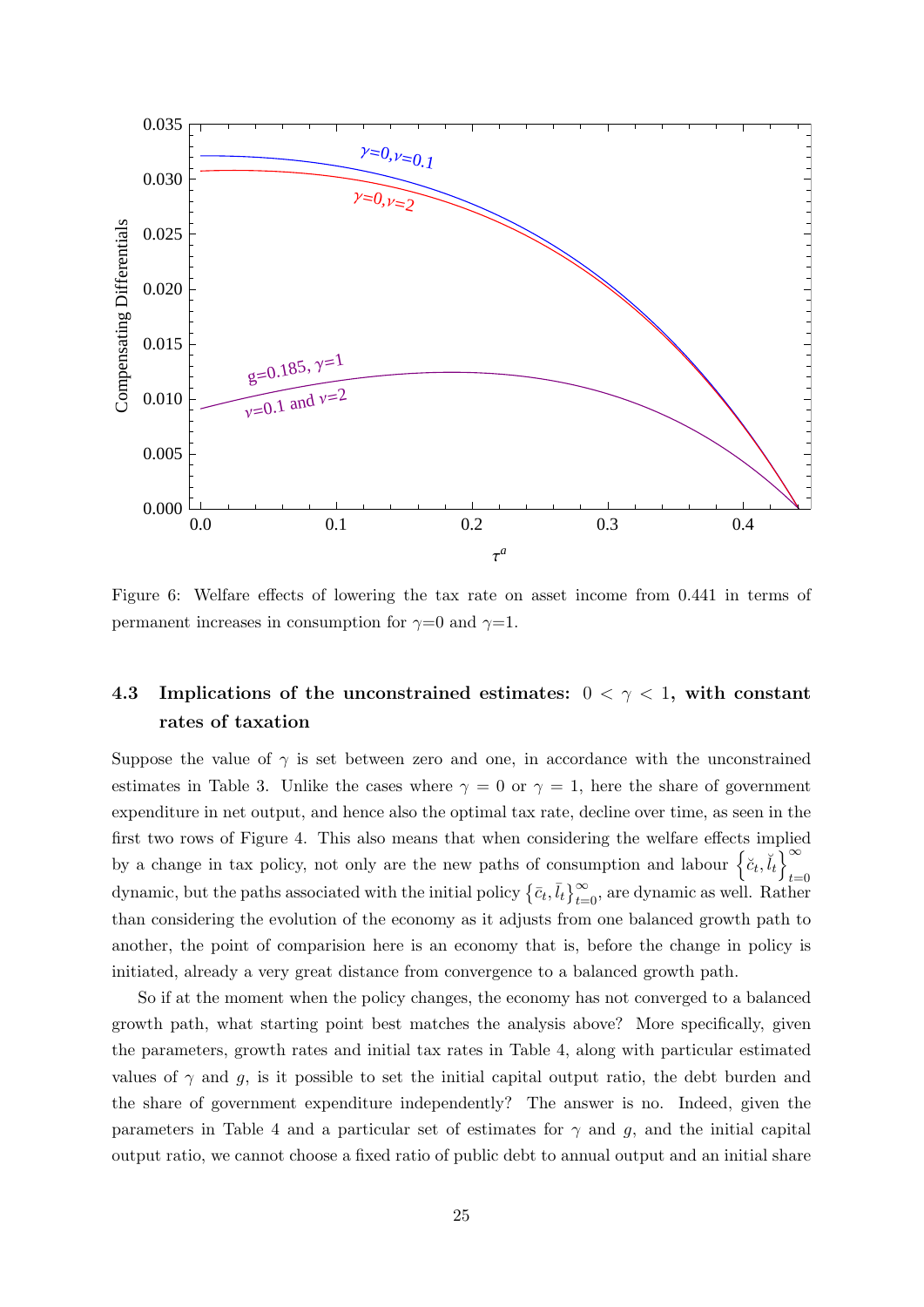

Figure 6: Welfare effects of lowering the tax rate on asset income from 0.441 in terms of permanent increases in consumption for  $\gamma=0$  and  $\gamma=1$ .

# 4.3 Implications of the unconstrained estimates:  $0 < \gamma < 1$ , with constant rates of taxation

Suppose the value of  $\gamma$  is set between zero and one, in accordance with the unconstrained estimates in Table 3. Unlike the cases where  $\gamma = 0$  or  $\gamma = 1$ , here the share of government expenditure in net output, and hence also the optimal tax rate, decline over time, as seen in the first two rows of Figure 4. This also means that when considering the welfare effects implied by a change in tax policy, not only are the new paths of consumption and labour  $\left\{\breve{c}_t, \breve{\breve{d}}_t\right\}^{\infty}$  $t=0$ dynamic, but the paths associated with the initial policy  $\{\bar{c}_t, \bar{l}_t\}_{t=0}^{\infty}$ , are dynamic as well. Rather than considering the evolution of the economy as it adjusts from one balanced growth path to another, the point of comparision here is an economy that is, before the change in policy is initiated, already a very great distance from convergence to a balanced growth path.

So if at the moment when the policy changes, the economy has not converged to a balanced growth path, what starting point best matches the analysis above? More specifically, given the parameters, growth rates and initial tax rates in Table 4, along with particular estimated values of  $\gamma$  and g, is it possible to set the initial capital output ratio, the debt burden and the share of government expenditure independently? The answer is no. Indeed, given the parameters in Table 4 and a particular set of estimates for  $\gamma$  and g, and the initial capital output ratio, we cannot choose a fixed ratio of public debt to annual output and an initial share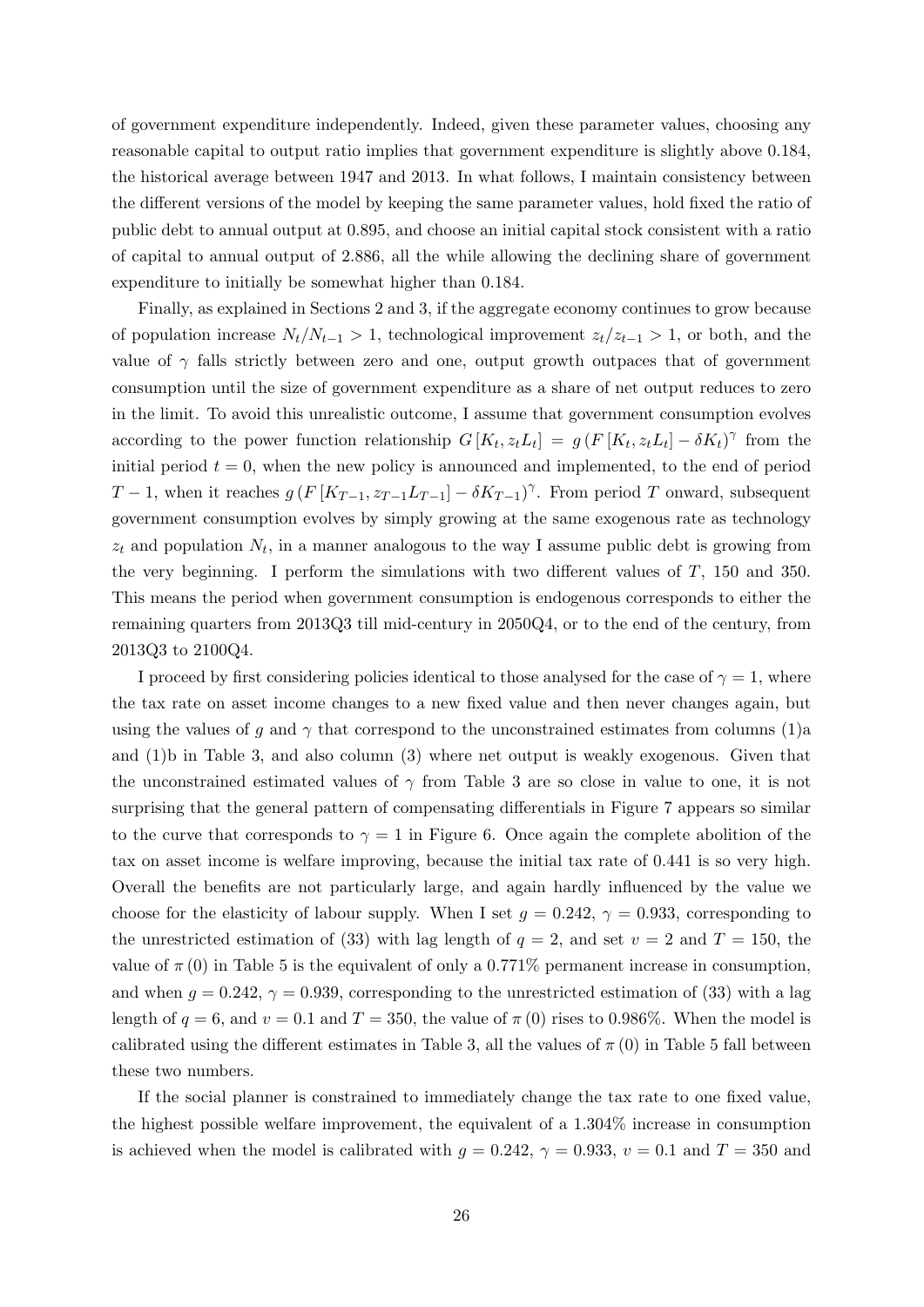of government expenditure independently. Indeed, given these parameter values, choosing any reasonable capital to output ratio implies that government expenditure is slightly above 0.184, the historical average between 1947 and 2013. In what follows, I maintain consistency between the different versions of the model by keeping the same parameter values, hold fixed the ratio of public debt to annual output at 0.895, and choose an initial capital stock consistent with a ratio of capital to annual output of 2.886, all the while allowing the declining share of government expenditure to initially be somewhat higher than 0.184.

Finally, as explained in Sections 2 and 3, if the aggregate economy continues to grow because of population increase  $N_t/N_{t-1} > 1$ , technological improvement  $z_t/z_{t-1} > 1$ , or both, and the value of  $\gamma$  falls strictly between zero and one, output growth outpaces that of government consumption until the size of government expenditure as a share of net output reduces to zero in the limit. To avoid this unrealistic outcome, I assume that government consumption evolves according to the power function relationship  $G[K_t, z_t L_t] = g(F[K_t, z_t L_t] - \delta K_t)^\gamma$  from the initial period  $t = 0$ , when the new policy is announced and implemented, to the end of period T − 1, when it reaches  $g(F[K_{T-1}, z_{T-1}L_{T-1}] - \delta K_{T-1})^{\gamma}$ . From period T onward, subsequent government consumption evolves by simply growing at the same exogenous rate as technology  $z_t$  and population  $N_t$ , in a manner analogous to the way I assume public debt is growing from the very beginning. I perform the simulations with two different values of T, 150 and 350. This means the period when government consumption is endogenous corresponds to either the remaining quarters from 2013Q3 till mid-century in 2050Q4, or to the end of the century, from 2013Q3 to 2100Q4.

I proceed by first considering policies identical to those analysed for the case of  $\gamma = 1$ , where the tax rate on asset income changes to a new fixed value and then never changes again, but using the values of g and  $\gamma$  that correspond to the unconstrained estimates from columns (1)a and (1)b in Table 3, and also column (3) where net output is weakly exogenous. Given that the unconstrained estimated values of  $\gamma$  from Table 3 are so close in value to one, it is not surprising that the general pattern of compensating differentials in Figure 7 appears so similar to the curve that corresponds to  $\gamma = 1$  in Figure 6. Once again the complete abolition of the tax on asset income is welfare improving, because the initial tax rate of 0.441 is so very high. Overall the benefits are not particularly large, and again hardly influenced by the value we choose for the elasticity of labour supply. When I set  $g = 0.242$ ,  $\gamma = 0.933$ , corresponding to the unrestricted estimation of (33) with lag length of  $q = 2$ , and set  $v = 2$  and  $T = 150$ , the value of  $\pi(0)$  in Table 5 is the equivalent of only a 0.771% permanent increase in consumption, and when  $g = 0.242$ ,  $\gamma = 0.939$ , corresponding to the unrestricted estimation of (33) with a lag length of  $q = 6$ , and  $v = 0.1$  and  $T = 350$ , the value of  $\pi(0)$  rises to 0.986%. When the model is calibrated using the different estimates in Table 3, all the values of  $\pi(0)$  in Table 5 fall between these two numbers.

If the social planner is constrained to immediately change the tax rate to one fixed value, the highest possible welfare improvement, the equivalent of a 1.304% increase in consumption is achieved when the model is calibrated with  $g = 0.242$ ,  $\gamma = 0.933$ ,  $v = 0.1$  and  $T = 350$  and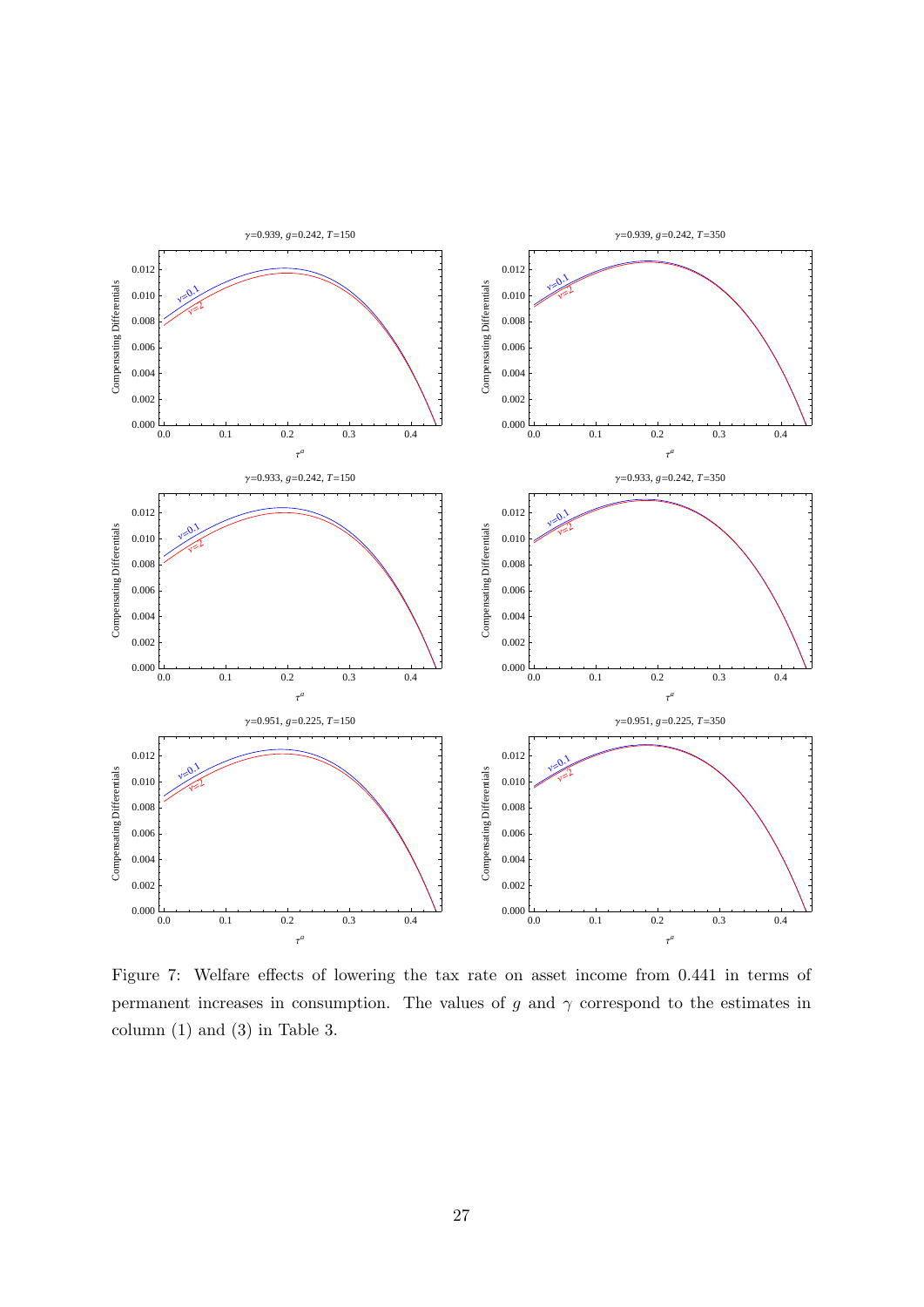

Figure 7: Welfare effects of lowering the tax rate on asset income from 0.441 in terms of permanent increases in consumption. The values of g and  $\gamma$  correspond to the estimates in column (1) and (3) in Table 3.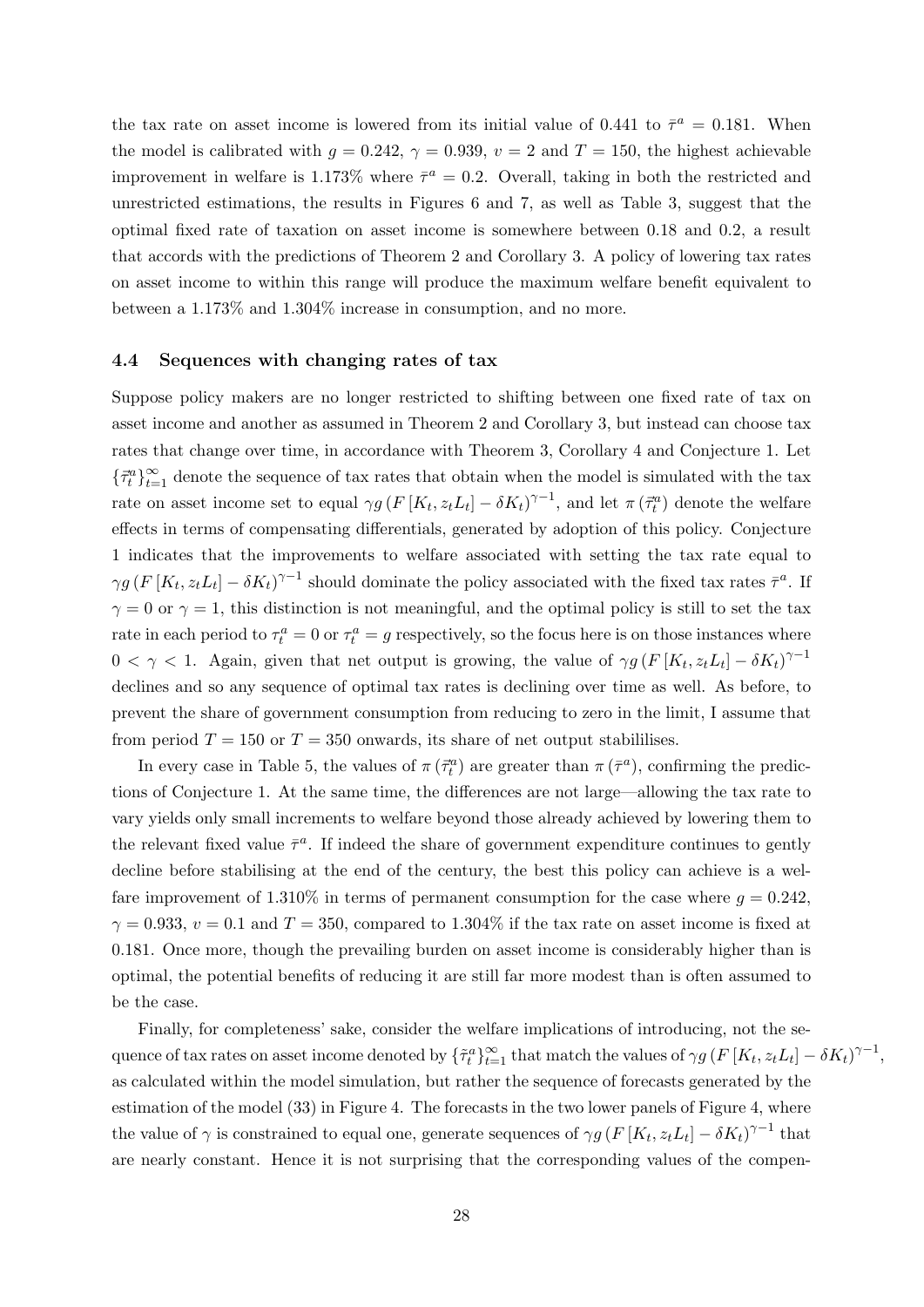the tax rate on asset income is lowered from its initial value of 0.441 to  $\bar{\tau}^a = 0.181$ . When the model is calibrated with  $g = 0.242$ ,  $\gamma = 0.939$ ,  $v = 2$  and  $T = 150$ , the highest achievable improvement in welfare is 1.173% where  $\bar{\tau}^a = 0.2$ . Overall, taking in both the restricted and unrestricted estimations, the results in Figures 6 and 7, as well as Table 3, suggest that the optimal fixed rate of taxation on asset income is somewhere between 0.18 and 0.2, a result that accords with the predictions of Theorem 2 and Corollary 3. A policy of lowering tax rates on asset income to within this range will produce the maximum welfare benefit equivalent to between a 1.173% and 1.304% increase in consumption, and no more.

#### 4.4 Sequences with changing rates of tax

Suppose policy makers are no longer restricted to shifting between one fixed rate of tax on asset income and another as assumed in Theorem 2 and Corollary 3, but instead can choose tax rates that change over time, in accordance with Theorem 3, Corollary 4 and Conjecture 1. Let  $\{\vec{\tau}_t^a\}_{t=1}^{\infty}$  denote the sequence of tax rates that obtain when the model is simulated with the tax rate on asset income set to equal  $\gamma g(F[K_t, z_t L_t] - \delta K_t)^{\gamma-1}$ , and let  $\pi(\vec{\tau}_t^a)$  denote the welfare effects in terms of compensating differentials, generated by adoption of this policy. Conjecture 1 indicates that the improvements to welfare associated with setting the tax rate equal to  $\gamma g(F[K_t, z_t L_t] - \delta K_t)^{\gamma - 1}$  should dominate the policy associated with the fixed tax rates  $\bar{\tau}^a$ . If  $\gamma = 0$  or  $\gamma = 1$ , this distinction is not meaningful, and the optimal policy is still to set the tax rate in each period to  $\tau_t^a = 0$  or  $\tau_t^a = g$  respectively, so the focus here is on those instances where  $0 < \gamma < 1$ . Again, given that net output is growing, the value of  $\gamma g (F[K_t, z_t L_t] - \delta K_t)^{\gamma - 1}$ declines and so any sequence of optimal tax rates is declining over time as well. As before, to prevent the share of government consumption from reducing to zero in the limit, I assume that from period  $T = 150$  or  $T = 350$  onwards, its share of net output stabililises.

In every case in Table 5, the values of  $\pi(\vec{\tau}_t^a)$  are greater than  $\pi(\vec{\tau}^a)$ , confirming the predictions of Conjecture 1. At the same time, the differences are not large—allowing the tax rate to vary yields only small increments to welfare beyond those already achieved by lowering them to the relevant fixed value  $\bar{\tau}^a$ . If indeed the share of government expenditure continues to gently decline before stabilising at the end of the century, the best this policy can achieve is a welfare improvement of 1.310% in terms of permanent consumption for the case where  $g = 0.242$ .  $\gamma = 0.933$ ,  $v = 0.1$  and  $T = 350$ , compared to 1.304% if the tax rate on asset income is fixed at 0.181. Once more, though the prevailing burden on asset income is considerably higher than is optimal, the potential benefits of reducing it are still far more modest than is often assumed to be the case.

Finally, for completeness' sake, consider the welfare implications of introducing, not the sequence of tax rates on asset income denoted by  $\{\tilde{\tau}_t^a\}_{t=1}^{\infty}$  that match the values of  $\gamma g(F[K_t, z_t L_t] - \delta K_t)^{\gamma-1}$ , as calculated within the model simulation, but rather the sequence of forecasts generated by the estimation of the model (33) in Figure 4. The forecasts in the two lower panels of Figure 4, where the value of  $\gamma$  is constrained to equal one, generate sequences of  $\gamma g(F[K_t, z_t L_t] - \delta K_t)^{\gamma-1}$  that are nearly constant. Hence it is not surprising that the corresponding values of the compen-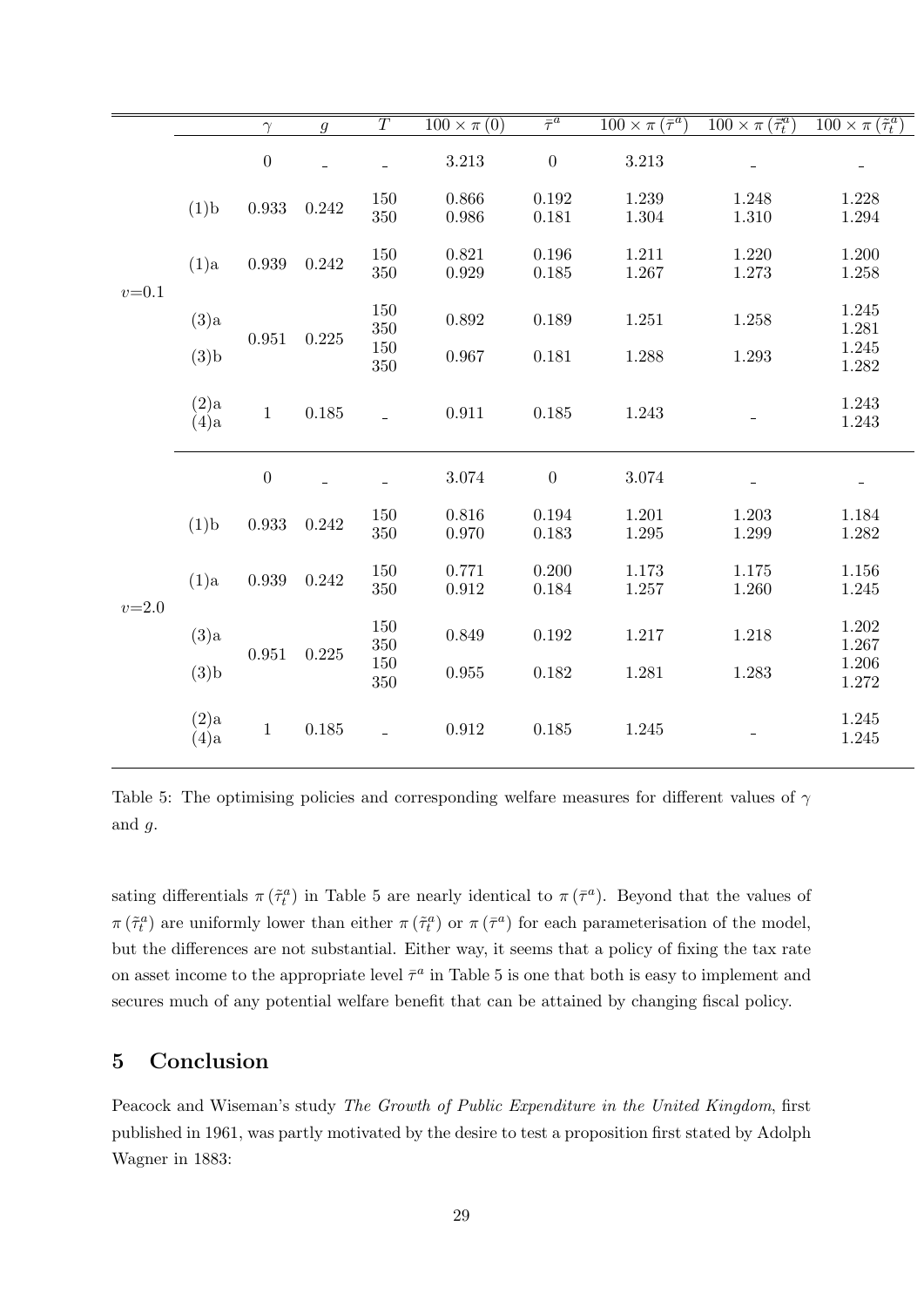|           |                 | $\gamma$         | $\mathfrak{g}$ | $\overline{T}$ | $\overline{100 \times \pi(0)}$ | $\overline{\tau^a}$ | $\sqrt{100 \times \pi (\bar{\tau}^a)}$ | $\sqrt{100 \times \pi (\vec{\tau}_t^a)}$ | $\sqrt{100 \times \pi (\tilde{\tau}_t^a)}$ |
|-----------|-----------------|------------------|----------------|----------------|--------------------------------|---------------------|----------------------------------------|------------------------------------------|--------------------------------------------|
| $v = 0.1$ |                 | $\boldsymbol{0}$ |                |                | 3.213                          | $\boldsymbol{0}$    | 3.213                                  |                                          | $\qquad \qquad =$                          |
|           | (1)b            | 0.933            | 0.242          | 150<br>350     | 0.866<br>0.986                 | 0.192<br>0.181      | 1.239<br>1.304                         | 1.248<br>1.310                           | 1.228<br>1.294                             |
|           | (1)a            | 0.939            | 0.242          | 150<br>350     | 0.821<br>0.929                 | 0.196<br>0.185      | 1.211<br>1.267                         | 1.220<br>1.273                           | 1.200<br>1.258                             |
|           | (3)a            | 0.951            | $0.225\,$      | 150<br>$350\,$ | 0.892                          | 0.189               | 1.251                                  | 1.258                                    | 1.245<br>1.281                             |
|           | (3)b            |                  |                | 150<br>$350\,$ | 0.967                          | 0.181               | 1.288                                  | 1.293                                    | 1.245<br>1.282                             |
|           | (2)a<br>(4)a    | $\mathbf{1}$     | 0.185          |                | 0.911                          | 0.185               | 1.243                                  |                                          | 1.243<br>1.243                             |
| $v = 2.0$ |                 | $\overline{0}$   |                |                | 3.074                          | $\boldsymbol{0}$    | 3.074                                  |                                          | $\overline{\phantom{a}}$                   |
|           | (1)b            | 0.933            | 0.242          | 150<br>350     | 0.816<br>0.970                 | 0.194<br>0.183      | 1.201<br>1.295                         | 1.203<br>1.299                           | 1.184<br>1.282                             |
|           | (1)a            | 0.939            | 0.242          | 150<br>$350\,$ | 0.771<br>0.912                 | 0.200<br>0.184      | 1.173<br>1.257                         | 1.175<br>1.260                           | 1.156<br>1.245                             |
|           | (3)a            | 0.951            | 0.225          | 150<br>$350\,$ | 0.849                          | 0.192               | 1.217                                  | 1.218                                    | 1.202<br>1.267                             |
|           | (3)b            |                  |                | 150<br>350     | 0.955                          | 0.182               | 1.281                                  | 1.283                                    | 1.206<br>1.272                             |
|           | (2)a<br>$(4)$ a | $\mathbf{1}$     | 0.185          |                | 0.912                          | 0.185               | 1.245                                  |                                          | 1.245<br>1.245                             |

Table 5: The optimising policies and corresponding welfare measures for different values of  $\gamma$ and g.

sating differentials  $\pi(\tilde{\tau}_t^a)$  in Table 5 are nearly identical to  $\pi(\bar{\tau}^a)$ . Beyond that the values of  $\pi(\tilde{\tau}_t^a)$  are uniformly lower than either  $\pi(\tilde{\tau}_t^a)$  or  $\pi(\bar{\tau}^a)$  for each parameterisation of the model, but the differences are not substantial. Either way, it seems that a policy of fixing the tax rate on asset income to the appropriate level  $\bar{\tau}^a$  in Table 5 is one that both is easy to implement and secures much of any potential welfare benefit that can be attained by changing fiscal policy.

### 5 Conclusion

Peacock and Wiseman's study The Growth of Public Expenditure in the United Kingdom, first published in 1961, was partly motivated by the desire to test a proposition first stated by Adolph Wagner in 1883: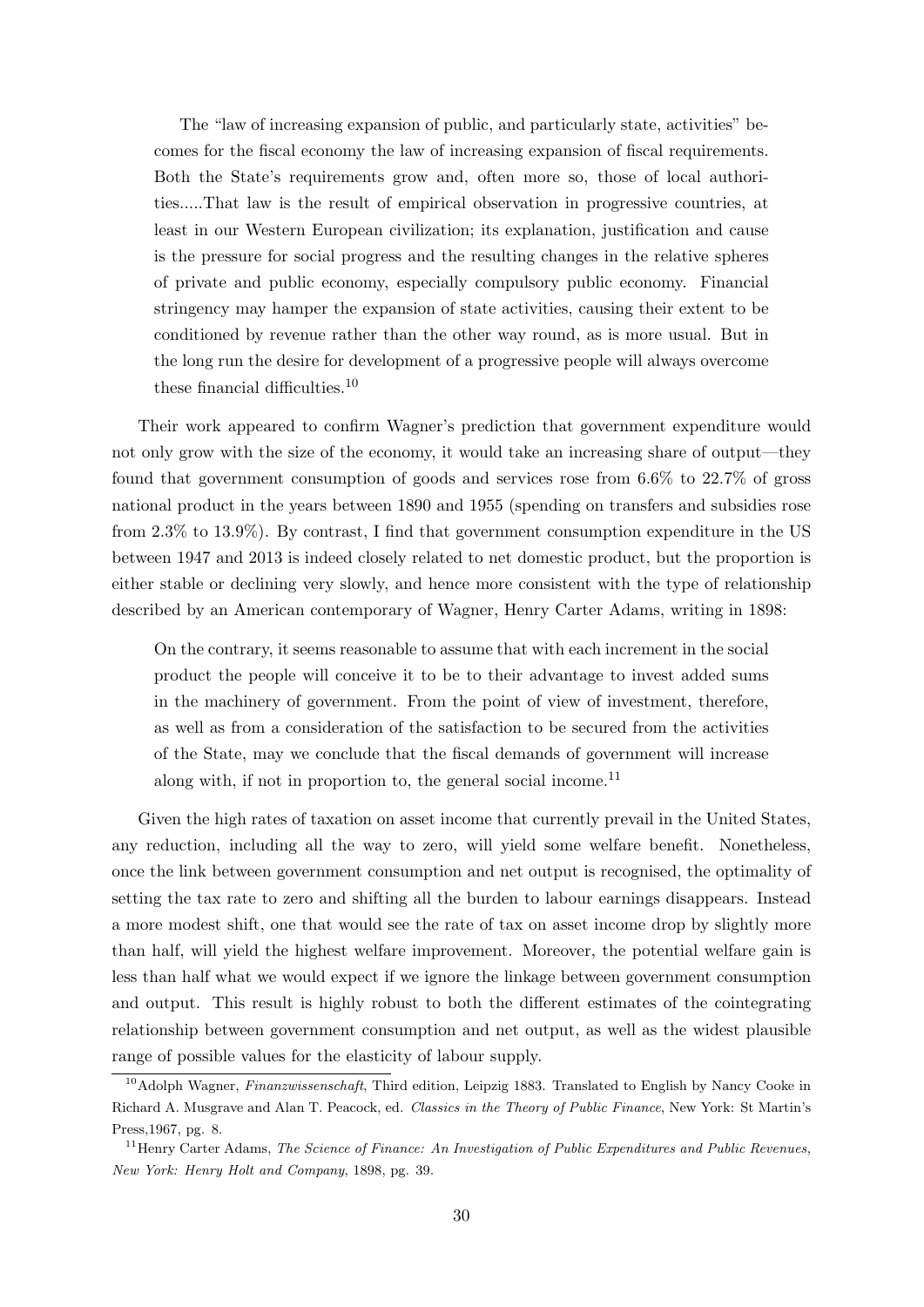The "law of increasing expansion of public, and particularly state, activities" becomes for the fiscal economy the law of increasing expansion of fiscal requirements. Both the State's requirements grow and, often more so, those of local authorities.....That law is the result of empirical observation in progressive countries, at least in our Western European civilization; its explanation, justification and cause is the pressure for social progress and the resulting changes in the relative spheres of private and public economy, especially compulsory public economy. Financial stringency may hamper the expansion of state activities, causing their extent to be conditioned by revenue rather than the other way round, as is more usual. But in the long run the desire for development of a progressive people will always overcome these financial difficulties.<sup>10</sup>

Their work appeared to confirm Wagner's prediction that government expenditure would not only grow with the size of the economy, it would take an increasing share of output—they found that government consumption of goods and services rose from 6.6% to 22.7% of gross national product in the years between 1890 and 1955 (spending on transfers and subsidies rose from 2.3% to 13.9%). By contrast, I find that government consumption expenditure in the US between 1947 and 2013 is indeed closely related to net domestic product, but the proportion is either stable or declining very slowly, and hence more consistent with the type of relationship described by an American contemporary of Wagner, Henry Carter Adams, writing in 1898:

On the contrary, it seems reasonable to assume that with each increment in the social product the people will conceive it to be to their advantage to invest added sums in the machinery of government. From the point of view of investment, therefore, as well as from a consideration of the satisfaction to be secured from the activities of the State, may we conclude that the fiscal demands of government will increase along with, if not in proportion to, the general social income.<sup>11</sup>

Given the high rates of taxation on asset income that currently prevail in the United States, any reduction, including all the way to zero, will yield some welfare benefit. Nonetheless, once the link between government consumption and net output is recognised, the optimality of setting the tax rate to zero and shifting all the burden to labour earnings disappears. Instead a more modest shift, one that would see the rate of tax on asset income drop by slightly more than half, will yield the highest welfare improvement. Moreover, the potential welfare gain is less than half what we would expect if we ignore the linkage between government consumption and output. This result is highly robust to both the different estimates of the cointegrating relationship between government consumption and net output, as well as the widest plausible range of possible values for the elasticity of labour supply.

<sup>&</sup>lt;sup>10</sup>Adolph Wagner, Finanzwissenschaft, Third edition, Leipzig 1883. Translated to English by Nancy Cooke in Richard A. Musgrave and Alan T. Peacock, ed. Classics in the Theory of Public Finance, New York: St Martin's Press,1967, pg. 8.

 $11$ <sup>11</sup>Henry Carter Adams, *The Science of Finance: An Investigation of Public Expenditures and Public Revenues*, New York: Henry Holt and Company, 1898, pg. 39.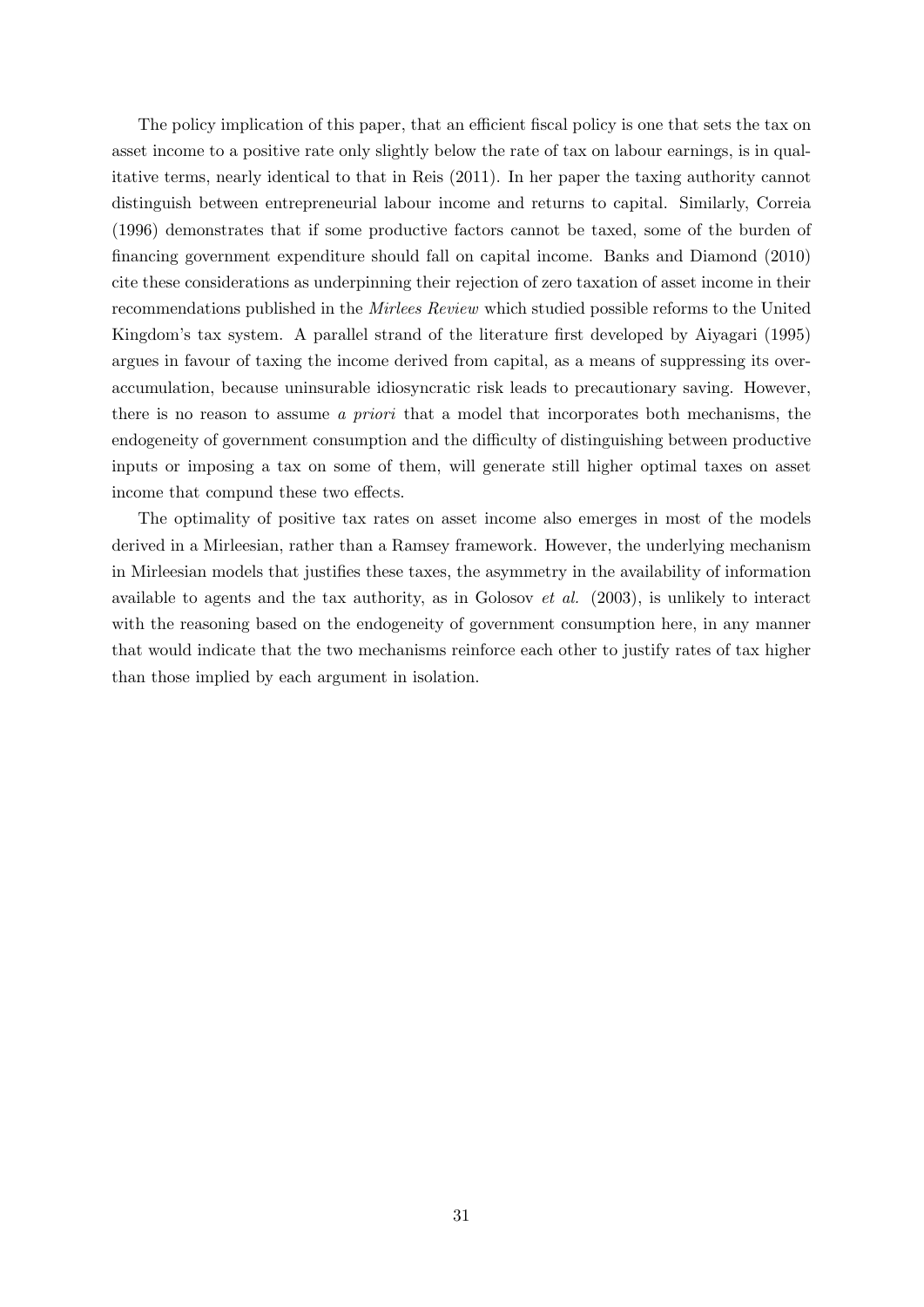The policy implication of this paper, that an efficient fiscal policy is one that sets the tax on asset income to a positive rate only slightly below the rate of tax on labour earnings, is in qualitative terms, nearly identical to that in Reis (2011). In her paper the taxing authority cannot distinguish between entrepreneurial labour income and returns to capital. Similarly, Correia (1996) demonstrates that if some productive factors cannot be taxed, some of the burden of financing government expenditure should fall on capital income. Banks and Diamond (2010) cite these considerations as underpinning their rejection of zero taxation of asset income in their recommendations published in the Mirlees Review which studied possible reforms to the United Kingdom's tax system. A parallel strand of the literature first developed by Aiyagari (1995) argues in favour of taxing the income derived from capital, as a means of suppressing its overaccumulation, because uninsurable idiosyncratic risk leads to precautionary saving. However, there is no reason to assume a priori that a model that incorporates both mechanisms, the endogeneity of government consumption and the difficulty of distinguishing between productive inputs or imposing a tax on some of them, will generate still higher optimal taxes on asset income that compund these two effects.

The optimality of positive tax rates on asset income also emerges in most of the models derived in a Mirleesian, rather than a Ramsey framework. However, the underlying mechanism in Mirleesian models that justifies these taxes, the asymmetry in the availability of information available to agents and the tax authority, as in Golosov  $et$  al. (2003), is unlikely to interact with the reasoning based on the endogeneity of government consumption here, in any manner that would indicate that the two mechanisms reinforce each other to justify rates of tax higher than those implied by each argument in isolation.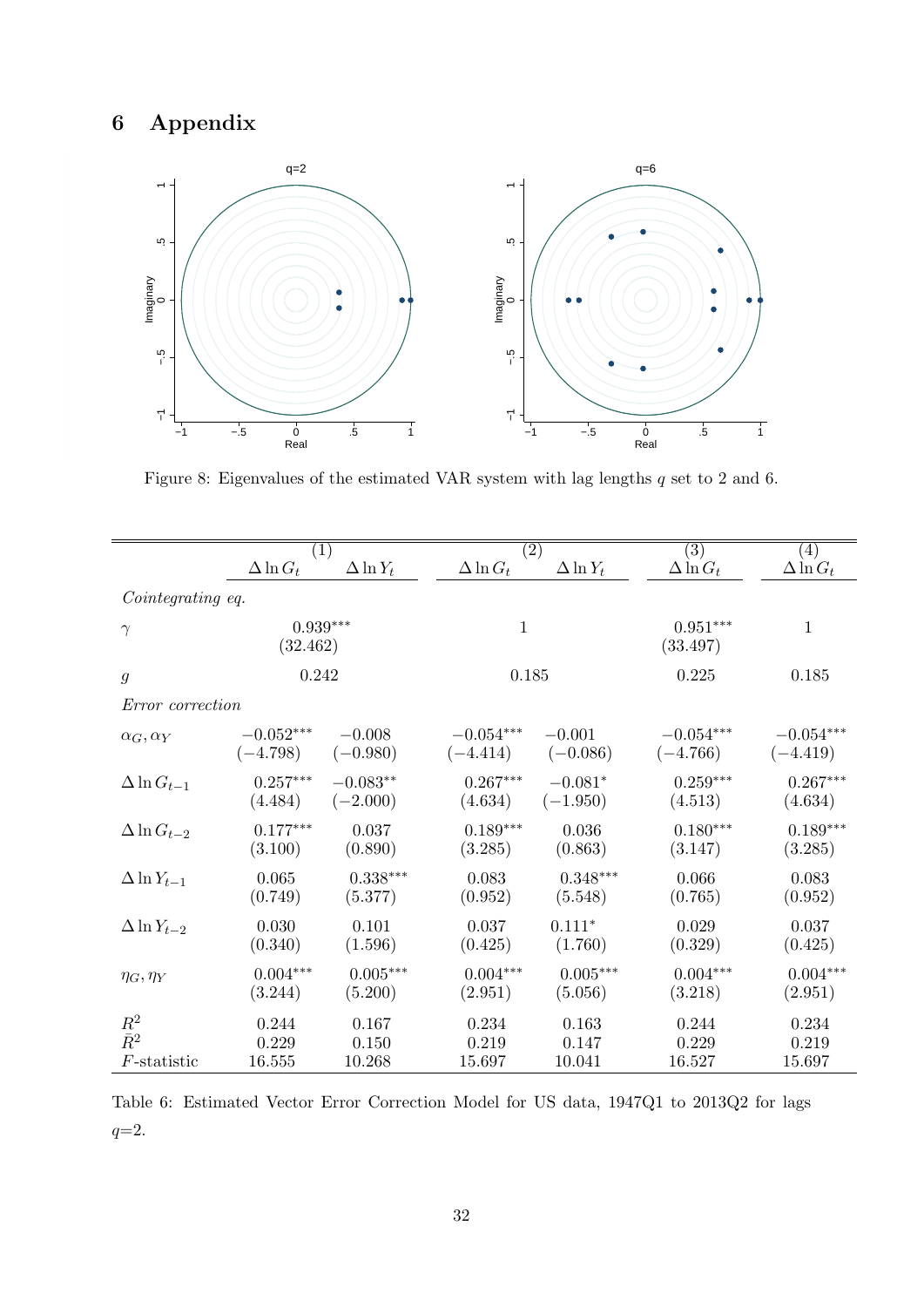# 6 Appendix



Figure 8: Eigenvalues of the estimated VAR system with lag lengths q set to 2 and 6.

|                         |                  | (1)                    |                  | $\left( 2\right)$ | $\left( 3\right)$      | (4)              |
|-------------------------|------------------|------------------------|------------------|-------------------|------------------------|------------------|
|                         | $\Delta \ln G_t$ | $\Delta \ln Y_t$       | $\Delta \ln G_t$ | $\Delta \ln Y_t$  | $\Delta \ln G_t$       | $\Delta \ln G_t$ |
| Cointegrating eq.       |                  |                        |                  |                   |                        |                  |
| $\gamma$                | (32.462)         | $0.939***$             | $\mathbf{1}$     |                   | $0.951***$<br>(33.497) | 1                |
| $\mathfrak g$           | 0.242            |                        | 0.185            |                   | 0.225                  | 0.185            |
| <i>Error correction</i> |                  |                        |                  |                   |                        |                  |
| $\alpha_G, \alpha_Y$    | $-0.052***$      | $-0.008$               | $-0.054***$      | $-0.001$          | $-0.054^{***}\,$       | $-0.054***$      |
|                         | $(-4.798)$       | $(-0.980)$             | $(-4.414)$       | $(-0.086)$        | $(-4.766)$             | $(-4.419)$       |
| $\Delta \ln G_{t-1}$    | $0.257***$       | $-0.083**$             | $0.267***$       | $-0.081*$         | $0.259***$             | $0.267***$       |
|                         | (4.484)          | $(-2.000)$             | (4.634)          | $(-1.950)$        | (4.513)                | (4.634)          |
| $\Delta \ln G_{t-2}$    | $0.177***$       | 0.037                  | $0.189***$       | 0.036             | $0.180***$             | $0.189***$       |
|                         | (3.100)          | (0.890)                | (3.285)          | (0.863)           | (3.147)                | (3.285)          |
| $\Delta \ln Y_{t-1}$    | 0.065            | $0.338^{\ast\ast\ast}$ | 0.083            | $0.348***$        | 0.066                  | 0.083            |
|                         | (0.749)          | (5.377)                | (0.952)          | (5.548)           | (0.765)                | (0.952)          |
| $\Delta \ln Y_{t-2}$    | 0.030            | 0.101                  | 0.037            | $0.111*$          | 0.029                  | 0.037            |
|                         | (0.340)          | (1.596)                | (0.425)          | (1.760)           | (0.329)                | (0.425)          |
| $\eta_G, \eta_Y$        | $0.004***$       | $0.005***$             | $0.004***$       | $0.005^{***}\,$   | $0.004***$             | $0.004***$       |
|                         | (3.244)          | (5.200)                | (2.951)          | (5.056)           | (3.218)                | (2.951)          |
| $R^2$                   | 0.244            | 0.167                  | 0.234            | 0.163             | 0.244                  | 0.234            |
| $\bar{R}^2$             | 0.229            | 0.150                  | 0.219            | 0.147             | 0.229                  | 0.219            |
| $F$ -statistic          | 16.555           | 10.268                 | 15.697           | 10.041            | 16.527                 | 15.697           |

Table 6: Estimated Vector Error Correction Model for US data, 1947Q1 to 2013Q2 for lags  $q=2$ .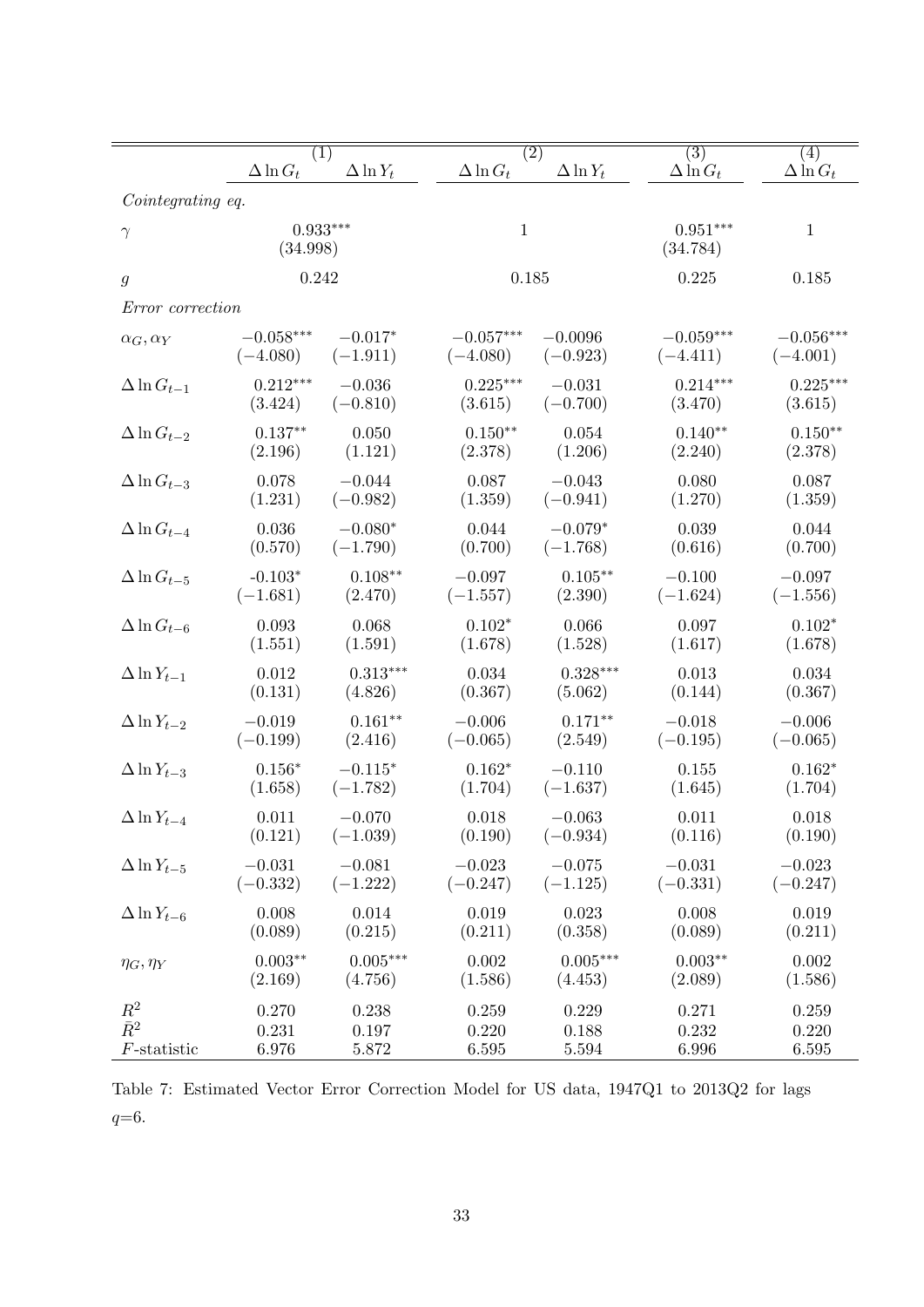|                       | $\overline{(1)}$       |                  |                  | $\overline{(2)}$ | $\overline{(3)}$       | $\overline{(4)}$ |  |
|-----------------------|------------------------|------------------|------------------|------------------|------------------------|------------------|--|
|                       | $\Delta \ln G_t$       | $\Delta \ln Y_t$ | $\Delta \ln G_t$ | $\Delta \ln Y_t$ | $\Delta \ln G_t$       | $\Delta \ln G_t$ |  |
| Cointegrating eq.     |                        |                  |                  |                  |                        |                  |  |
| $\gamma$              | $0.933***$<br>(34.998) |                  | $\mathbf{1}$     |                  | $0.951***$<br>(34.784) | $\mathbf{1}$     |  |
| $\mathfrak g$         | 0.242                  |                  | 0.185            |                  | 0.225                  | 0.185            |  |
| Error correction      |                        |                  |                  |                  |                        |                  |  |
| $\alpha_G, \alpha_Y$  | $-0.058***$            | $-0.017*$        | $-0.057***$      | $-0.0096$        | $-0.059***$            | $-0.056***$      |  |
|                       | $(-4.080)$             | $(-1.911)$       | $(-4.080)$       | $(-0.923)$       | $(-4.411)$             | $(-4.001)$       |  |
| $\Delta \ln G_{t-1}$  | $0.212***$             | $-0.036$         | $0.225***$       | $-0.031$         | $0.214***$             | $0.225***$       |  |
|                       | (3.424)                | $(-0.810)$       | (3.615)          | $(-0.700)$       | (3.470)                | (3.615)          |  |
| $\Delta \ln G_{t-2}$  | $0.137**$              | 0.050            | $0.150**$        | 0.054            | $0.140**$              | $0.150**$        |  |
|                       | (2.196)                | (1.121)          | (2.378)          | (1.206)          | (2.240)                | (2.378)          |  |
| $\Delta \ln G_{t-3}$  | 0.078                  | $-0.044$         | 0.087            | $-0.043$         | 0.080                  | 0.087            |  |
|                       | (1.231)                | $(-0.982)$       | (1.359)          | $(-0.941)$       | (1.270)                | (1.359)          |  |
| $\Delta \ln G_{t-4}$  | 0.036                  | $-0.080*$        | 0.044            | $-0.079*$        | 0.039                  | 0.044            |  |
|                       | (0.570)                | $(-1.790)$       | (0.700)          | $(-1.768)$       | (0.616)                | (0.700)          |  |
| $\Delta$ ln $G_{t-5}$ | $-0.103*$              | $0.108**$        | $-0.097$         | $0.105***$       | $-0.100$               | $-0.097$         |  |
|                       | $(-1.681)$             | (2.470)          | $(-1.557)$       | (2.390)          | $(-1.624)$             | $(-1.556)$       |  |
| $\Delta \ln G_{t-6}$  | 0.093                  | 0.068            | $0.102*$         | 0.066            | 0.097                  | $0.102*$         |  |
|                       | (1.551)                | (1.591)          | (1.678)          | (1.528)          | (1.617)                | (1.678)          |  |
| $\Delta \ln Y_{t-1}$  | 0.012                  | $0.313***$       | 0.034            | $0.328***$       | 0.013                  | 0.034            |  |
|                       | (0.131)                | (4.826)          | (0.367)          | (5.062)          | (0.144)                | (0.367)          |  |
| $\Delta \ln Y_{t-2}$  | $-0.019$               | $0.161**$        | $-0.006$         | $0.171**$        | $-0.018$               | $-0.006$         |  |
|                       | $(-0.199)$             | (2.416)          | $(-0.065)$       | (2.549)          | $(-0.195)$             | $(-0.065)$       |  |
| $\Delta \ln Y_{t-3}$  | $0.156*$               | $-0.115*$        | $0.162*$         | $-0.110$         | 0.155                  | $0.162*$         |  |
|                       | (1.658)                | $(-1.782)$       | (1.704)          | $(-1.637)$       | (1.645)                | (1.704)          |  |
| $\Delta \ln Y_{t-4}$  | 0.011                  | $-0.070$         | 0.018            | $-0.063$         | 0.011                  | 0.018            |  |
|                       | (0.121)                | $(-1.039)$       | (0.190)          | $(-0.934)$       | (0.116)                | (0.190)          |  |
| $\Delta \ln Y_{t-5}$  | $-0.031$               | $-0.081$         | $-0.023$         | $-0.075$         | $-0.031$               | $-0.023$         |  |
|                       | $(-0.332)$             | $(-1.222)$       | $(-0.247)$       | $(-1.125)$       | $(-0.331)$             | $(-0.247)$       |  |
| $\Delta \ln Y_{t-6}$  | 0.008                  | 0.014            | 0.019            | 0.023            | 0.008                  | 0.019            |  |
|                       | (0.089)                | (0.215)          | (0.211)          | (0.358)          | (0.089)                | (0.211)          |  |
| $\eta_G, \eta_Y$      | $0.003**$              | $0.005***$       | $0.002\,$        | $0.005***$       | $0.003**$              | 0.002            |  |
|                       | (2.169)                | (4.756)          | (1.586)          | (4.453)          | (2.089)                | (1.586)          |  |
| $R^2$                 | 0.270                  | 0.238            | 0.259            | 0.229            | 0.271                  | 0.259            |  |
| $\bar{R}^2$           | 0.231                  | 0.197            | 0.220            | 0.188            | 0.232                  | 0.220            |  |
| $F$ -statistic        | 6.976                  | 5.872            | 6.595            | 5.594            | 6.996                  | 6.595            |  |

Table 7: Estimated Vector Error Correction Model for US data, 1947Q1 to 2013Q2 for lags  $q=6.$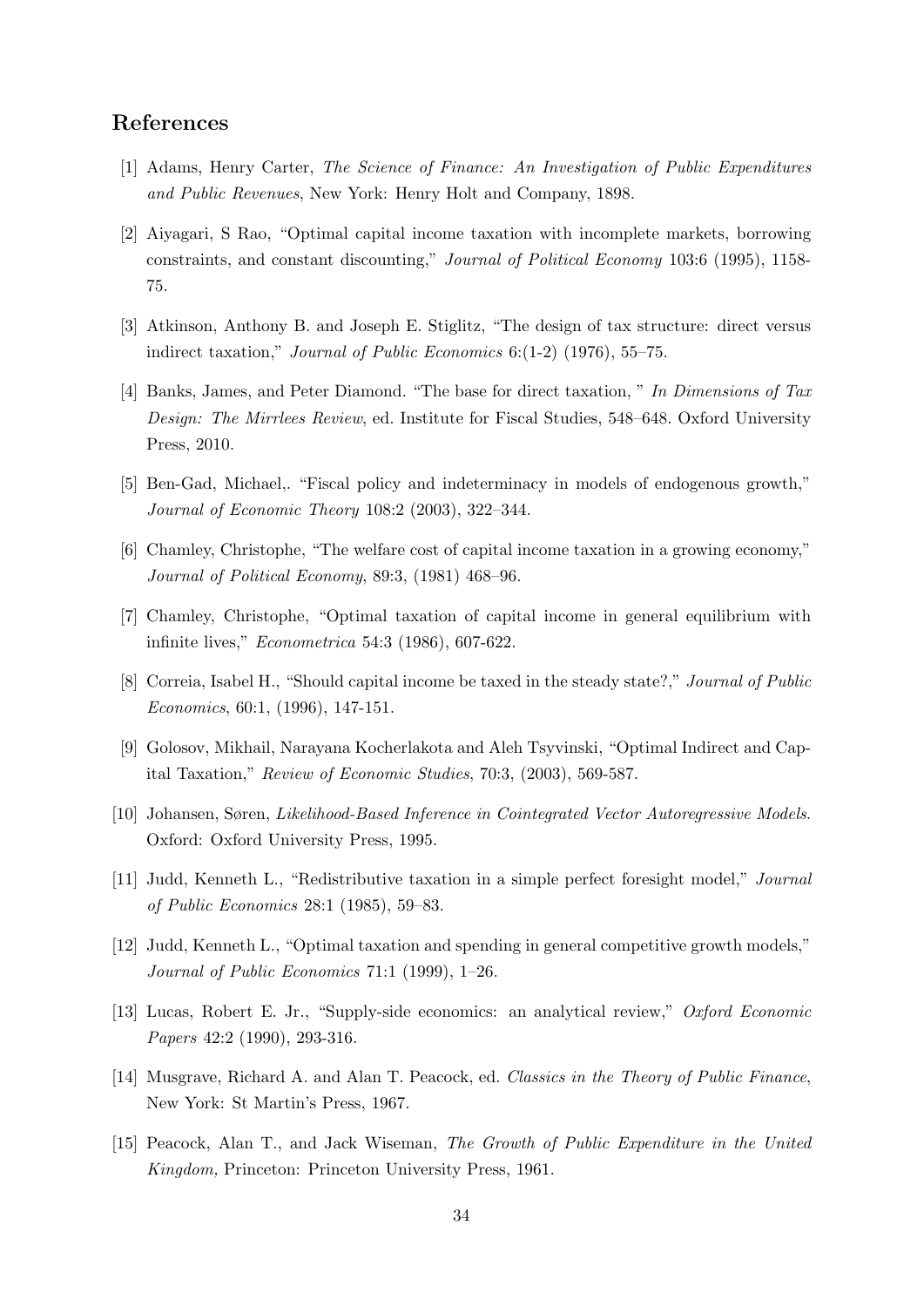### References

- [1] Adams, Henry Carter, The Science of Finance: An Investigation of Public Expenditures and Public Revenues, New York: Henry Holt and Company, 1898.
- [2] Aiyagari, S Rao, "Optimal capital income taxation with incomplete markets, borrowing constraints, and constant discounting," Journal of Political Economy 103:6 (1995), 1158- 75.
- [3] Atkinson, Anthony B. and Joseph E. Stiglitz, "The design of tax structure: direct versus indirect taxation," Journal of Public Economics 6:(1-2) (1976), 55–75.
- [4] Banks, James, and Peter Diamond. "The base for direct taxation, " In Dimensions of Tax Design: The Mirrlees Review, ed. Institute for Fiscal Studies, 548–648. Oxford University Press, 2010.
- [5] Ben-Gad, Michael,. "Fiscal policy and indeterminacy in models of endogenous growth," Journal of Economic Theory 108:2 (2003), 322–344.
- [6] Chamley, Christophe, "The welfare cost of capital income taxation in a growing economy," Journal of Political Economy, 89:3, (1981) 468–96.
- [7] Chamley, Christophe, "Optimal taxation of capital income in general equilibrium with infinite lives," Econometrica 54:3 (1986), 607-622.
- [8] Correia, Isabel H., "Should capital income be taxed in the steady state?," Journal of Public Economics, 60:1, (1996), 147-151.
- [9] Golosov, Mikhail, Narayana Kocherlakota and Aleh Tsyvinski, "Optimal Indirect and Capital Taxation," Review of Economic Studies, 70:3, (2003), 569-587.
- [10] Johansen, Søren, Likelihood-Based Inference in Cointegrated Vector Autoregressive Models. Oxford: Oxford University Press, 1995.
- [11] Judd, Kenneth L., "Redistributive taxation in a simple perfect foresight model," Journal of Public Economics 28:1 (1985), 59–83.
- [12] Judd, Kenneth L., "Optimal taxation and spending in general competitive growth models," Journal of Public Economics 71:1 (1999), 1–26.
- [13] Lucas, Robert E. Jr., "Supply-side economics: an analytical review," Oxford Economic Papers 42:2 (1990), 293-316.
- [14] Musgrave, Richard A. and Alan T. Peacock, ed. Classics in the Theory of Public Finance, New York: St Martin's Press, 1967.
- [15] Peacock, Alan T., and Jack Wiseman, The Growth of Public Expenditure in the United Kingdom, Princeton: Princeton University Press, 1961.